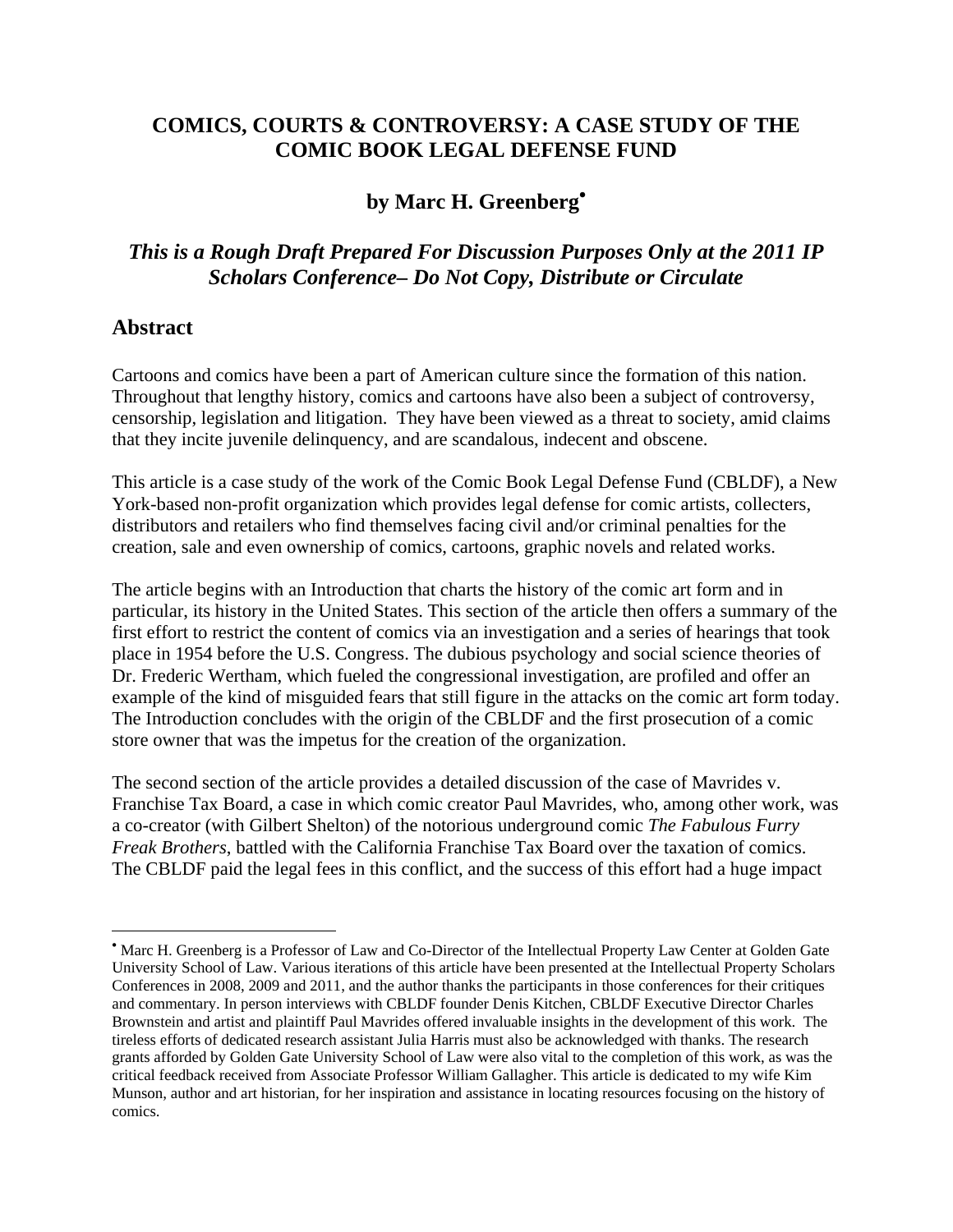# **COMICS, COURTS & CONTROVERSY: A CASE STUDY OF THE COMIC BOOK LEGAL DEFENSE FUND**

# **by Marc H. Greenberg**•

# *This is a Rough Draft Prepared For Discussion Purposes Only at the 2011 IP Scholars Conference– Do Not Copy, Distribute or Circulate*

# **Abstract**

<u>.</u>

Cartoons and comics have been a part of American culture since the formation of this nation. Throughout that lengthy history, comics and cartoons have also been a subject of controversy, censorship, legislation and litigation. They have been viewed as a threat to society, amid claims that they incite juvenile delinquency, and are scandalous, indecent and obscene.

This article is a case study of the work of the Comic Book Legal Defense Fund (CBLDF), a New York-based non-profit organization which provides legal defense for comic artists, collecters, distributors and retailers who find themselves facing civil and/or criminal penalties for the creation, sale and even ownership of comics, cartoons, graphic novels and related works.

The article begins with an Introduction that charts the history of the comic art form and in particular, its history in the United States. This section of the article then offers a summary of the first effort to restrict the content of comics via an investigation and a series of hearings that took place in 1954 before the U.S. Congress. The dubious psychology and social science theories of Dr. Frederic Wertham, which fueled the congressional investigation, are profiled and offer an example of the kind of misguided fears that still figure in the attacks on the comic art form today. The Introduction concludes with the origin of the CBLDF and the first prosecution of a comic store owner that was the impetus for the creation of the organization.

The second section of the article provides a detailed discussion of the case of Mavrides v. Franchise Tax Board, a case in which comic creator Paul Mavrides, who, among other work, was a co-creator (with Gilbert Shelton) of the notorious underground comic *The Fabulous Furry Freak Brothers*, battled with the California Franchise Tax Board over the taxation of comics. The CBLDF paid the legal fees in this conflict, and the success of this effort had a huge impact

<sup>•</sup> Marc H. Greenberg is a Professor of Law and Co-Director of the Intellectual Property Law Center at Golden Gate University School of Law. Various iterations of this article have been presented at the Intellectual Property Scholars Conferences in 2008, 2009 and 2011, and the author thanks the participants in those conferences for their critiques and commentary. In person interviews with CBLDF founder Denis Kitchen, CBLDF Executive Director Charles Brownstein and artist and plaintiff Paul Mavrides offered invaluable insights in the development of this work. The tireless efforts of dedicated research assistant Julia Harris must also be acknowledged with thanks. The research grants afforded by Golden Gate University School of Law were also vital to the completion of this work, as was the critical feedback received from Associate Professor William Gallagher. This article is dedicated to my wife Kim Munson, author and art historian, for her inspiration and assistance in locating resources focusing on the history of comics.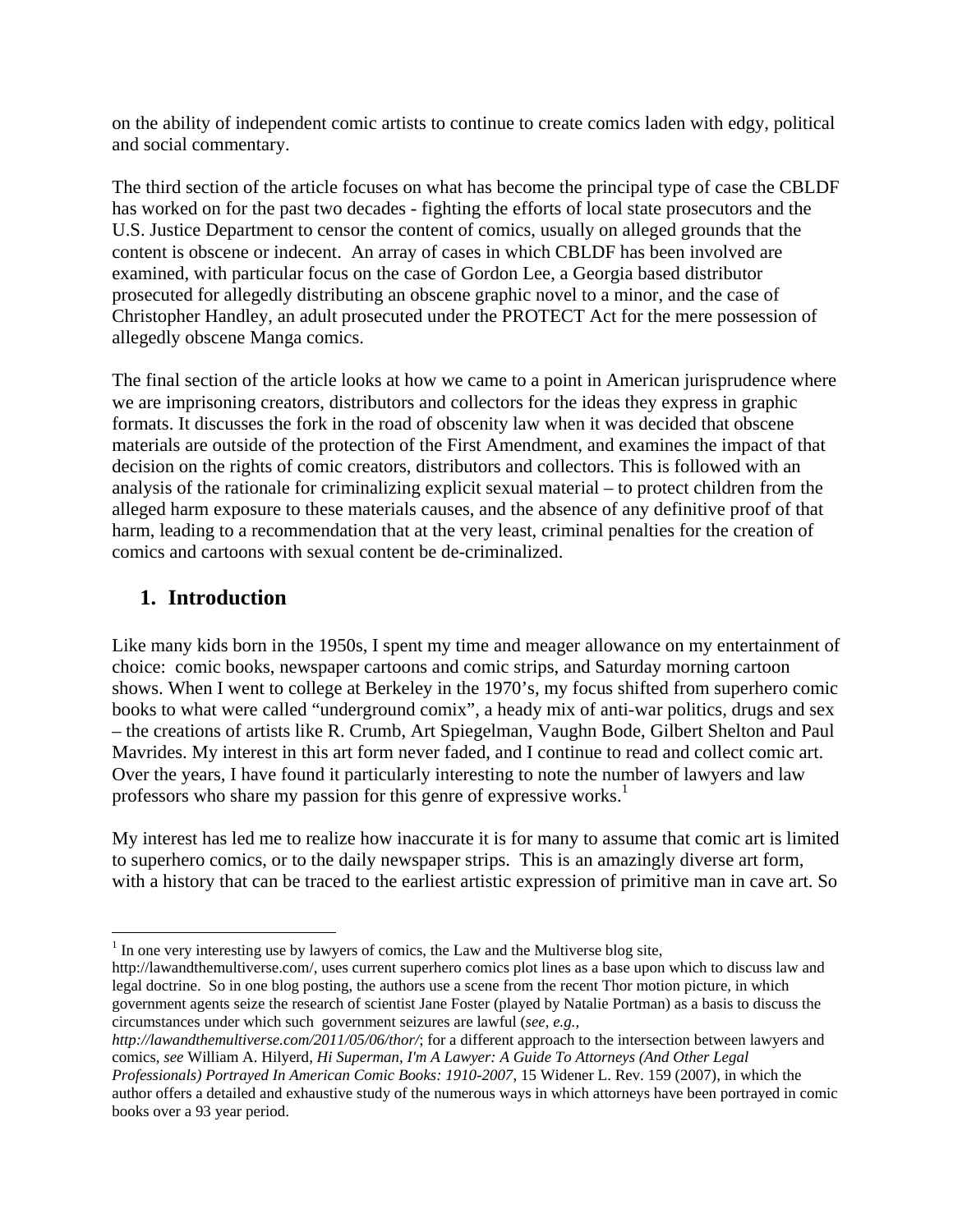on the ability of independent comic artists to continue to create comics laden with edgy, political and social commentary.

The third section of the article focuses on what has become the principal type of case the CBLDF has worked on for the past two decades - fighting the efforts of local state prosecutors and the U.S. Justice Department to censor the content of comics, usually on alleged grounds that the content is obscene or indecent. An array of cases in which CBLDF has been involved are examined, with particular focus on the case of Gordon Lee, a Georgia based distributor prosecuted for allegedly distributing an obscene graphic novel to a minor, and the case of Christopher Handley, an adult prosecuted under the PROTECT Act for the mere possession of allegedly obscene Manga comics.

The final section of the article looks at how we came to a point in American jurisprudence where we are imprisoning creators, distributors and collectors for the ideas they express in graphic formats. It discusses the fork in the road of obscenity law when it was decided that obscene materials are outside of the protection of the First Amendment, and examines the impact of that decision on the rights of comic creators, distributors and collectors. This is followed with an analysis of the rationale for criminalizing explicit sexual material – to protect children from the alleged harm exposure to these materials causes, and the absence of any definitive proof of that harm, leading to a recommendation that at the very least, criminal penalties for the creation of comics and cartoons with sexual content be de-criminalized.

# **1. Introduction**

 $\overline{a}$ 

Like many kids born in the 1950s, I spent my time and meager allowance on my entertainment of choice: comic books, newspaper cartoons and comic strips, and Saturday morning cartoon shows. When I went to college at Berkeley in the 1970's, my focus shifted from superhero comic books to what were called "underground comix", a heady mix of anti-war politics, drugs and sex – the creations of artists like R. Crumb, Art Spiegelman, Vaughn Bode, Gilbert Shelton and Paul Mavrides. My interest in this art form never faded, and I continue to read and collect comic art. Over the years, I have found it particularly interesting to note the number of lawyers and law professors who share my passion for this genre of expressive works.<sup>1</sup>

My interest has led me to realize how inaccurate it is for many to assume that comic art is limited to superhero comics, or to the daily newspaper strips. This is an amazingly diverse art form, with a history that can be traced to the earliest artistic expression of primitive man in cave art. So

 $<sup>1</sup>$  In one very interesting use by lawyers of comics, the Law and the Multiverse blog site,</sup>

http://lawandthemultiverse.com/, uses current superhero comics plot lines as a base upon which to discuss law and legal doctrine. So in one blog posting, the authors use a scene from the recent Thor motion picture, in which government agents seize the research of scientist Jane Foster (played by Natalie Portman) as a basis to discuss the circumstances under which such government seizures are lawful (*see, e.g.,* 

*http://lawandthemultiverse.com/2011/05/06/thor/*; for a different approach to the intersection between lawyers and comics, *see* William A. Hilyerd, *Hi Superman, I'm A Lawyer: A Guide To Attorneys (And Other Legal Professionals) Portrayed In American Comic Books: 1910-2007*, 15 Widener L. Rev. 159 (2007), in which the author offers a detailed and exhaustive study of the numerous ways in which attorneys have been portrayed in comic books over a 93 year period.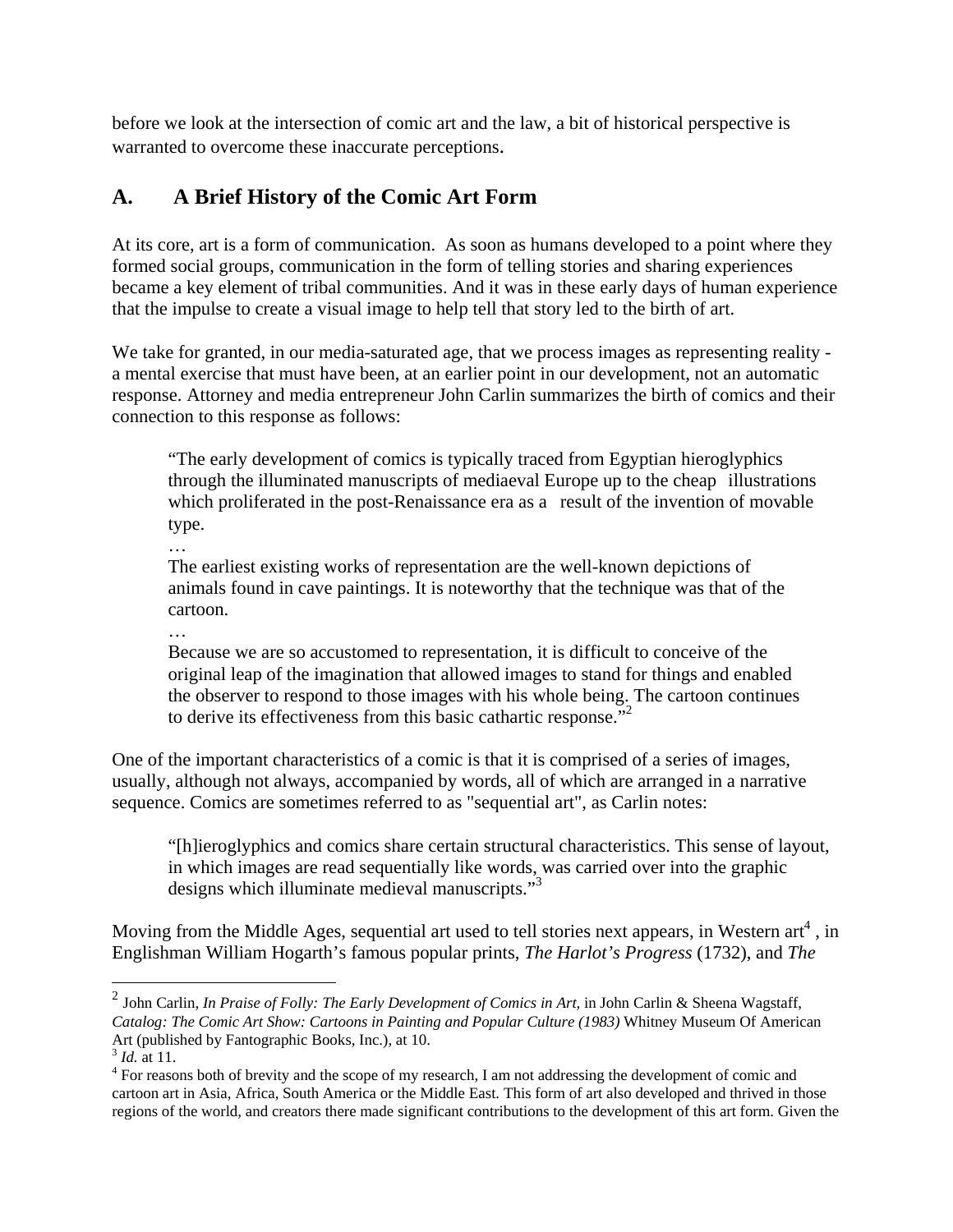before we look at the intersection of comic art and the law, a bit of historical perspective is warranted to overcome these inaccurate perceptions.

# **A. A Brief History of the Comic Art Form**

At its core, art is a form of communication. As soon as humans developed to a point where they formed social groups, communication in the form of telling stories and sharing experiences became a key element of tribal communities. And it was in these early days of human experience that the impulse to create a visual image to help tell that story led to the birth of art.

We take for granted, in our media-saturated age, that we process images as representing reality a mental exercise that must have been, at an earlier point in our development, not an automatic response. Attorney and media entrepreneur John Carlin summarizes the birth of comics and their connection to this response as follows:

 "The early development of comics is typically traced from Egyptian hieroglyphics through the illuminated manuscripts of mediaeval Europe up to the cheap illustrations which proliferated in the post-Renaissance era as a result of the invention of movable type.

 The earliest existing works of representation are the well-known depictions of animals found in cave paintings. It is noteworthy that the technique was that of the cartoon.

…

…

 Because we are so accustomed to representation, it is difficult to conceive of the original leap of the imagination that allowed images to stand for things and enabled the observer to respond to those images with his whole being. The cartoon continues to derive its effectiveness from this basic cathartic response. $^{32}$ 

One of the important characteristics of a comic is that it is comprised of a series of images, usually, although not always, accompanied by words, all of which are arranged in a narrative sequence. Comics are sometimes referred to as "sequential art", as Carlin notes:

 "[h]ieroglyphics and comics share certain structural characteristics. This sense of layout, in which images are read sequentially like words, was carried over into the graphic designs which illuminate medieval manuscripts."<sup>3</sup>

Moving from the Middle Ages, sequential art used to tell stories next appears, in Western art<sup>4</sup>, in Englishman William Hogarth's famous popular prints, *The Harlot's Progress* (1732), and *The* 

<u>.</u>

<sup>&</sup>lt;sup>2</sup> John Carlin, *In Praise of Folly: The Early Development of Comics in Art*, in John Carlin & Sheena Wagstaff, *Catalog: The Comic Art Show: Cartoons in Painting and Popular Culture (1983)* Whitney Museum Of American Art (published by Fantographic Books, Inc.), at 10.

 $3$  *Id.* at 11.

<sup>&</sup>lt;sup>4</sup> For reasons both of brevity and the scope of my research, I am not addressing the development of comic and cartoon art in Asia, Africa, South America or the Middle East. This form of art also developed and thrived in those regions of the world, and creators there made significant contributions to the development of this art form. Given the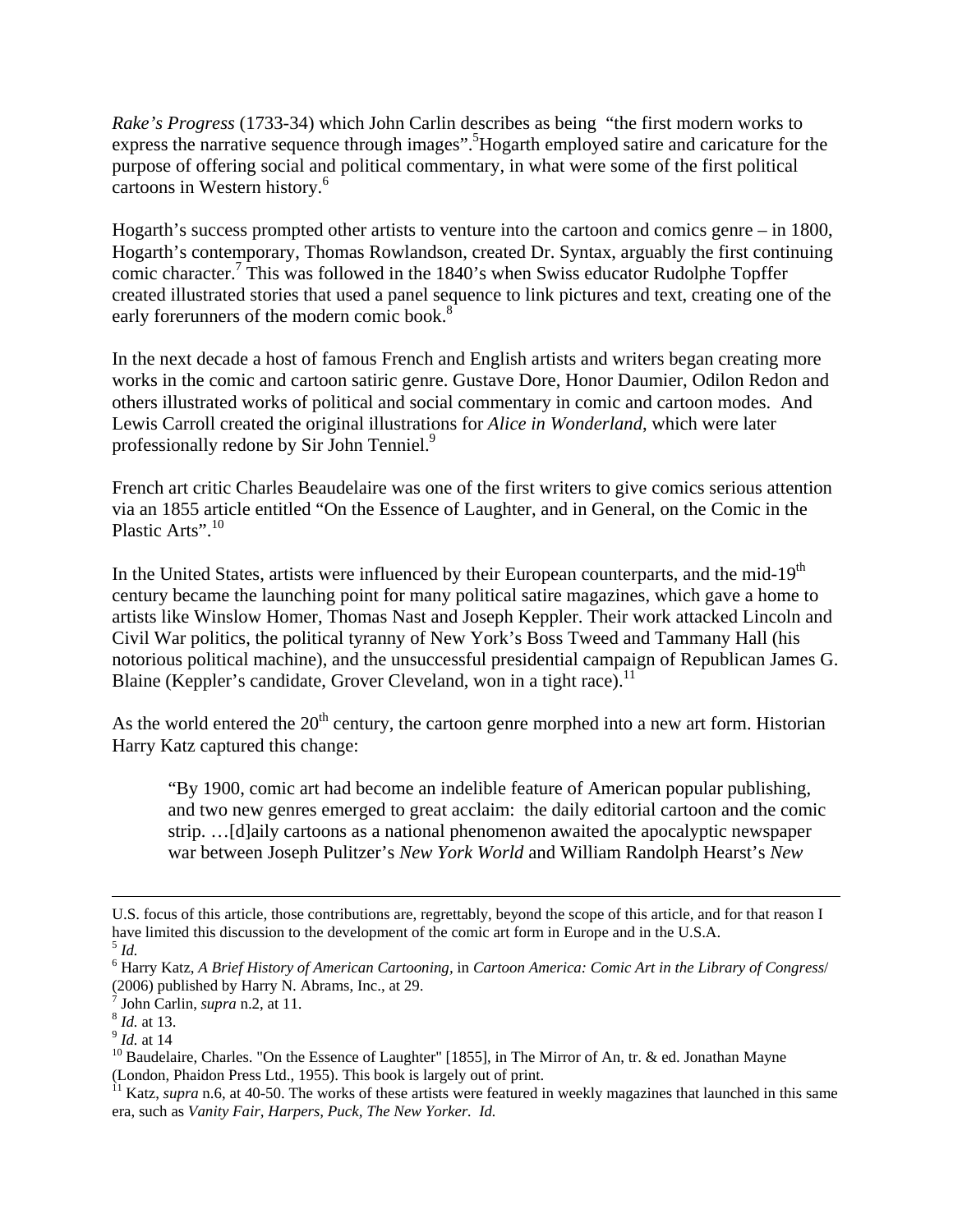*Rake's Progress* (1733-34) which John Carlin describes as being "the first modern works to express the narrative sequence through images".<sup>5</sup>Hogarth employed satire and caricature for the purpose of offering social and political commentary, in what were some of the first political cartoons in Western history.<sup>6</sup>

Hogarth's success prompted other artists to venture into the cartoon and comics genre – in 1800, Hogarth's contemporary, Thomas Rowlandson, created Dr. Syntax, arguably the first continuing comic character.<sup>7</sup> This was followed in the 1840's when Swiss educator Rudolphe Topffer created illustrated stories that used a panel sequence to link pictures and text, creating one of the early forerunners of the modern comic book.<sup>8</sup>

In the next decade a host of famous French and English artists and writers began creating more works in the comic and cartoon satiric genre. Gustave Dore, Honor Daumier, Odilon Redon and others illustrated works of political and social commentary in comic and cartoon modes. And Lewis Carroll created the original illustrations for *Alice in Wonderland*, which were later professionally redone by Sir John Tenniel.<sup>9</sup>

French art critic Charles Beaudelaire was one of the first writers to give comics serious attention via an 1855 article entitled "On the Essence of Laughter, and in General, on the Comic in the Plastic Arts".<sup>10</sup>

In the United States, artists were influenced by their European counterparts, and the mid-19<sup>th</sup> century became the launching point for many political satire magazines, which gave a home to artists like Winslow Homer, Thomas Nast and Joseph Keppler. Their work attacked Lincoln and Civil War politics, the political tyranny of New York's Boss Tweed and Tammany Hall (his notorious political machine), and the unsuccessful presidential campaign of Republican James G. Blaine (Keppler's candidate, Grover Cleveland, won in a tight race).<sup>11</sup>

As the world entered the  $20<sup>th</sup>$  century, the cartoon genre morphed into a new art form. Historian Harry Katz captured this change:

 "By 1900, comic art had become an indelible feature of American popular publishing, and two new genres emerged to great acclaim: the daily editorial cartoon and the comic strip. …[d]aily cartoons as a national phenomenon awaited the apocalyptic newspaper war between Joseph Pulitzer's *New York World* and William Randolph Hearst's *New* 

U.S. focus of this article, those contributions are, regrettably, beyond the scope of this article, and for that reason I have limited this discussion to the development of the comic art form in Europe and in the U.S.A.  $^5$  *Id.* 

<sup>6</sup> Harry Katz, *A Brief History of American Cartooning,* in *Cartoon America: Comic Art in the Library of Congress*/ (2006) published by Harry N. Abrams, Inc., at 29.

<sup>7</sup>

<sup>&</sup>lt;sup>7</sup> John Carlin, *supra* n.2, at 11.<br><sup>8</sup> *Id.* at 13.<br><sup>9</sup> *Id.* at 14<br><sup>10</sup> Baudelaire, Charles. "On the Essence of Laughter" [1855], in The Mirror of An, tr. & ed. Jonathan Mayne (London, Phaidon Press Ltd., 1955). This book is largely out of print.

<sup>&</sup>lt;sup>11</sup> Katz, *supra* n.6, at 40-50. The works of these artists were featured in weekly magazines that launched in this same era, such as *Vanity Fair, Harpers, Puck, The New Yorker. Id.*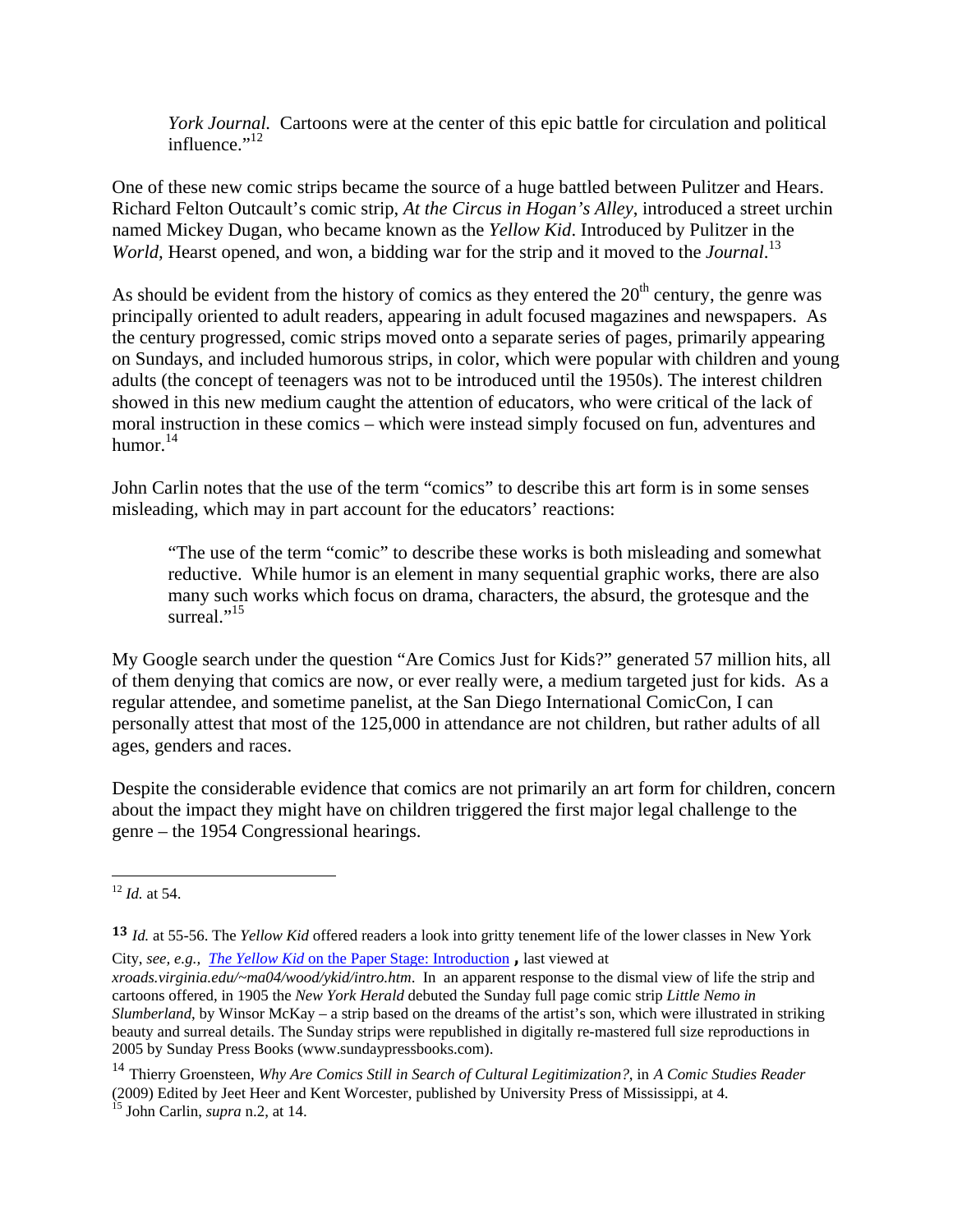*York Journal.* Cartoons were at the center of this epic battle for circulation and political influence." $^{12}$ 

One of these new comic strips became the source of a huge battled between Pulitzer and Hears. Richard Felton Outcault's comic strip, *At the Circus in Hogan's Alley*, introduced a street urchin named Mickey Dugan, who became known as the *Yellow Kid*. Introduced by Pulitzer in the World, Hearst opened, and won, a bidding war for the strip and it moved to the *Journal*.<sup>13</sup>

As should be evident from the history of comics as they entered the  $20<sup>th</sup>$  century, the genre was principally oriented to adult readers, appearing in adult focused magazines and newspapers. As the century progressed, comic strips moved onto a separate series of pages, primarily appearing on Sundays, and included humorous strips, in color, which were popular with children and young adults (the concept of teenagers was not to be introduced until the 1950s). The interest children showed in this new medium caught the attention of educators, who were critical of the lack of moral instruction in these comics – which were instead simply focused on fun, adventures and humor. $14$ 

John Carlin notes that the use of the term "comics" to describe this art form is in some senses misleading, which may in part account for the educators' reactions:

 "The use of the term "comic" to describe these works is both misleading and somewhat reductive. While humor is an element in many sequential graphic works, there are also many such works which focus on drama, characters, the absurd, the grotesque and the surreal." $^{15}$ 

My Google search under the question "Are Comics Just for Kids?" generated 57 million hits, all of them denying that comics are now, or ever really were, a medium targeted just for kids. As a regular attendee, and sometime panelist, at the San Diego International ComicCon, I can personally attest that most of the 125,000 in attendance are not children, but rather adults of all ages, genders and races.

Despite the considerable evidence that comics are not primarily an art form for children, concern about the impact they might have on children triggered the first major legal challenge to the genre – the 1954 Congressional hearings.

City, *see, e.g., The Yellow Kid* on the Paper Stage: Introduction **,** last viewed at *xroads.virginia.edu/~ma04/wood/ykid/intro.htm*. In an apparent response to the dismal view of life the strip and

 $\overline{a}$ <sup>12</sup> *Id.* at 54.

**<sup>13</sup>** *Id.* at 55-56. The *Yellow Kid* offered readers a look into gritty tenement life of the lower classes in New York

cartoons offered, in 1905 the *New York Herald* debuted the Sunday full page comic strip *Little Nemo in Slumberland*, by Winsor McKay – a strip based on the dreams of the artist's son, which were illustrated in striking beauty and surreal details. The Sunday strips were republished in digitally re-mastered full size reproductions in 2005 by Sunday Press Books (www.sundaypressbooks.com).

<sup>14</sup> Thierry Groensteen, *Why Are Comics Still in Search of Cultural Legitimization?*, in *A Comic Studies Reader* (2009) Edited by Jeet Heer and Kent Worcester, published by University Press of Mississippi, at 4. 15 John Carlin, *supra* n.2, at 14.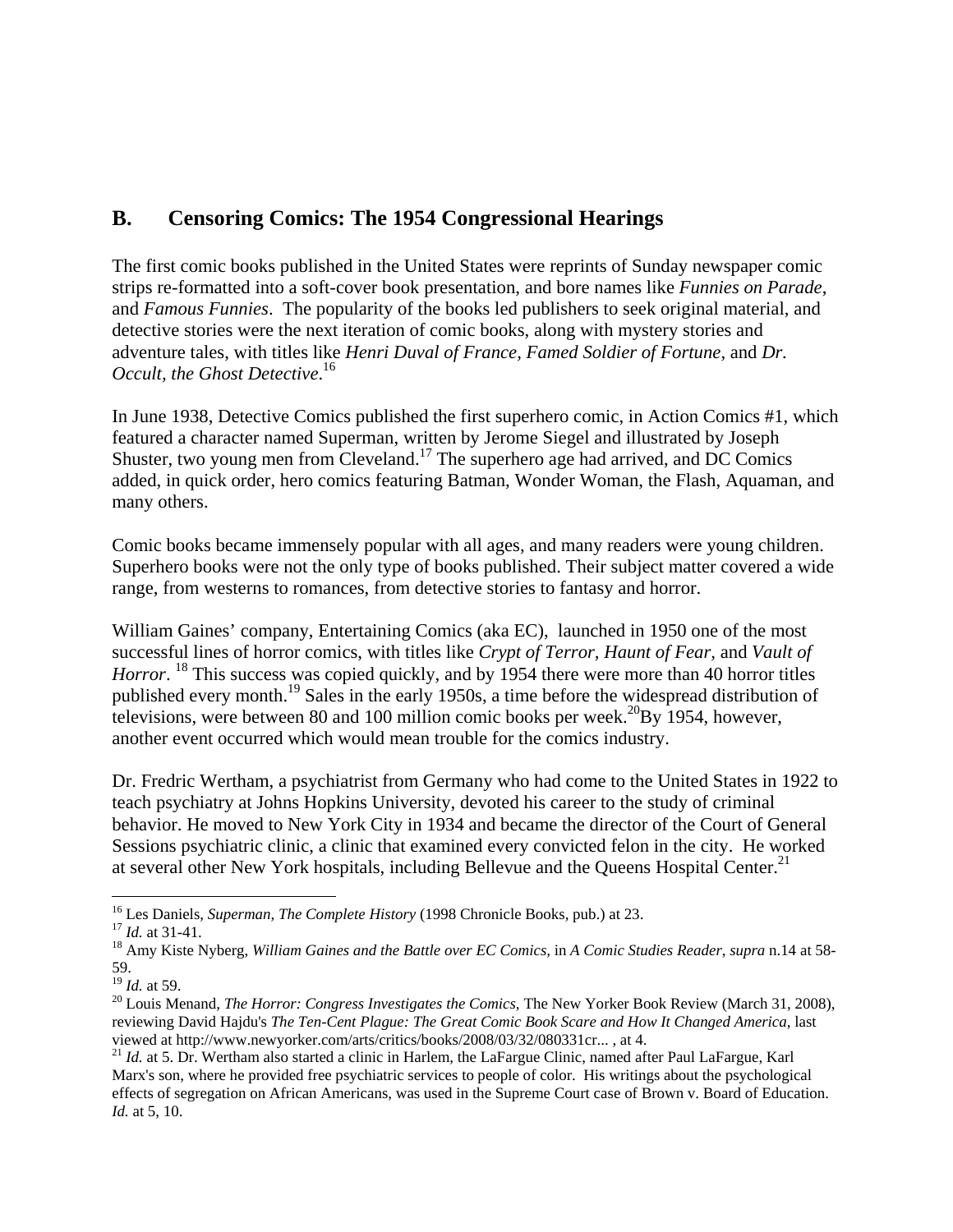# **B. Censoring Comics: The 1954 Congressional Hearings**

The first comic books published in the United States were reprints of Sunday newspaper comic strips re-formatted into a soft-cover book presentation, and bore names like *Funnies on Parade*, and *Famous Funnies*. The popularity of the books led publishers to seek original material, and detective stories were the next iteration of comic books, along with mystery stories and adventure tales, with titles like *Henri Duval of France, Famed Soldier of Fortune,* and *Dr. Occult, the Ghost Detective*. 16

In June 1938, Detective Comics published the first superhero comic, in Action Comics #1, which featured a character named Superman, written by Jerome Siegel and illustrated by Joseph Shuster, two young men from Cleveland.17 The superhero age had arrived, and DC Comics added, in quick order, hero comics featuring Batman, Wonder Woman, the Flash, Aquaman, and many others.

Comic books became immensely popular with all ages, and many readers were young children. Superhero books were not the only type of books published. Their subject matter covered a wide range, from westerns to romances, from detective stories to fantasy and horror.

William Gaines' company, Entertaining Comics (aka EC), launched in 1950 one of the most successful lines of horror comics, with titles like *Crypt of Terror, Haunt of Fear,* and *Vault of Horror*. <sup>18</sup> This success was copied quickly, and by 1954 there were more than 40 horror titles published every month.19 Sales in the early 1950s, a time before the widespread distribution of televisions, were between 80 and 100 million comic books per week.<sup>20</sup>By 1954, however, another event occurred which would mean trouble for the comics industry.

Dr. Fredric Wertham, a psychiatrist from Germany who had come to the United States in 1922 to teach psychiatry at Johns Hopkins University, devoted his career to the study of criminal behavior. He moved to New York City in 1934 and became the director of the Court of General Sessions psychiatric clinic, a clinic that examined every convicted felon in the city. He worked at several other New York hospitals, including Bellevue and the Queens Hospital Center.<sup>21</sup>

 $\overline{a}$ 

<sup>&</sup>lt;sup>16</sup> Les Daniels, *Superman, The Complete History* (1998 Chronicle Books, pub.) at 23.<br><sup>17</sup> Id. at 31-41.<br><sup>18</sup> Amy Kiste Nyberg, *William Gaines and the Battle over EC Comics*, in A *Comic Studies Reader*, *supra* n.14 at

<sup>59.&</sup>lt;br> $^{19}$  *Id.* at 59.

<sup>&</sup>lt;sup>20</sup> Louis Menand, *The Horror: Congress Investigates the Comics*, The New Yorker Book Review (March 31, 2008), reviewing David Hajdu's *The Ten-Cent Plague: The Great Comic Book Scare and How It Changed America*, last viewed at http://www.newyorker.com/arts/critics/books/2008/03/32/080331cr... , at 4.

<sup>21</sup> *Id.* at 5. Dr. Wertham also started a clinic in Harlem, the LaFargue Clinic, named after Paul LaFargue, Karl Marx's son, where he provided free psychiatric services to people of color. His writings about the psychological effects of segregation on African Americans, was used in the Supreme Court case of Brown v. Board of Education. *Id.* at 5, 10.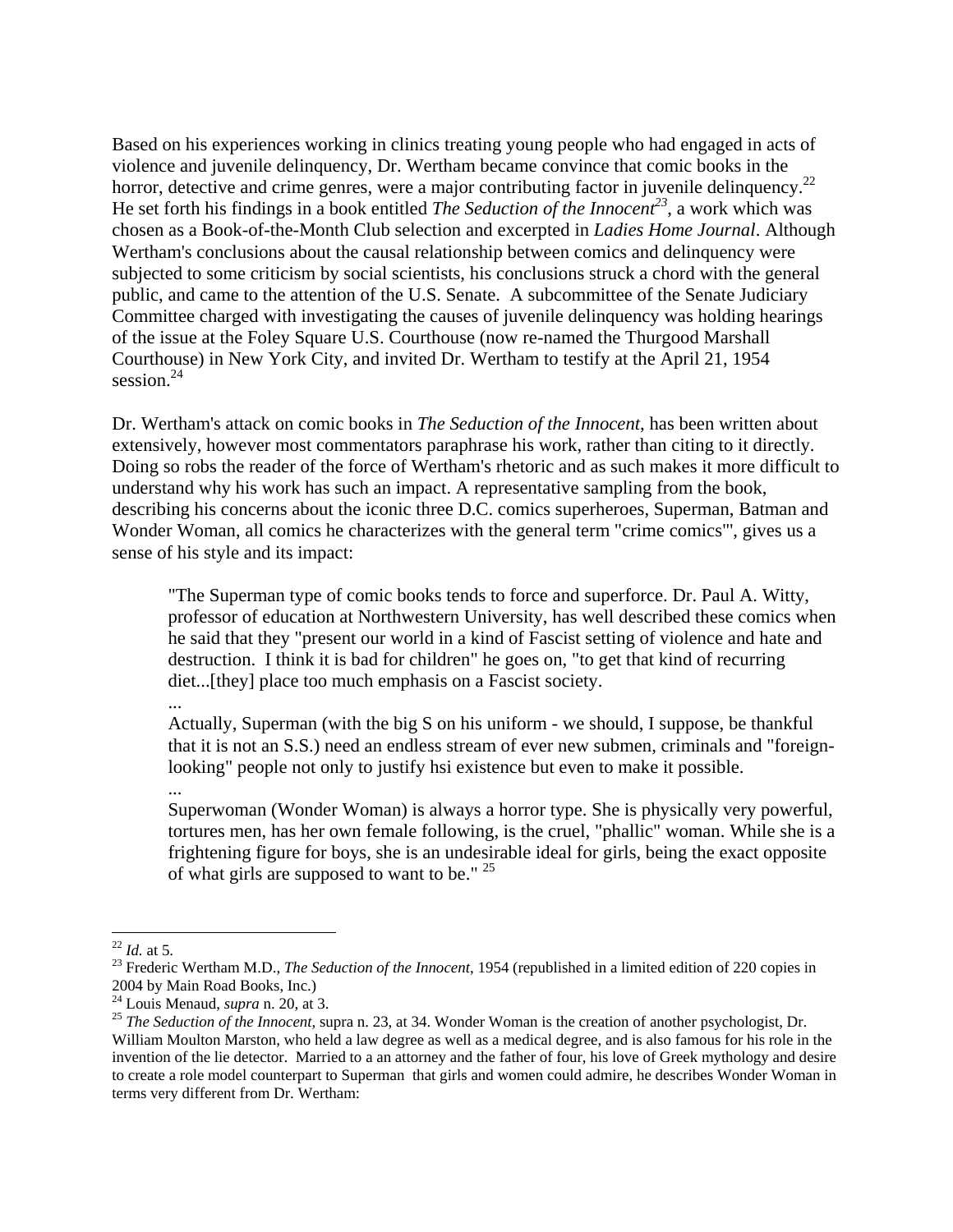Based on his experiences working in clinics treating young people who had engaged in acts of violence and juvenile delinquency, Dr. Wertham became convince that comic books in the horror, detective and crime genres, were a major contributing factor in juvenile delinquency.<sup>22</sup> He set forth his findings in a book entitled *The Seduction of the Innocent*<sup>23</sup>, a work which was chosen as a Book-of-the-Month Club selection and excerpted in *Ladies Home Journal*. Although Wertham's conclusions about the causal relationship between comics and delinquency were subjected to some criticism by social scientists, his conclusions struck a chord with the general public, and came to the attention of the U.S. Senate. A subcommittee of the Senate Judiciary Committee charged with investigating the causes of juvenile delinquency was holding hearings of the issue at the Foley Square U.S. Courthouse (now re-named the Thurgood Marshall Courthouse) in New York City, and invited Dr. Wertham to testify at the April 21, 1954 session. $24$ 

Dr. Wertham's attack on comic books in *The Seduction of the Innocent*, has been written about extensively, however most commentators paraphrase his work, rather than citing to it directly. Doing so robs the reader of the force of Wertham's rhetoric and as such makes it more difficult to understand why his work has such an impact. A representative sampling from the book, describing his concerns about the iconic three D.C. comics superheroes, Superman, Batman and Wonder Woman, all comics he characterizes with the general term "crime comics"', gives us a sense of his style and its impact:

 "The Superman type of comic books tends to force and superforce. Dr. Paul A. Witty, professor of education at Northwestern University, has well described these comics when he said that they "present our world in a kind of Fascist setting of violence and hate and destruction. I think it is bad for children" he goes on, "to get that kind of recurring diet...[they] place too much emphasis on a Fascist society.

...

...

 Actually, Superman (with the big S on his uniform - we should, I suppose, be thankful that it is not an S.S.) need an endless stream of ever new submen, criminals and "foreign looking" people not only to justify hsi existence but even to make it possible.

 Superwoman (Wonder Woman) is always a horror type. She is physically very powerful, tortures men, has her own female following, is the cruel, "phallic" woman. While she is a frightening figure for boys, she is an undesirable ideal for girls, being the exact opposite of what girls are supposed to want to be." 25

 $^{22}$  *Id.* at 5.

<sup>&</sup>lt;sup>23</sup> Frederic Wertham M.D., *The Seduction of the Innocent*, 1954 (republished in a limited edition of 220 copies in 2004 by Main Road Books, Inc.)<br> $^{24}$  Louis Menaud, *supra* n. 20, at 3.

<sup>&</sup>lt;sup>25</sup> The Seduction of the Innocent, supra n. 23, at 34. Wonder Woman is the creation of another psychologist, Dr. William Moulton Marston, who held a law degree as well as a medical degree, and is also famous for his role in the invention of the lie detector. Married to a an attorney and the father of four, his love of Greek mythology and desire to create a role model counterpart to Superman that girls and women could admire, he describes Wonder Woman in terms very different from Dr. Wertham: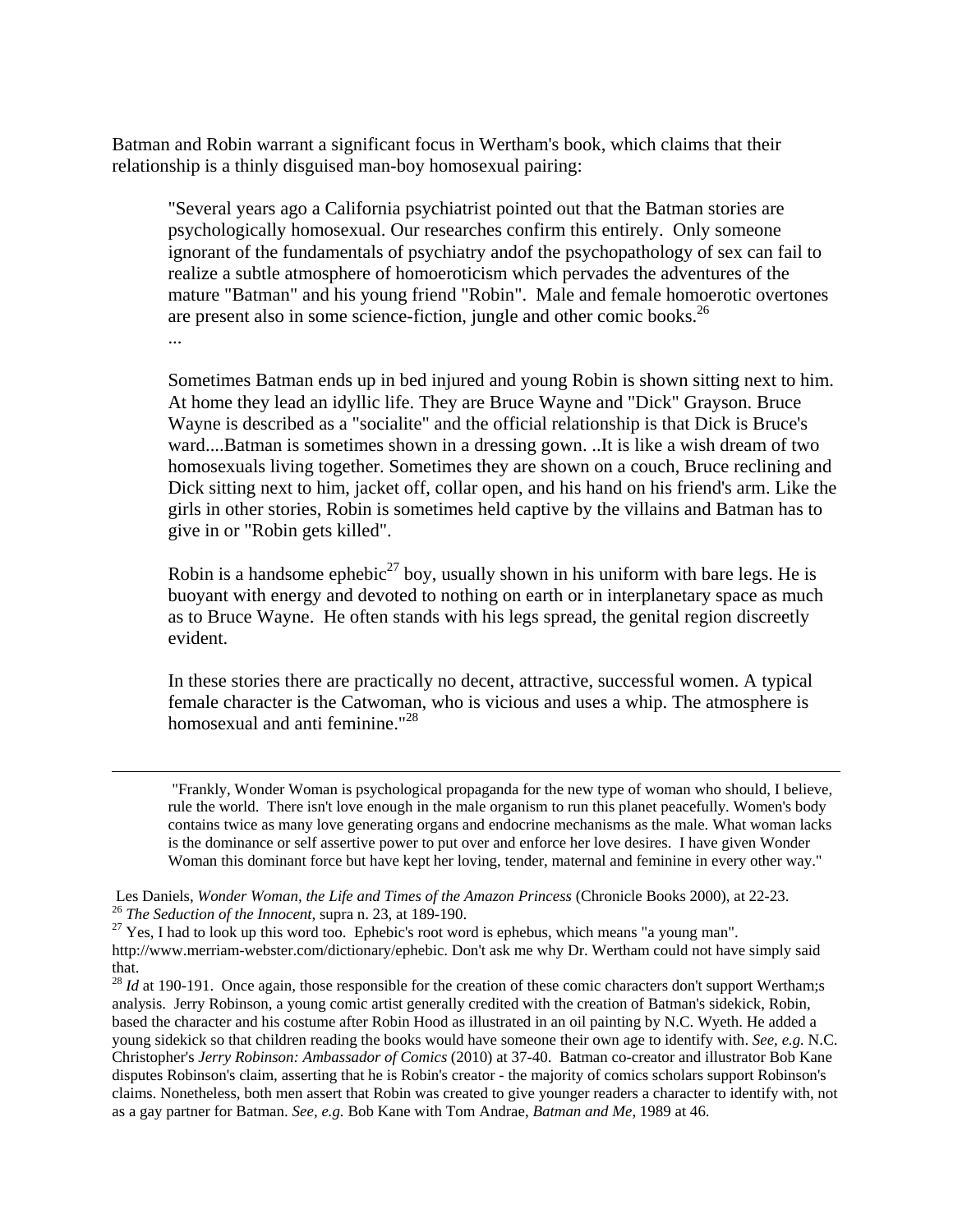Batman and Robin warrant a significant focus in Wertham's book, which claims that their relationship is a thinly disguised man-boy homosexual pairing:

 "Several years ago a California psychiatrist pointed out that the Batman stories are psychologically homosexual. Our researches confirm this entirely. Only someone ignorant of the fundamentals of psychiatry andof the psychopathology of sex can fail to realize a subtle atmosphere of homoeroticism which pervades the adventures of the mature "Batman" and his young friend "Robin". Male and female homoerotic overtones are present also in some science-fiction, jungle and other comic books. $^{26}$ 

...

 Sometimes Batman ends up in bed injured and young Robin is shown sitting next to him. At home they lead an idyllic life. They are Bruce Wayne and "Dick" Grayson. Bruce Wayne is described as a "socialite" and the official relationship is that Dick is Bruce's ward....Batman is sometimes shown in a dressing gown. ..It is like a wish dream of two homosexuals living together. Sometimes they are shown on a couch, Bruce reclining and Dick sitting next to him, jacket off, collar open, and his hand on his friend's arm. Like the girls in other stories, Robin is sometimes held captive by the villains and Batman has to give in or "Robin gets killed".

Robin is a handsome ephebic<sup>27</sup> boy, usually shown in his uniform with bare legs. He is buoyant with energy and devoted to nothing on earth or in interplanetary space as much as to Bruce Wayne. He often stands with his legs spread, the genital region discreetly evident.

 In these stories there are practically no decent, attractive, successful women. A typical female character is the Catwoman, who is vicious and uses a whip. The atmosphere is homosexual and anti feminine."<sup>28</sup>

 "Frankly, Wonder Woman is psychological propaganda for the new type of woman who should, I believe, rule the world. There isn't love enough in the male organism to run this planet peacefully. Women's body contains twice as many love generating organs and endocrine mechanisms as the male. What woman lacks is the dominance or self assertive power to put over and enforce her love desires. I have given Wonder Woman this dominant force but have kept her loving, tender, maternal and feminine in every other way."

http://www.merriam-webster.com/dictionary/ephebic. Don't ask me why Dr. Wertham could not have simply said that.

<sup>28</sup> *Id* at 190-191. Once again, those responsible for the creation of these comic characters don't support Wertham;s analysis. Jerry Robinson, a young comic artist generally credited with the creation of Batman's sidekick, Robin, based the character and his costume after Robin Hood as illustrated in an oil painting by N.C. Wyeth. He added a young sidekick so that children reading the books would have someone their own age to identify with. *See, e.g.* N.C. Christopher's *Jerry Robinson: Ambassador of Comics* (2010) at 37-40. Batman co-creator and illustrator Bob Kane disputes Robinson's claim, asserting that he is Robin's creator - the majority of comics scholars support Robinson's claims. Nonetheless, both men assert that Robin was created to give younger readers a character to identify with, not as a gay partner for Batman. *See, e.g.* Bob Kane with Tom Andrae, *Batman and Me*, 1989 at 46.

Les Daniels, Wonder Woman, the Life and Times of the Amazon Princess (Chronicle Books 2000), at 22-23.<br><sup>26</sup> The Seduction of the Innocent, supra n. 23, at 189-190.<br><sup>27</sup> Yes, I had to look up this word too. Ephebic's root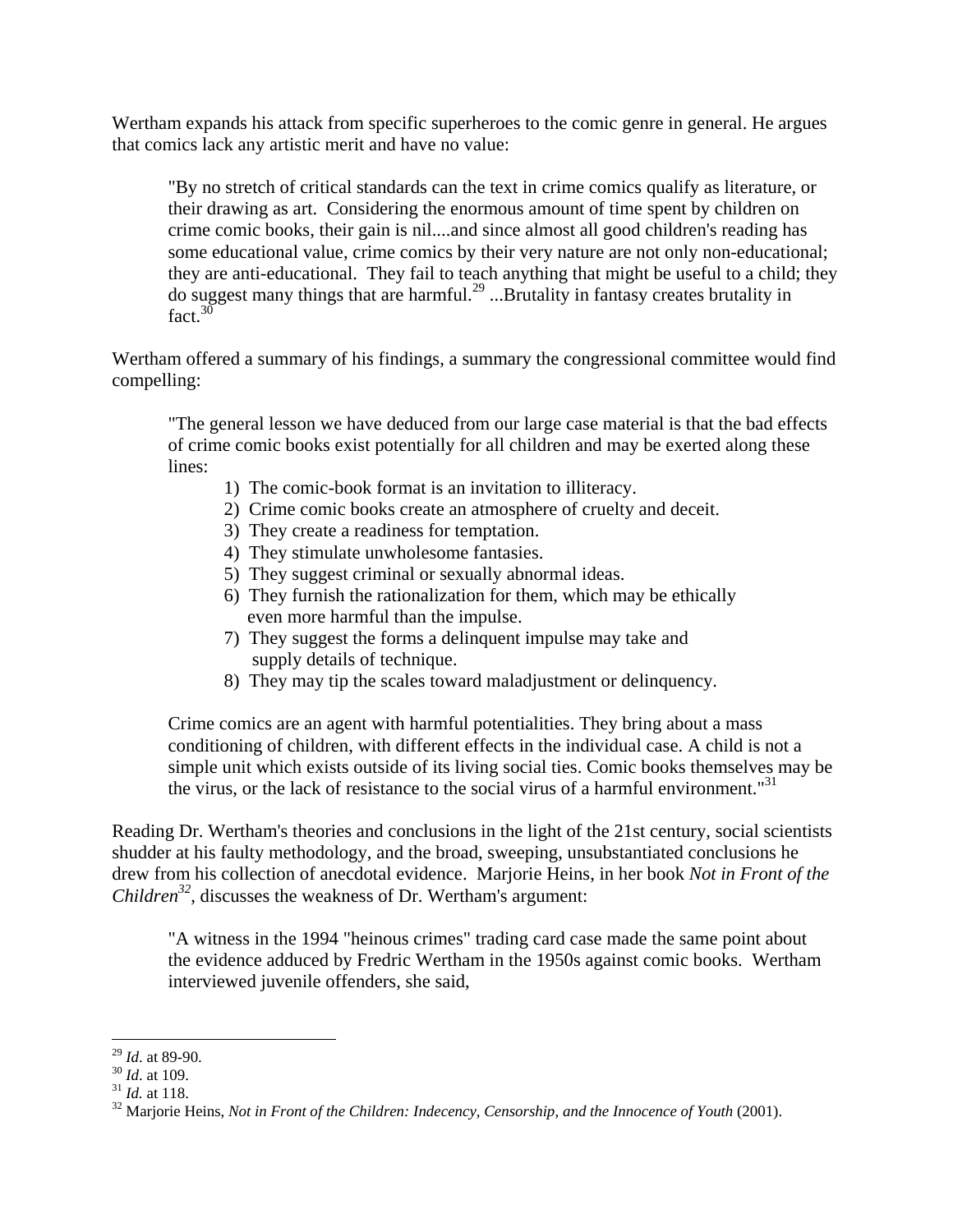Wertham expands his attack from specific superheroes to the comic genre in general. He argues that comics lack any artistic merit and have no value:

 "By no stretch of critical standards can the text in crime comics qualify as literature, or their drawing as art. Considering the enormous amount of time spent by children on crime comic books, their gain is nil....and since almost all good children's reading has some educational value, crime comics by their very nature are not only non-educational; they are anti-educational. They fail to teach anything that might be useful to a child; they do suggest many things that are harmful.<sup>29</sup> ...Brutality in fantasy creates brutality in  $fact<sup>30</sup>$ 

Wertham offered a summary of his findings, a summary the congressional committee would find compelling:

 "The general lesson we have deduced from our large case material is that the bad effects of crime comic books exist potentially for all children and may be exerted along these lines:

- 1) The comic-book format is an invitation to illiteracy.
- 2) Crime comic books create an atmosphere of cruelty and deceit.
- 3) They create a readiness for temptation.
- 4) They stimulate unwholesome fantasies.
- 5) They suggest criminal or sexually abnormal ideas.
- 6) They furnish the rationalization for them, which may be ethically even more harmful than the impulse.
- 7) They suggest the forms a delinquent impulse may take and supply details of technique.
- 8) They may tip the scales toward maladjustment or delinquency.

 Crime comics are an agent with harmful potentialities. They bring about a mass conditioning of children, with different effects in the individual case. A child is not a simple unit which exists outside of its living social ties. Comic books themselves may be the virus, or the lack of resistance to the social virus of a harmful environment."<sup>31</sup>

Reading Dr. Wertham's theories and conclusions in the light of the 21st century, social scientists shudder at his faulty methodology, and the broad, sweeping, unsubstantiated conclusions he drew from his collection of anecdotal evidence. Marjorie Heins, in her book *Not in Front of the Children*<sup>32</sup>, discusses the weakness of Dr. Wertham's argument:

 "A witness in the 1994 "heinous crimes" trading card case made the same point about the evidence adduced by Fredric Wertham in the 1950s against comic books. Wertham interviewed juvenile offenders, she said,

 $^{29}$  *Id.* at 89-90.

*Id.* at 89-90.<br><sup>30</sup> *Id.* at 109.<br><sup>31</sup> *Id.* at 118.<br><sup>32</sup> Marjorie Heins, *Not in Front of the Children: Indecency, Censorship, and the Innocence of Youth* (2001).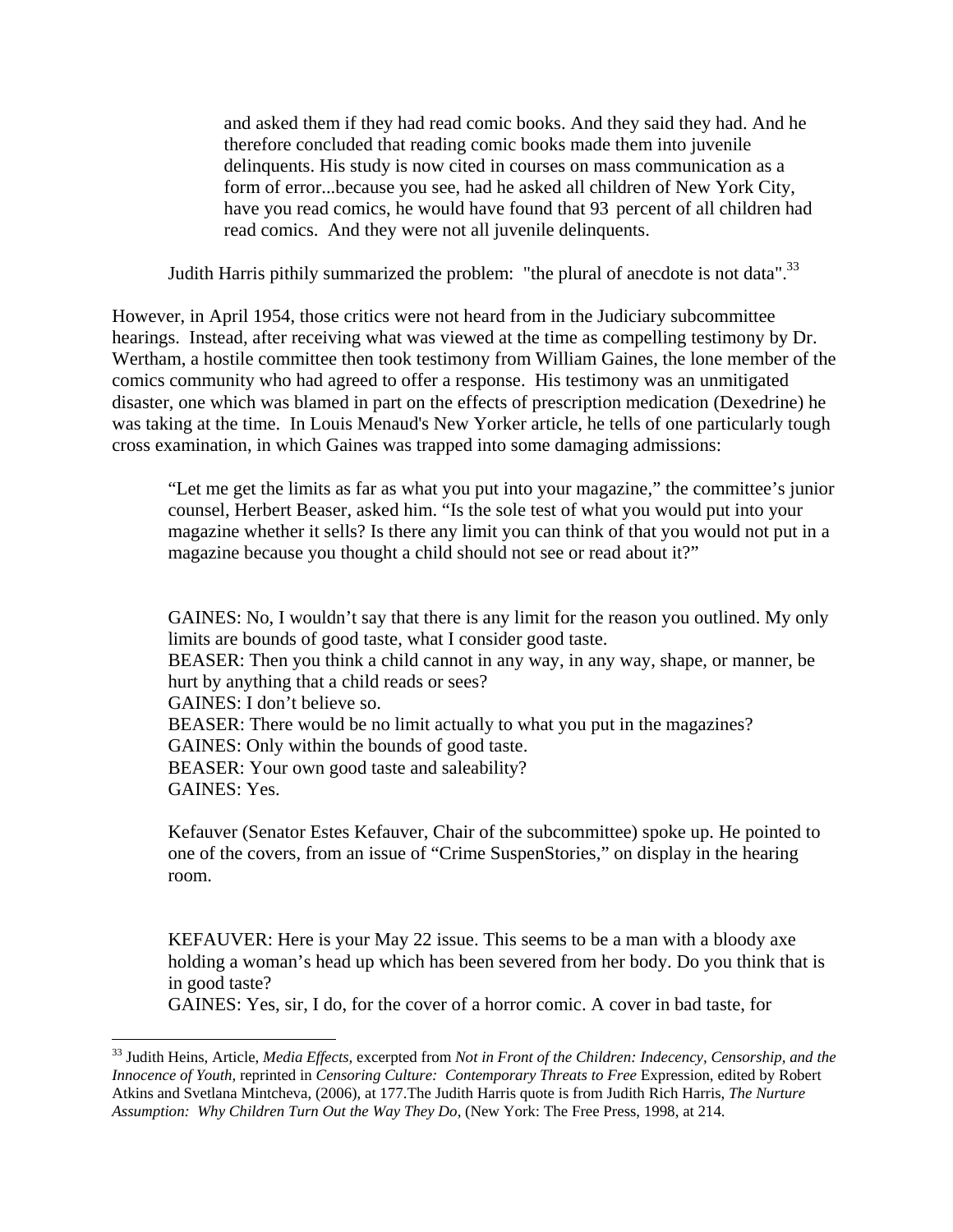and asked them if they had read comic books. And they said they had. And he therefore concluded that reading comic books made them into juvenile delinquents. His study is now cited in courses on mass communication as a form of error...because you see, had he asked all children of New York City, have you read comics, he would have found that 93 percent of all children had read comics. And they were not all juvenile delinquents.

Judith Harris pithily summarized the problem: "the plural of anecdote is not data".<sup>33</sup>

However, in April 1954, those critics were not heard from in the Judiciary subcommittee hearings. Instead, after receiving what was viewed at the time as compelling testimony by Dr. Wertham, a hostile committee then took testimony from William Gaines, the lone member of the comics community who had agreed to offer a response. His testimony was an unmitigated disaster, one which was blamed in part on the effects of prescription medication (Dexedrine) he was taking at the time. In Louis Menaud's New Yorker article, he tells of one particularly tough cross examination, in which Gaines was trapped into some damaging admissions:

 "Let me get the limits as far as what you put into your magazine," the committee's junior counsel, Herbert Beaser, asked him. "Is the sole test of what you would put into your magazine whether it sells? Is there any limit you can think of that you would not put in a magazine because you thought a child should not see or read about it?"

 GAINES: No, I wouldn't say that there is any limit for the reason you outlined. My only limits are bounds of good taste, what I consider good taste. BEASER: Then you think a child cannot in any way, in any way, shape, or manner, be hurt by anything that a child reads or sees? GAINES: I don't believe so. BEASER: There would be no limit actually to what you put in the magazines? GAINES: Only within the bounds of good taste. BEASER: Your own good taste and saleability? GAINES: Yes.

 Kefauver (Senator Estes Kefauver, Chair of the subcommittee) spoke up. He pointed to one of the covers, from an issue of "Crime SuspenStories," on display in the hearing room.

 KEFAUVER: Here is your May 22 issue. This seems to be a man with a bloody axe holding a woman's head up which has been severed from her body. Do you think that is in good taste?

GAINES: Yes, sir, I do, for the cover of a horror comic. A cover in bad taste, for

<sup>33</sup> Judith Heins, Article, *Media Effects,* excerpted from *Not in Front of the Children: Indecency, Censorship, and the Innocence of Youth,* reprinted in *Censoring Culture: Contemporary Threats to Free* Expression, edited by Robert Atkins and Svetlana Mintcheva, (2006), at 177.The Judith Harris quote is from Judith Rich Harris, *The Nurture Assumption: Why Children Turn Out the Way They Do*, (New York: The Free Press, 1998, at 214.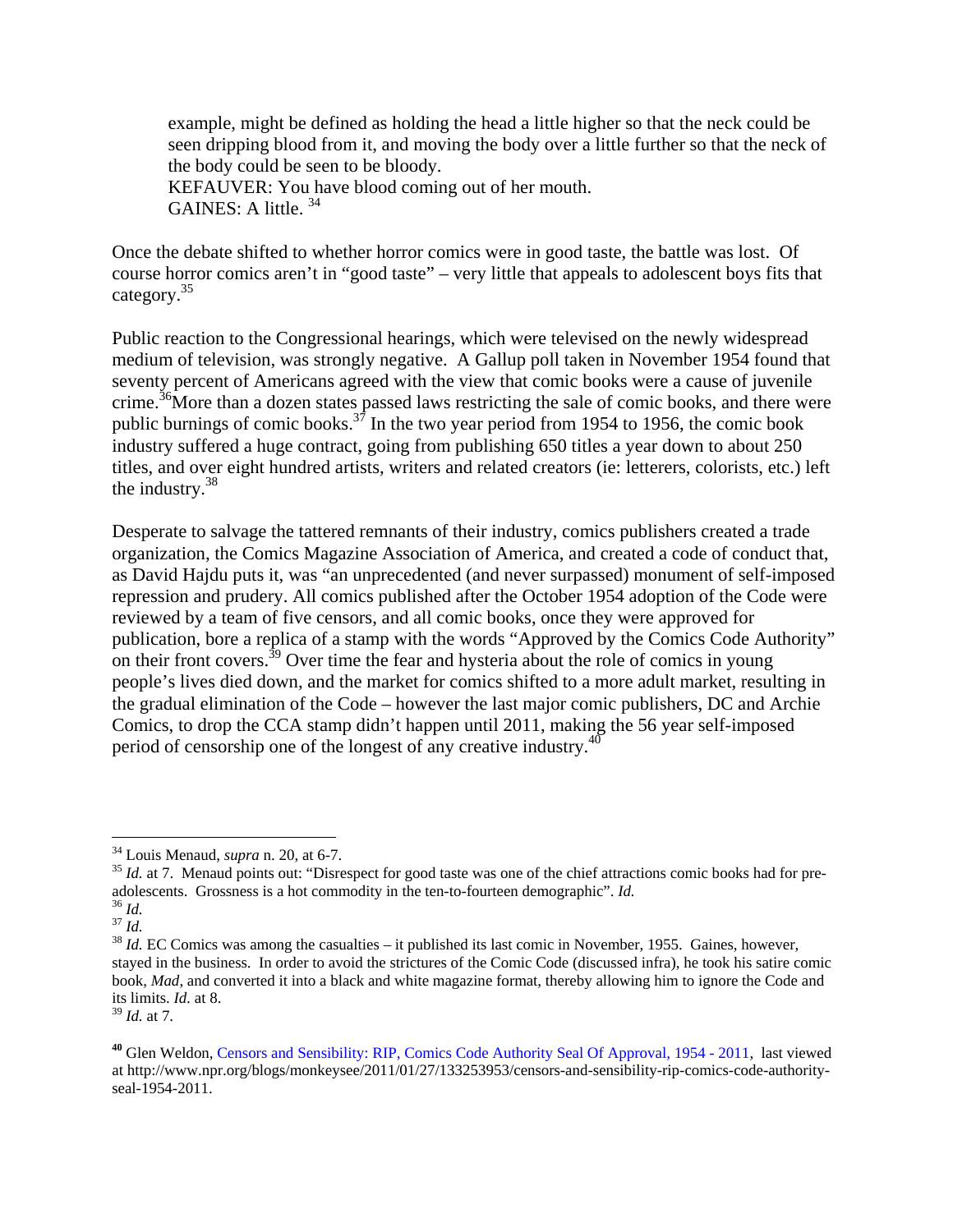example, might be defined as holding the head a little higher so that the neck could be seen dripping blood from it, and moving the body over a little further so that the neck of the body could be seen to be bloody.

 KEFAUVER: You have blood coming out of her mouth. GAINES: A little.<sup>34</sup>

Once the debate shifted to whether horror comics were in good taste, the battle was lost. Of course horror comics aren't in "good taste" – very little that appeals to adolescent boys fits that category.35

Public reaction to the Congressional hearings, which were televised on the newly widespread medium of television, was strongly negative. A Gallup poll taken in November 1954 found that seventy percent of Americans agreed with the view that comic books were a cause of juvenile crime.36More than a dozen states passed laws restricting the sale of comic books, and there were public burnings of comic books.<sup>37</sup> In the two year period from 1954 to 1956, the comic book industry suffered a huge contract, going from publishing 650 titles a year down to about 250 titles, and over eight hundred artists, writers and related creators (ie: letterers, colorists, etc.) left the industry.38

Desperate to salvage the tattered remnants of their industry, comics publishers created a trade organization, the Comics Magazine Association of America, and created a code of conduct that, as David Hajdu puts it, was "an unprecedented (and never surpassed) monument of self-imposed repression and prudery. All comics published after the October 1954 adoption of the Code were reviewed by a team of five censors, and all comic books, once they were approved for publication, bore a replica of a stamp with the words "Approved by the Comics Code Authority" on their front covers.<sup>39</sup> Over time the fear and hysteria about the role of comics in young people's lives died down, and the market for comics shifted to a more adult market, resulting in the gradual elimination of the Code – however the last major comic publishers, DC and Archie Comics, to drop the CCA stamp didn't happen until 2011, making the 56 year self-imposed period of censorship one of the longest of any creative industry.<sup>40</sup>

<sup>&</sup>lt;sup>34</sup> Louis Menaud, *supra* n. 20, at 6-7.<br><sup>35</sup> *Id.* at 7. Menaud points out: "Disrespect for good taste was one of the chief attractions comic books had for pre-<br>adolescents. Grossness is a hot commodity in the ten-to-fou

<sup>&</sup>lt;sup>36</sup> *Id.*<br><sup>37</sup> *Id.*<br><sup>38</sup> *Id.* EC Comics was among the casualties – it published its last comic in November, 1955. Gaines, however, <sup>38</sup> *Id.* EC Comics was among the casualties – it published its last comic in November stayed in the business. In order to avoid the strictures of the Comic Code (discussed infra), he took his satire comic book, *Mad*, and converted it into a black and white magazine format, thereby allowing him to ignore the Code and its limits. *Id.* at 8.

<sup>39</sup> *Id.* at 7.

**<sup>40</sup>** Glen Weldon, Censors and Sensibility: RIP, Comics Code Authority Seal Of Approval, 1954 - 2011, last viewed at http://www.npr.org/blogs/monkeysee/2011/01/27/133253953/censors-and-sensibility-rip-comics-code-authorityseal-1954-2011.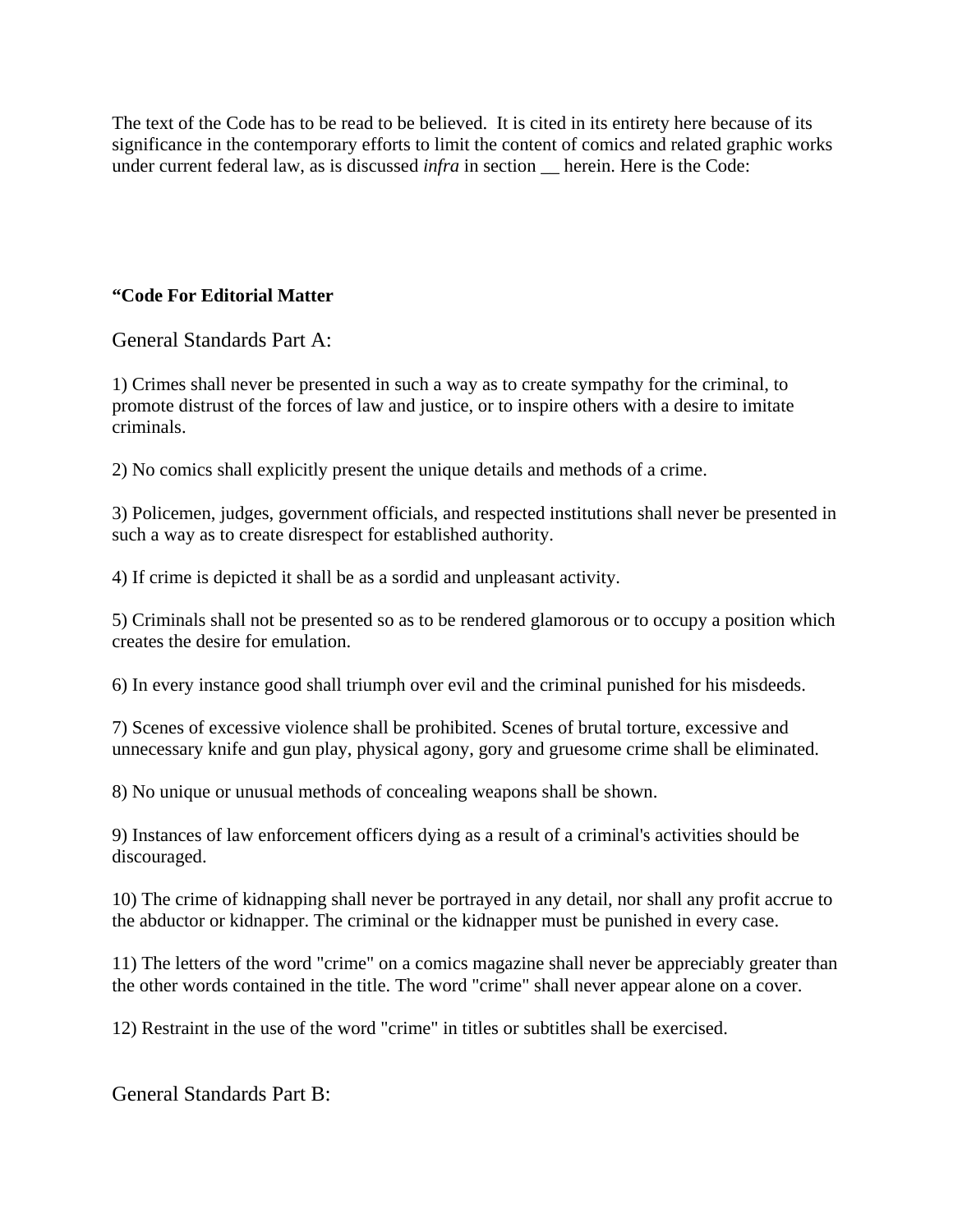The text of the Code has to be read to be believed. It is cited in its entirety here because of its significance in the contemporary efforts to limit the content of comics and related graphic works under current federal law, as is discussed *infra* in section <u>enerin</u>. Here is the Code:

## **"Code For Editorial Matter**

## General Standards Part A:

1) Crimes shall never be presented in such a way as to create sympathy for the criminal, to promote distrust of the forces of law and justice, or to inspire others with a desire to imitate criminals.

2) No comics shall explicitly present the unique details and methods of a crime.

3) Policemen, judges, government officials, and respected institutions shall never be presented in such a way as to create disrespect for established authority.

4) If crime is depicted it shall be as a sordid and unpleasant activity.

5) Criminals shall not be presented so as to be rendered glamorous or to occupy a position which creates the desire for emulation.

6) In every instance good shall triumph over evil and the criminal punished for his misdeeds.

7) Scenes of excessive violence shall be prohibited. Scenes of brutal torture, excessive and unnecessary knife and gun play, physical agony, gory and gruesome crime shall be eliminated.

8) No unique or unusual methods of concealing weapons shall be shown.

9) Instances of law enforcement officers dying as a result of a criminal's activities should be discouraged.

10) The crime of kidnapping shall never be portrayed in any detail, nor shall any profit accrue to the abductor or kidnapper. The criminal or the kidnapper must be punished in every case.

11) The letters of the word "crime" on a comics magazine shall never be appreciably greater than the other words contained in the title. The word "crime" shall never appear alone on a cover.

12) Restraint in the use of the word "crime" in titles or subtitles shall be exercised.

General Standards Part B: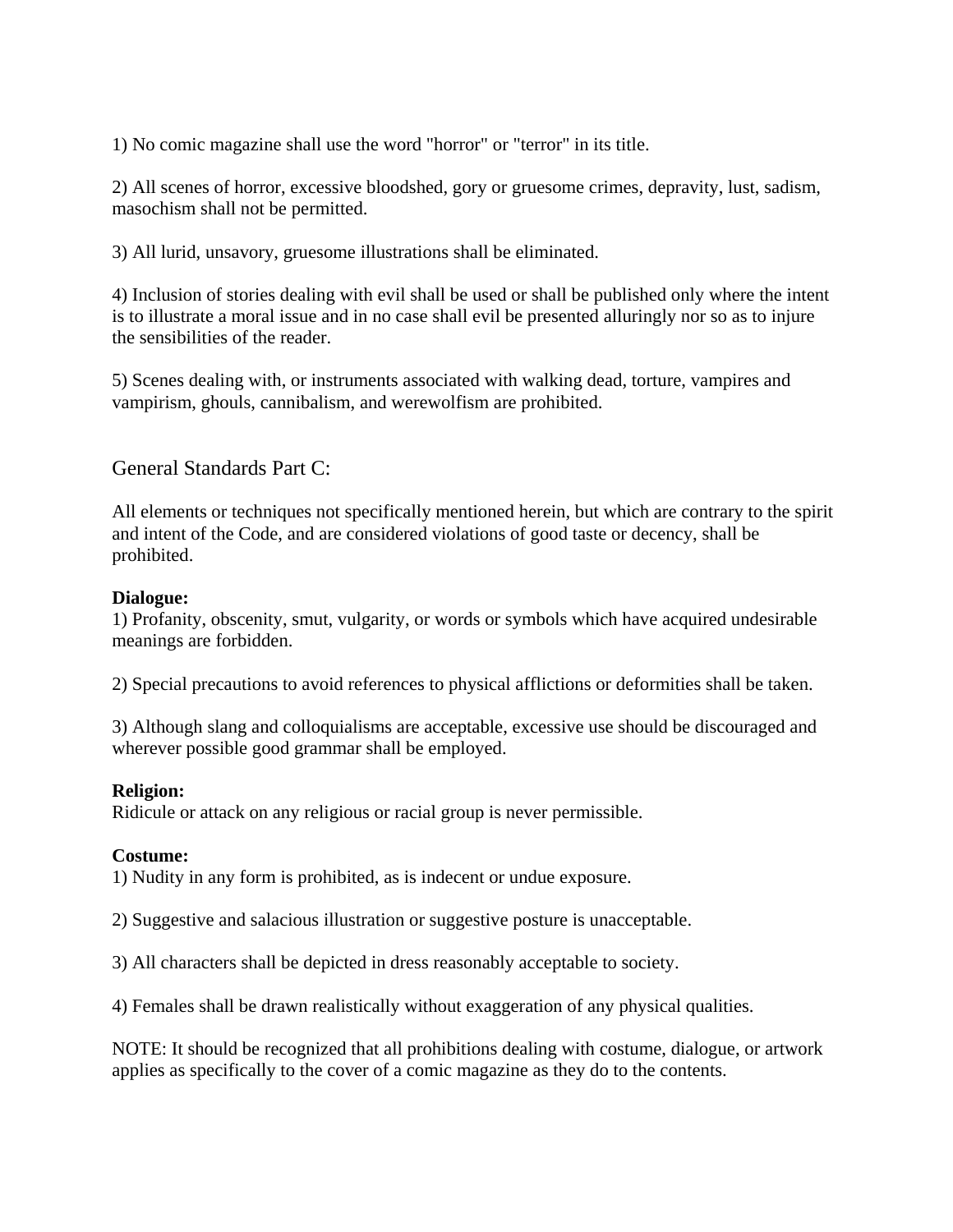1) No comic magazine shall use the word "horror" or "terror" in its title.

2) All scenes of horror, excessive bloodshed, gory or gruesome crimes, depravity, lust, sadism, masochism shall not be permitted.

3) All lurid, unsavory, gruesome illustrations shall be eliminated.

4) Inclusion of stories dealing with evil shall be used or shall be published only where the intent is to illustrate a moral issue and in no case shall evil be presented alluringly nor so as to injure the sensibilities of the reader.

5) Scenes dealing with, or instruments associated with walking dead, torture, vampires and vampirism, ghouls, cannibalism, and werewolfism are prohibited.

General Standards Part C:

All elements or techniques not specifically mentioned herein, but which are contrary to the spirit and intent of the Code, and are considered violations of good taste or decency, shall be prohibited.

### **Dialogue:**

1) Profanity, obscenity, smut, vulgarity, or words or symbols which have acquired undesirable meanings are forbidden.

2) Special precautions to avoid references to physical afflictions or deformities shall be taken.

3) Although slang and colloquialisms are acceptable, excessive use should be discouraged and wherever possible good grammar shall be employed.

#### **Religion:**

Ridicule or attack on any religious or racial group is never permissible.

#### **Costume:**

1) Nudity in any form is prohibited, as is indecent or undue exposure.

2) Suggestive and salacious illustration or suggestive posture is unacceptable.

3) All characters shall be depicted in dress reasonably acceptable to society.

4) Females shall be drawn realistically without exaggeration of any physical qualities.

NOTE: It should be recognized that all prohibitions dealing with costume, dialogue, or artwork applies as specifically to the cover of a comic magazine as they do to the contents.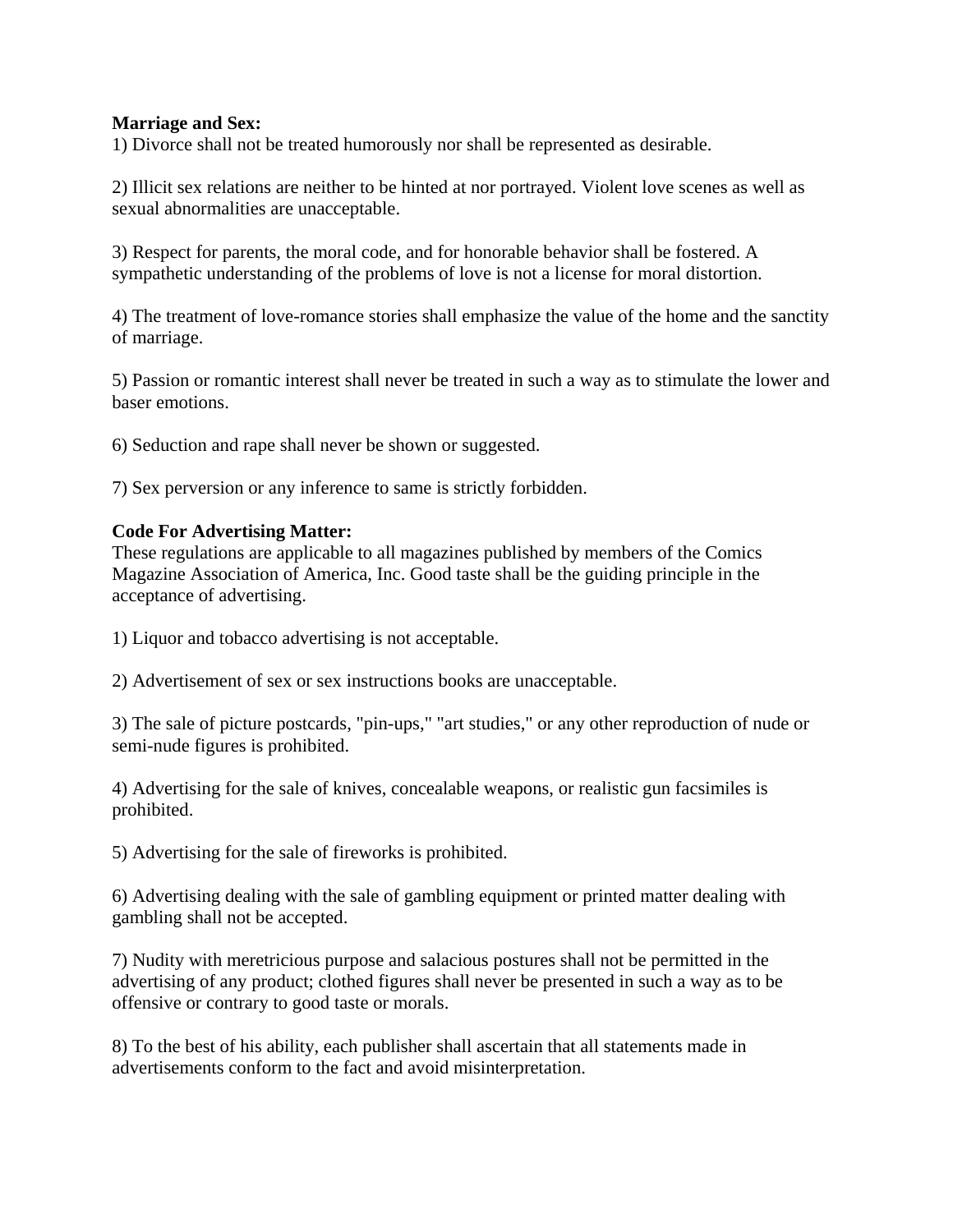### **Marriage and Sex:**

1) Divorce shall not be treated humorously nor shall be represented as desirable.

2) Illicit sex relations are neither to be hinted at nor portrayed. Violent love scenes as well as sexual abnormalities are unacceptable.

3) Respect for parents, the moral code, and for honorable behavior shall be fostered. A sympathetic understanding of the problems of love is not a license for moral distortion.

4) The treatment of love-romance stories shall emphasize the value of the home and the sanctity of marriage.

5) Passion or romantic interest shall never be treated in such a way as to stimulate the lower and baser emotions.

6) Seduction and rape shall never be shown or suggested.

7) Sex perversion or any inference to same is strictly forbidden.

#### **Code For Advertising Matter:**

These regulations are applicable to all magazines published by members of the Comics Magazine Association of America, Inc. Good taste shall be the guiding principle in the acceptance of advertising.

1) Liquor and tobacco advertising is not acceptable.

2) Advertisement of sex or sex instructions books are unacceptable.

3) The sale of picture postcards, "pin-ups," "art studies," or any other reproduction of nude or semi-nude figures is prohibited.

4) Advertising for the sale of knives, concealable weapons, or realistic gun facsimiles is prohibited.

5) Advertising for the sale of fireworks is prohibited.

6) Advertising dealing with the sale of gambling equipment or printed matter dealing with gambling shall not be accepted.

7) Nudity with meretricious purpose and salacious postures shall not be permitted in the advertising of any product; clothed figures shall never be presented in such a way as to be offensive or contrary to good taste or morals.

8) To the best of his ability, each publisher shall ascertain that all statements made in advertisements conform to the fact and avoid misinterpretation.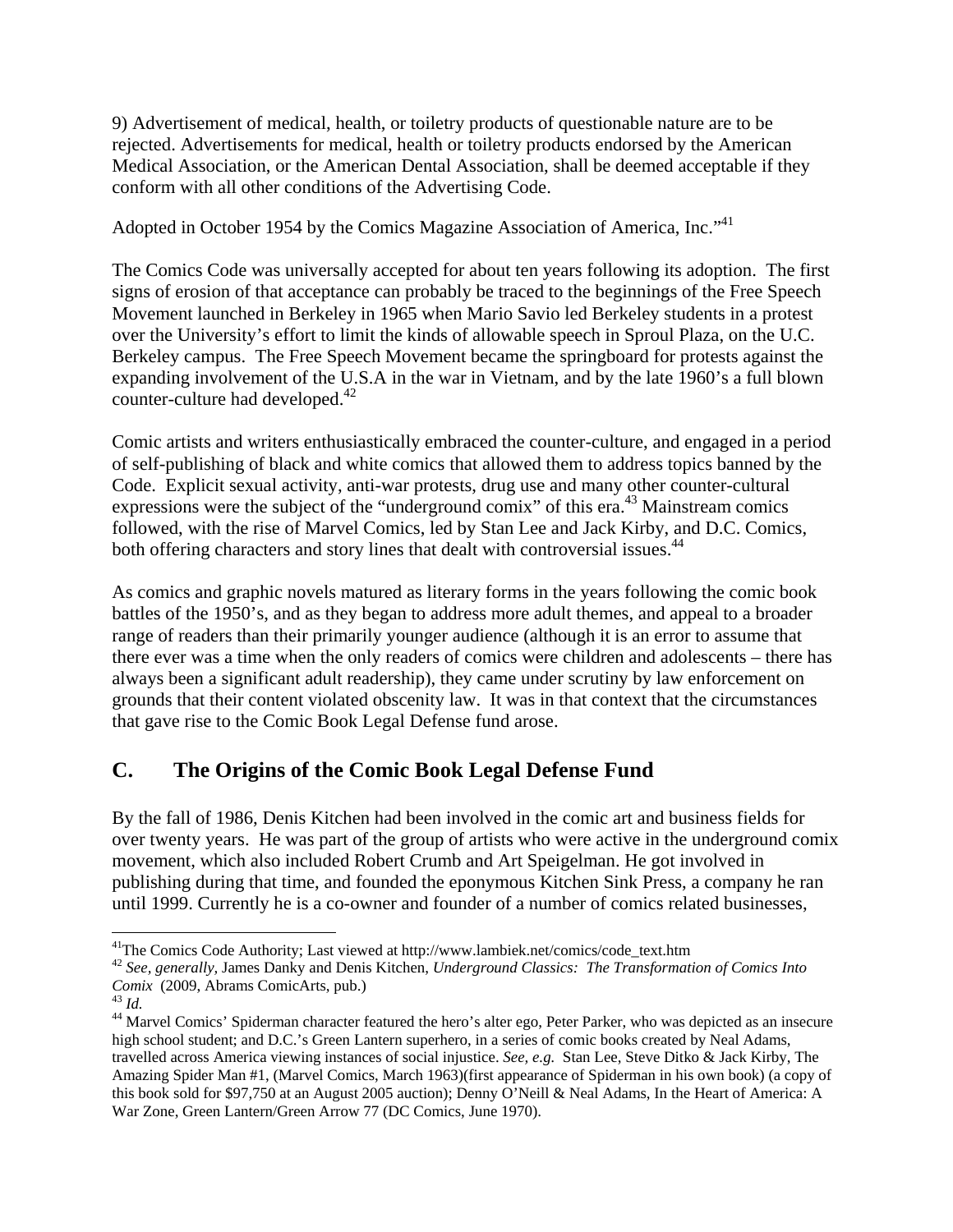9) Advertisement of medical, health, or toiletry products of questionable nature are to be rejected. Advertisements for medical, health or toiletry products endorsed by the American Medical Association, or the American Dental Association, shall be deemed acceptable if they conform with all other conditions of the Advertising Code.

Adopted in October 1954 by the Comics Magazine Association of America, Inc."<sup>41</sup>

The Comics Code was universally accepted for about ten years following its adoption. The first signs of erosion of that acceptance can probably be traced to the beginnings of the Free Speech Movement launched in Berkeley in 1965 when Mario Savio led Berkeley students in a protest over the University's effort to limit the kinds of allowable speech in Sproul Plaza, on the U.C. Berkeley campus. The Free Speech Movement became the springboard for protests against the expanding involvement of the U.S.A in the war in Vietnam, and by the late 1960's a full blown counter-culture had developed.<sup>42</sup>

Comic artists and writers enthusiastically embraced the counter-culture, and engaged in a period of self-publishing of black and white comics that allowed them to address topics banned by the Code. Explicit sexual activity, anti-war protests, drug use and many other counter-cultural expressions were the subject of the "underground comix" of this  $era^{43}$  Mainstream comics followed, with the rise of Marvel Comics, led by Stan Lee and Jack Kirby, and D.C. Comics, both offering characters and story lines that dealt with controversial issues.<sup>44</sup>

As comics and graphic novels matured as literary forms in the years following the comic book battles of the 1950's, and as they began to address more adult themes, and appeal to a broader range of readers than their primarily younger audience (although it is an error to assume that there ever was a time when the only readers of comics were children and adolescents – there has always been a significant adult readership), they came under scrutiny by law enforcement on grounds that their content violated obscenity law. It was in that context that the circumstances that gave rise to the Comic Book Legal Defense fund arose.

# **C. The Origins of the Comic Book Legal Defense Fund**

By the fall of 1986, Denis Kitchen had been involved in the comic art and business fields for over twenty years. He was part of the group of artists who were active in the underground comix movement, which also included Robert Crumb and Art Speigelman. He got involved in publishing during that time, and founded the eponymous Kitchen Sink Press, a company he ran until 1999. Currently he is a co-owner and founder of a number of comics related businesses,

 $\overline{a}$ 

<sup>&</sup>lt;sup>41</sup>The Comics Code Authority; Last viewed at http://www.lambiek.net/comics/code\_text.htm <sup>42</sup> *See, generally, James Danky and Denis Kitchen, <i>Underground Classics: The Transformation of Comics Into Comix* (2009, Abrams C

<sup>&</sup>lt;sup>43</sup> *Id.* 44 *Id.* 44 *Id.* 44 *Id.* 6 *Abrams Comicarts* in the *Abrams Compared the hero's alter ego, Peter Parker, who was depicted as an insecure* high school student; and D.C.'s Green Lantern superhero, in a series of comic books created by Neal Adams, travelled across America viewing instances of social injustice. *See, e.g.* Stan Lee, Steve Ditko & Jack Kirby, The Amazing Spider Man #1, (Marvel Comics, March 1963)(first appearance of Spiderman in his own book) (a copy of this book sold for \$97,750 at an August 2005 auction); Denny O'Neill & Neal Adams, In the Heart of America: A War Zone, Green Lantern/Green Arrow 77 (DC Comics, June 1970).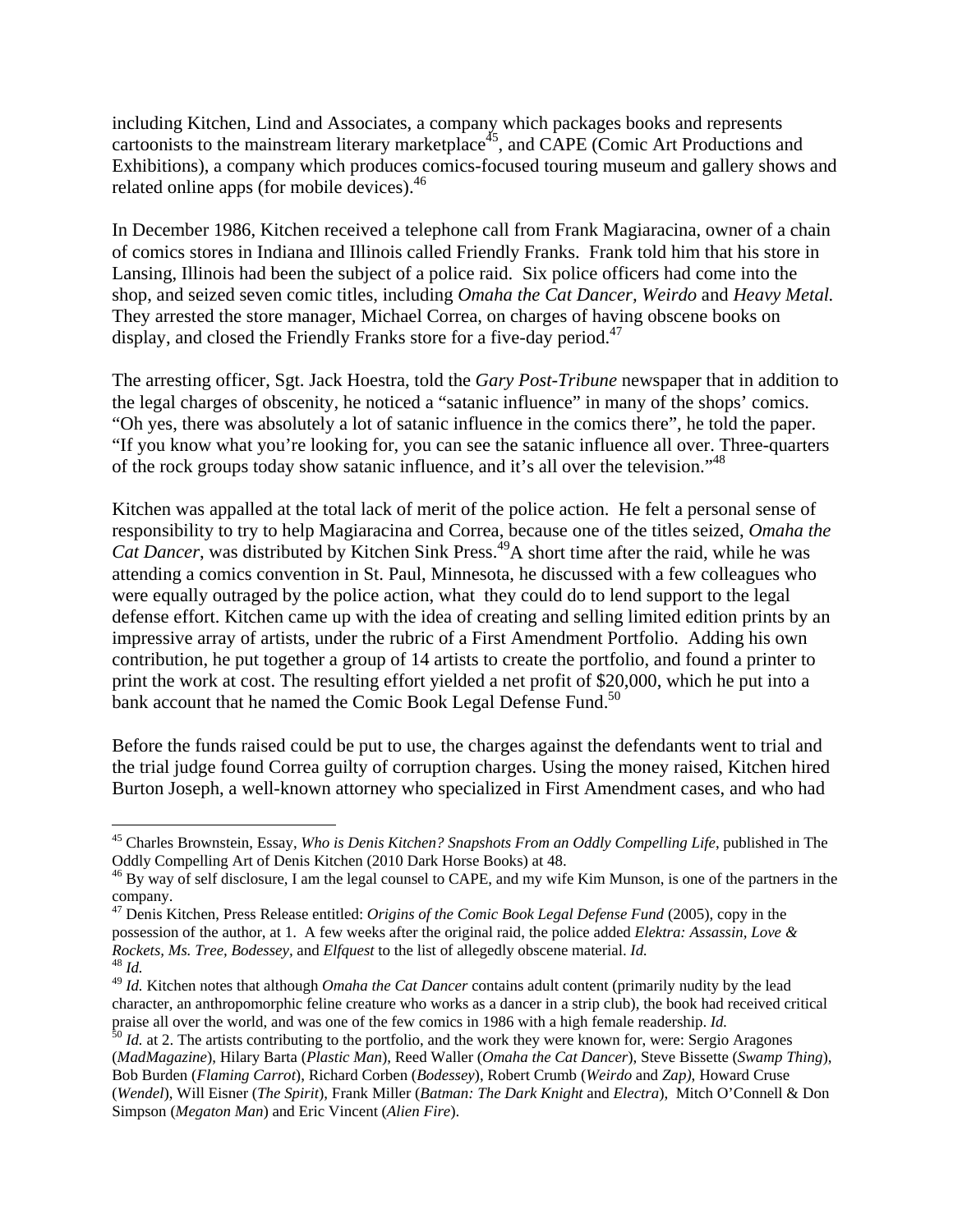including Kitchen, Lind and Associates, a company which packages books and represents cartoonists to the mainstream literary marketplace<sup>45</sup>, and CAPE (Comic Art Productions and Exhibitions), a company which produces comics-focused touring museum and gallery shows and related online apps (for mobile devices).<sup>46</sup>

In December 1986, Kitchen received a telephone call from Frank Magiaracina, owner of a chain of comics stores in Indiana and Illinois called Friendly Franks. Frank told him that his store in Lansing, Illinois had been the subject of a police raid. Six police officers had come into the shop, and seized seven comic titles, including *Omaha the Cat Dancer, Weirdo* and *Heavy Metal.* They arrested the store manager, Michael Correa, on charges of having obscene books on display, and closed the Friendly Franks store for a five-day period.<sup>47</sup>

The arresting officer, Sgt. Jack Hoestra, told the *Gary Post-Tribune* newspaper that in addition to the legal charges of obscenity, he noticed a "satanic influence" in many of the shops' comics. "Oh yes, there was absolutely a lot of satanic influence in the comics there", he told the paper. "If you know what you're looking for, you can see the satanic influence all over. Three-quarters of the rock groups today show satanic influence, and it's all over the television."48

Kitchen was appalled at the total lack of merit of the police action. He felt a personal sense of responsibility to try to help Magiaracina and Correa, because one of the titles seized, *Omaha the Cat Dancer*, was distributed by Kitchen Sink Press.<sup>49</sup>A short time after the raid, while he was attending a comics convention in St. Paul, Minnesota, he discussed with a few colleagues who were equally outraged by the police action, what they could do to lend support to the legal defense effort. Kitchen came up with the idea of creating and selling limited edition prints by an impressive array of artists, under the rubric of a First Amendment Portfolio. Adding his own contribution, he put together a group of 14 artists to create the portfolio, and found a printer to print the work at cost. The resulting effort yielded a net profit of \$20,000, which he put into a bank account that he named the Comic Book Legal Defense Fund.<sup>50</sup>

Before the funds raised could be put to use, the charges against the defendants went to trial and the trial judge found Correa guilty of corruption charges. Using the money raised, Kitchen hired Burton Joseph, a well-known attorney who specialized in First Amendment cases, and who had

1

<sup>45</sup> Charles Brownstein, Essay, *Who is Denis Kitchen? Snapshots From an Oddly Compelling Life*, published in The Oddly Compelling Art of Denis Kitchen (2010 Dark Horse Books) at 48.

<sup>&</sup>lt;sup>46</sup> By way of self disclosure, I am the legal counsel to CAPE, and my wife Kim Munson, is one of the partners in the company.

<sup>47</sup> Denis Kitchen, Press Release entitled: *Origins of the Comic Book Legal Defense Fund* (2005), copy in the possession of the author, at 1. A few weeks after the original raid, the police added *Elektra: Assassin, Love & Rockets, Ms. Tree, Bodessey,* and *Elfquest* to the list of allegedly obscene material. *Id.* <sup>48</sup> *Id.* 

<sup>49</sup> *Id.* Kitchen notes that although *Omaha the Cat Dancer* contains adult content (primarily nudity by the lead character, an anthropomorphic feline creature who works as a dancer in a strip club), the book had received critical praise all over the world, and was one of the few comics in 1986 with a high female readership. *Id.*  $^{50}$  *Id.* at 2. The artists contributing to the portfolio, and the work they were known for, were: Sergio Aragones

<sup>(</sup>*MadMagazine*), Hilary Barta (*Plastic Man*), Reed Waller (*Omaha the Cat Dancer*), Steve Bissette (*Swamp Thing*), Bob Burden (*Flaming Carrot*), Richard Corben (*Bodessey*), Robert Crumb (*Weirdo* and *Zap)*, Howard Cruse (*Wendel*), Will Eisner (*The Spirit*), Frank Miller (*Batman: The Dark Knight* and *Electra*), Mitch O'Connell & Don Simpson (*Megaton Man*) and Eric Vincent (*Alien Fire*).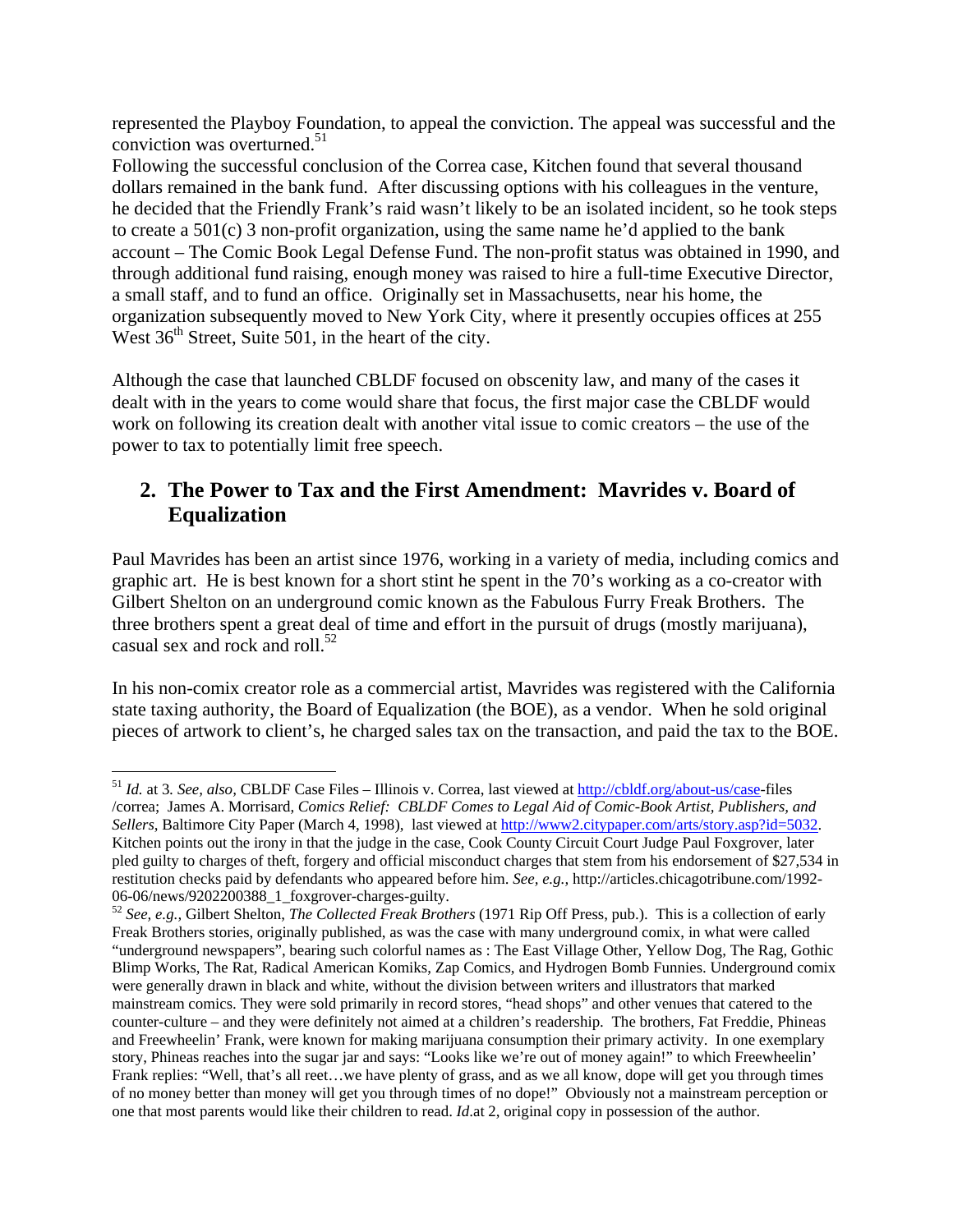represented the Playboy Foundation, to appeal the conviction. The appeal was successful and the conviction was overturned. $51$ 

Following the successful conclusion of the Correa case, Kitchen found that several thousand dollars remained in the bank fund. After discussing options with his colleagues in the venture, he decided that the Friendly Frank's raid wasn't likely to be an isolated incident, so he took steps to create a 501(c) 3 non-profit organization, using the same name he'd applied to the bank account – The Comic Book Legal Defense Fund. The non-profit status was obtained in 1990, and through additional fund raising, enough money was raised to hire a full-time Executive Director, a small staff, and to fund an office. Originally set in Massachusetts, near his home, the organization subsequently moved to New York City, where it presently occupies offices at 255 West  $36<sup>th</sup>$  Street, Suite  $501$ , in the heart of the city.

Although the case that launched CBLDF focused on obscenity law, and many of the cases it dealt with in the years to come would share that focus, the first major case the CBLDF would work on following its creation dealt with another vital issue to comic creators – the use of the power to tax to potentially limit free speech.

# **2. The Power to Tax and the First Amendment: Mavrides v. Board of Equalization**

Paul Mavrides has been an artist since 1976, working in a variety of media, including comics and graphic art. He is best known for a short stint he spent in the 70's working as a co-creator with Gilbert Shelton on an underground comic known as the Fabulous Furry Freak Brothers. The three brothers spent a great deal of time and effort in the pursuit of drugs (mostly marijuana), casual sex and rock and roll.<sup>52</sup>

In his non-comix creator role as a commercial artist, Mavrides was registered with the California state taxing authority, the Board of Equalization (the BOE), as a vendor. When he sold original pieces of artwork to client's, he charged sales tax on the transaction, and paid the tax to the BOE.

<sup>51</sup> *Id.* at 3*. See, also,* CBLDF Case Files – Illinois v. Correa, last viewed at http://cbldf.org/about-us/case-files /correa; James A. Morrisard, *Comics Relief: CBLDF Comes to Legal Aid of Comic-Book Artist, Publishers, and Sellers*, Baltimore City Paper (March 4, 1998), last viewed at http://www2.citypaper.com/arts/story.asp?id=5032. Kitchen points out the irony in that the judge in the case, Cook County Circuit Court Judge Paul Foxgrover, later pled guilty to charges of theft, forgery and official misconduct charges that stem from his endorsement of \$27,534 in restitution checks paid by defendants who appeared before him. *See, e.g.,* http://articles.chicagotribune.com/1992- 06-06/news/9202200388\_1\_foxgrover-charges-guilty.

<sup>52</sup> *See, e.g.,* Gilbert Shelton, *The Collected Freak Brothers* (1971 Rip Off Press, pub.). This is a collection of early Freak Brothers stories, originally published, as was the case with many underground comix, in what were called "underground newspapers", bearing such colorful names as : The East Village Other, Yellow Dog, The Rag, Gothic Blimp Works, The Rat, Radical American Komiks, Zap Comics, and Hydrogen Bomb Funnies. Underground comix were generally drawn in black and white, without the division between writers and illustrators that marked mainstream comics. They were sold primarily in record stores, "head shops" and other venues that catered to the counter-culture – and they were definitely not aimed at a children's readership. The brothers, Fat Freddie, Phineas and Freewheelin' Frank, were known for making marijuana consumption their primary activity. In one exemplary story, Phineas reaches into the sugar jar and says: "Looks like we're out of money again!" to which Freewheelin' Frank replies: "Well, that's all reet…we have plenty of grass, and as we all know, dope will get you through times of no money better than money will get you through times of no dope!" Obviously not a mainstream perception or one that most parents would like their children to read. *Id*.at 2, original copy in possession of the author.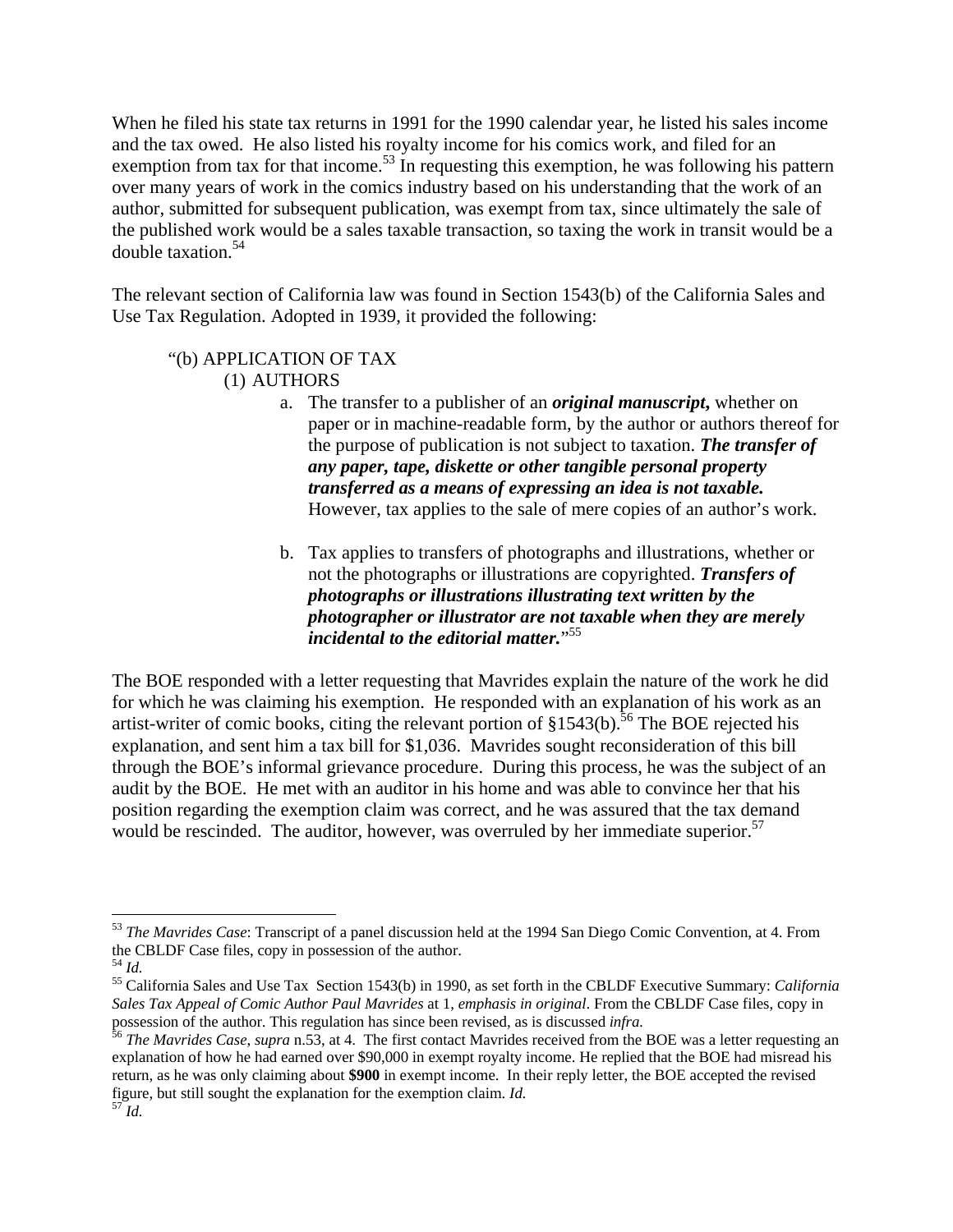When he filed his state tax returns in 1991 for the 1990 calendar year, he listed his sales income and the tax owed. He also listed his royalty income for his comics work, and filed for an exemption from tax for that income.<sup>53</sup> In requesting this exemption, he was following his pattern over many years of work in the comics industry based on his understanding that the work of an author, submitted for subsequent publication, was exempt from tax, since ultimately the sale of the published work would be a sales taxable transaction, so taxing the work in transit would be a double taxation.54

The relevant section of California law was found in Section 1543(b) of the California Sales and Use Tax Regulation. Adopted in 1939, it provided the following:

#### "(b) APPLICATION OF TAX

(1) AUTHORS

- a. The transfer to a publisher of an *original manuscript***,** whether on paper or in machine-readable form, by the author or authors thereof for the purpose of publication is not subject to taxation. *The transfer of any paper, tape, diskette or other tangible personal property transferred as a means of expressing an idea is not taxable.* However, tax applies to the sale of mere copies of an author's work.
- b. Tax applies to transfers of photographs and illustrations, whether or not the photographs or illustrations are copyrighted. *Transfers of photographs or illustrations illustrating text written by the photographer or illustrator are not taxable when they are merely incidental to the editorial matter.*" 55

The BOE responded with a letter requesting that Mavrides explain the nature of the work he did for which he was claiming his exemption. He responded with an explanation of his work as an artist-writer of comic books, citing the relevant portion of  $$1543(b).$ <sup>56</sup> The BOE rejected his explanation, and sent him a tax bill for \$1,036. Mavrides sought reconsideration of this bill through the BOE's informal grievance procedure. During this process, he was the subject of an audit by the BOE. He met with an auditor in his home and was able to convince her that his position regarding the exemption claim was correct, and he was assured that the tax demand would be rescinded. The auditor, however, was overruled by her immediate superior.<sup>57</sup>

<sup>53</sup> *The Mavrides Case*: Transcript of a panel discussion held at the 1994 San Diego Comic Convention, at 4. From the CBLDF Case files, copy in possession of the author.  $^{54}$   $I\!A$ 

<sup>54</sup> *Id.* 55 California Sales and Use Tax Section 1543(b) in 1990, as set forth in the CBLDF Executive Summary: *California Sales Tax Appeal of Comic Author Paul Mavrides* at 1, *emphasis in original*. From the CBLDF Case files, copy in possession of the author. This regulation has since been revised, as is discussed *infra*.<br><sup>56</sup> The Mavrides Case, supra n.53, at 4. The first contact Mavrides received from the BOE was a letter requesting an

explanation of how he had earned over \$90,000 in exempt royalty income. He replied that the BOE had misread his return, as he was only claiming about **\$900** in exempt income. In their reply letter, the BOE accepted the revised figure, but still sought the explanation for the exemption claim. *Id.* <sup>57</sup> *Id.*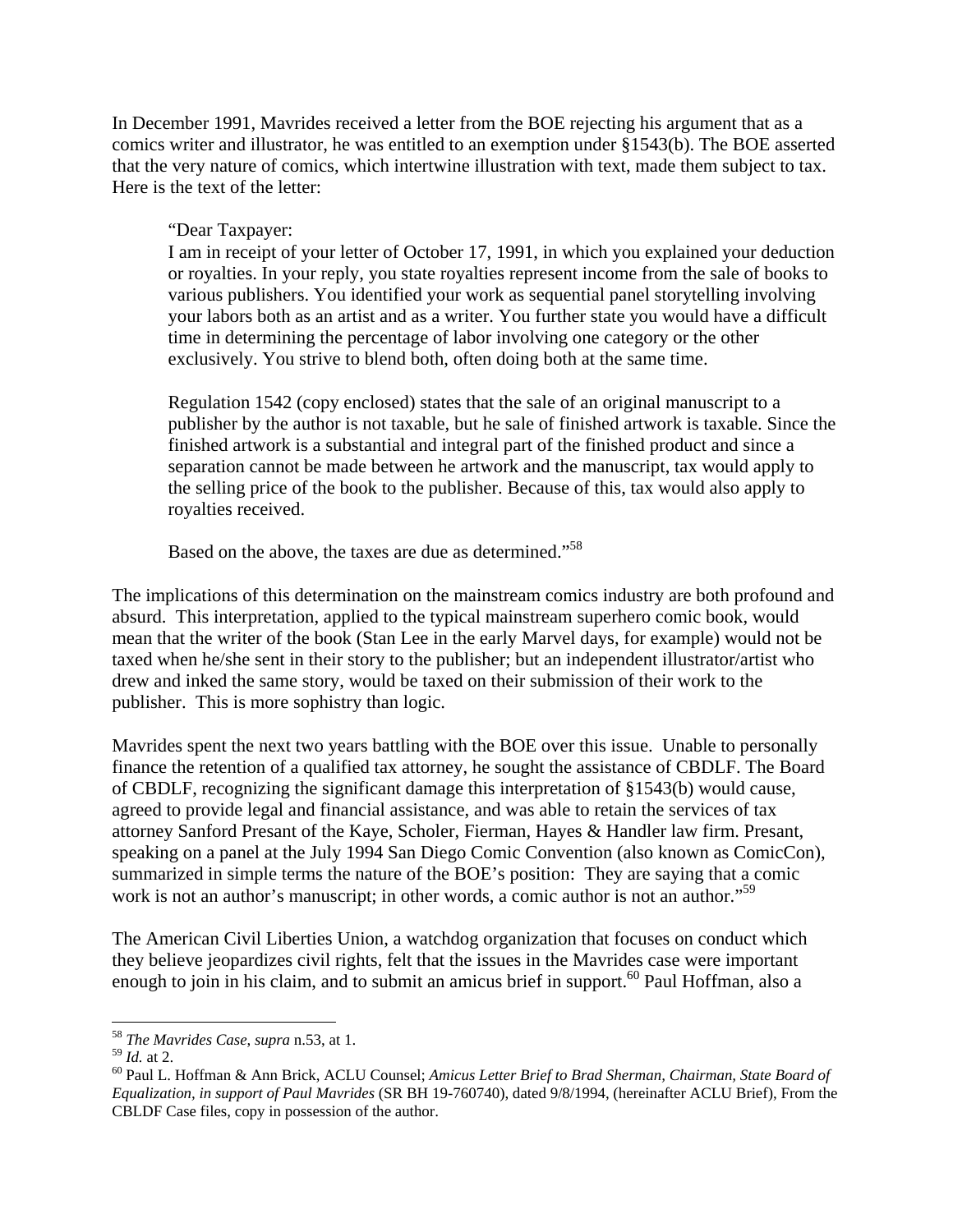In December 1991, Mavrides received a letter from the BOE rejecting his argument that as a comics writer and illustrator, he was entitled to an exemption under §1543(b). The BOE asserted that the very nature of comics, which intertwine illustration with text, made them subject to tax. Here is the text of the letter:

"Dear Taxpayer:

 I am in receipt of your letter of October 17, 1991, in which you explained your deduction or royalties. In your reply, you state royalties represent income from the sale of books to various publishers. You identified your work as sequential panel storytelling involving your labors both as an artist and as a writer. You further state you would have a difficult time in determining the percentage of labor involving one category or the other exclusively. You strive to blend both, often doing both at the same time.

 Regulation 1542 (copy enclosed) states that the sale of an original manuscript to a publisher by the author is not taxable, but he sale of finished artwork is taxable. Since the finished artwork is a substantial and integral part of the finished product and since a separation cannot be made between he artwork and the manuscript, tax would apply to the selling price of the book to the publisher. Because of this, tax would also apply to royalties received.

Based on the above, the taxes are due as determined."58

The implications of this determination on the mainstream comics industry are both profound and absurd. This interpretation, applied to the typical mainstream superhero comic book, would mean that the writer of the book (Stan Lee in the early Marvel days, for example) would not be taxed when he/she sent in their story to the publisher; but an independent illustrator/artist who drew and inked the same story, would be taxed on their submission of their work to the publisher. This is more sophistry than logic.

Mavrides spent the next two years battling with the BOE over this issue. Unable to personally finance the retention of a qualified tax attorney, he sought the assistance of CBDLF. The Board of CBDLF, recognizing the significant damage this interpretation of §1543(b) would cause, agreed to provide legal and financial assistance, and was able to retain the services of tax attorney Sanford Presant of the Kaye, Scholer, Fierman, Hayes & Handler law firm. Presant, speaking on a panel at the July 1994 San Diego Comic Convention (also known as ComicCon), summarized in simple terms the nature of the BOE's position: They are saying that a comic work is not an author's manuscript; in other words, a comic author is not an author."<sup>59</sup>

The American Civil Liberties Union, a watchdog organization that focuses on conduct which they believe jeopardizes civil rights, felt that the issues in the Mavrides case were important enough to join in his claim, and to submit an amicus brief in support.<sup>60</sup> Paul Hoffman, also a

<sup>58</sup> *The Mavrides Case*, *supra* n.53, at 1.

<sup>&</sup>lt;sup>59</sup> *Id.* at 2.<br><sup>60</sup> Paul L. Hoffman & Ann Brick, ACLU Counsel; *Amicus Letter Brief to Brad Sherman, Chairman, State Board of Equalization, in support of Paul Mavrides* (SR BH 19-760740), dated 9/8/1994, (hereinafter ACLU Brief), From the CBLDF Case files, copy in possession of the author.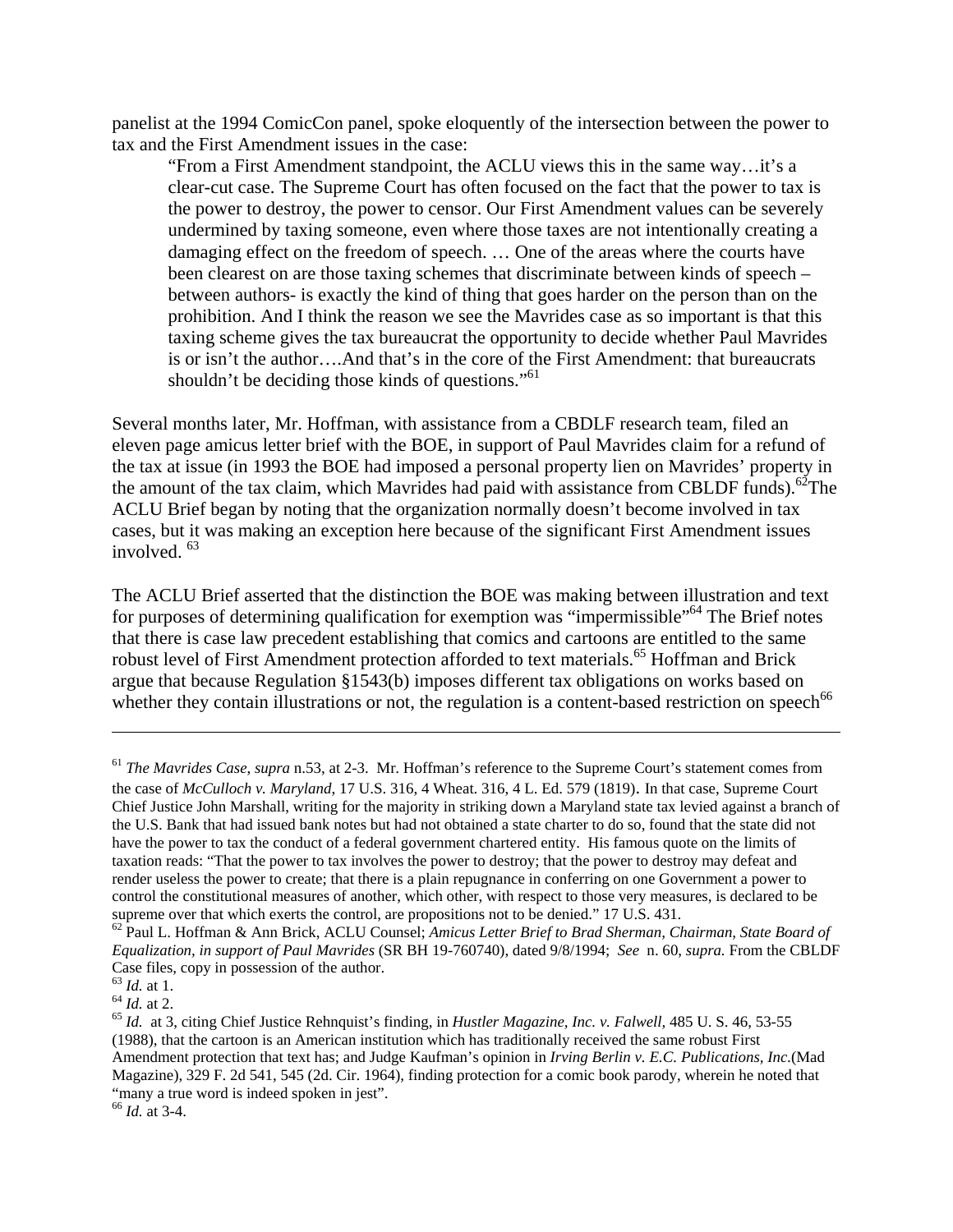panelist at the 1994 ComicCon panel, spoke eloquently of the intersection between the power to tax and the First Amendment issues in the case:

 "From a First Amendment standpoint, the ACLU views this in the same way…it's a clear-cut case. The Supreme Court has often focused on the fact that the power to tax is the power to destroy, the power to censor. Our First Amendment values can be severely undermined by taxing someone, even where those taxes are not intentionally creating a damaging effect on the freedom of speech. … One of the areas where the courts have been clearest on are those taxing schemes that discriminate between kinds of speech – between authors- is exactly the kind of thing that goes harder on the person than on the prohibition. And I think the reason we see the Mavrides case as so important is that this taxing scheme gives the tax bureaucrat the opportunity to decide whether Paul Mavrides is or isn't the author….And that's in the core of the First Amendment: that bureaucrats shouldn't be deciding those kinds of questions."<sup>61</sup>

Several months later, Mr. Hoffman, with assistance from a CBDLF research team, filed an eleven page amicus letter brief with the BOE, in support of Paul Mavrides claim for a refund of the tax at issue (in 1993 the BOE had imposed a personal property lien on Mavrides' property in the amount of the tax claim, which Mavrides had paid with assistance from CBLDF funds).<sup>62</sup>The ACLU Brief began by noting that the organization normally doesn't become involved in tax cases, but it was making an exception here because of the significant First Amendment issues involved. 63

The ACLU Brief asserted that the distinction the BOE was making between illustration and text for purposes of determining qualification for exemption was "impermissible"<sup>64</sup> The Brief notes that there is case law precedent establishing that comics and cartoons are entitled to the same robust level of First Amendment protection afforded to text materials.<sup>65</sup> Hoffman and Brick argue that because Regulation §1543(b) imposes different tax obligations on works based on whether they contain illustrations or not, the regulation is a content-based restriction on speech<sup>66</sup>

1

<sup>61</sup> *The Mavrides Case*, *supra* n.53, at 2-3. Mr. Hoffman's reference to the Supreme Court's statement comes from the case of *McCulloch v. Maryland*, 17 U.S. 316, 4 Wheat. 316, 4 L. Ed. 579 (1819). In that case, Supreme Court Chief Justice John Marshall, writing for the majority in striking down a Maryland state tax levied against a branch of the U.S. Bank that had issued bank notes but had not obtained a state charter to do so, found that the state did not have the power to tax the conduct of a federal government chartered entity. His famous quote on the limits of taxation reads: "That the power to tax involves the power to destroy; that the power to destroy may defeat and render useless the power to create; that there is a plain repugnance in conferring on one Government a power to control the constitutional measures of another, which other, with respect to those very measures, is declared to be supreme over that which exerts the control, are propositions not to be denied." 17 U.S. 431.

<sup>62</sup> Paul L. Hoffman & Ann Brick, ACLU Counsel; *Amicus Letter Brief to Brad Sherman, Chairman, State Board of Equalization, in support of Paul Mavrides* (SR BH 19-760740), dated 9/8/1994; *See* n. 60, *supra.* From the CBLDF Case files, copy in possession of the author.<br>  $^{63}$  *Id.* at 1.<br>  $^{64}$  *Id.* at 2.

<sup>&</sup>lt;sup>65</sup> *Id.* at 3, citing Chief Justice Rehnquist's finding, in *Hustler Magazine, Inc. v. Falwell*, 485 U. S. 46, 53-55 (1988), that the cartoon is an American institution which has traditionally received the same robust First Amendment protection that text has; and Judge Kaufman's opinion in *Irving Berlin v. E.C. Publications, Inc.*(Mad Magazine), 329 F. 2d 541, 545 (2d. Cir. 1964), finding protection for a comic book parody, wherein he noted that "many a true word is indeed spoken in jest".

<sup>66</sup> *Id.* at 3-4.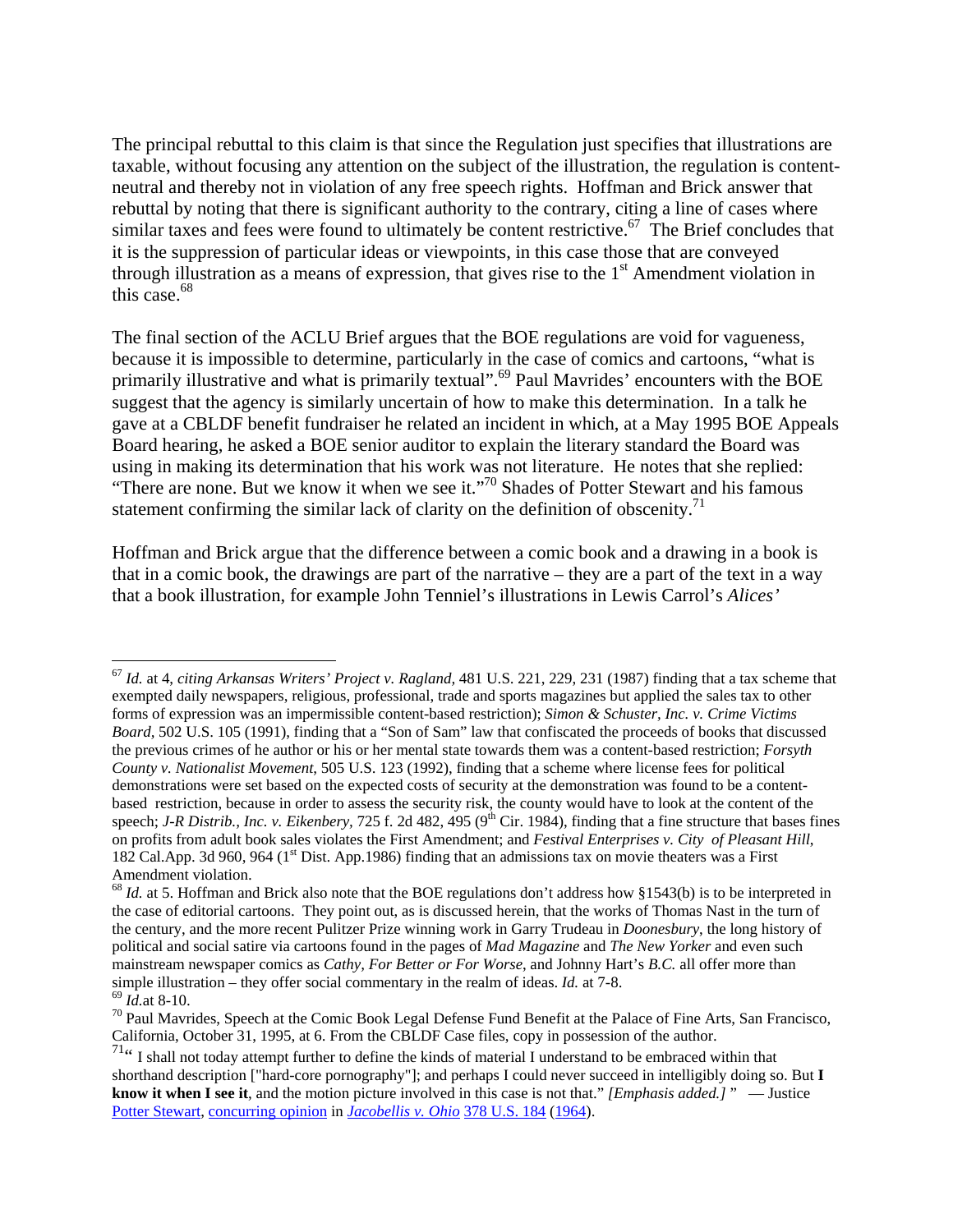The principal rebuttal to this claim is that since the Regulation just specifies that illustrations are taxable, without focusing any attention on the subject of the illustration, the regulation is contentneutral and thereby not in violation of any free speech rights. Hoffman and Brick answer that rebuttal by noting that there is significant authority to the contrary, citing a line of cases where similar taxes and fees were found to ultimately be content restrictive.<sup>67</sup> The Brief concludes that it is the suppression of particular ideas or viewpoints, in this case those that are conveyed through illustration as a means of expression, that gives rise to the  $1<sup>st</sup>$  Amendment violation in this case.<sup>68</sup>

The final section of the ACLU Brief argues that the BOE regulations are void for vagueness, because it is impossible to determine, particularly in the case of comics and cartoons, "what is primarily illustrative and what is primarily textual".<sup>69</sup> Paul Mavrides' encounters with the BOE suggest that the agency is similarly uncertain of how to make this determination. In a talk he gave at a CBLDF benefit fundraiser he related an incident in which, at a May 1995 BOE Appeals Board hearing, he asked a BOE senior auditor to explain the literary standard the Board was using in making its determination that his work was not literature. He notes that she replied: "There are none. But we know it when we see it."<sup>70</sup> Shades of Potter Stewart and his famous statement confirming the similar lack of clarity on the definition of obscenity.<sup>71</sup>

Hoffman and Brick argue that the difference between a comic book and a drawing in a book is that in a comic book, the drawings are part of the narrative – they are a part of the text in a way that a book illustration, for example John Tenniel's illustrations in Lewis Carrol's *Alices'* 

<sup>67</sup> *Id.* at 4, *citing Arkansas Writers' Project v. Ragland,* 481 U.S. 221, 229, 231 (1987) finding that a tax scheme that exempted daily newspapers, religious, professional, trade and sports magazines but applied the sales tax to other forms of expression was an impermissible content-based restriction); *Simon & Schuster, Inc. v. Crime Victims Board,* 502 U.S. 105 (1991), finding that a "Son of Sam" law that confiscated the proceeds of books that discussed the previous crimes of he author or his or her mental state towards them was a content-based restriction; *Forsyth County v. Nationalist Movement*, 505 U.S. 123 (1992), finding that a scheme where license fees for political demonstrations were set based on the expected costs of security at the demonstration was found to be a contentbased restriction, because in order to assess the security risk, the county would have to look at the content of the speech; *J-R Distrib., Inc. v. Eikenbery*, 725 f. 2d 482, 495 (9<sup>th</sup> Cir. 1984), finding that a fine structure that bases fines on profits from adult book sales violates the First Amendment; and *Festival Enterprises v. City of Pleasant Hill*, 182 Cal.App. 3d 960, 964 (1st Dist. App.1986) finding that an admissions tax on movie theaters was a First Amendment violation.

<sup>&</sup>lt;sup>68</sup> *Id.* at 5. Hoffman and Brick also note that the BOE regulations don't address how §1543(b) is to be interpreted in the case of editorial cartoons. They point out, as is discussed herein, that the works of Thomas Nast in the turn of the century, and the more recent Pulitzer Prize winning work in Garry Trudeau in *Doonesbury*, the long history of political and social satire via cartoons found in the pages of *Mad Magazine* and *The New Yorker* and even such mainstream newspaper comics as *Cathy, For Better or For Worse*, and Johnny Hart's *B.C.* all offer more than simple illustration – they offer social commentary in the realm of ideas. *Id.* at 7-8.<br><sup>69</sup> *Id.* at 8-10.<br><sup>70</sup> Paul Mavrides, Speech at the Comic Book Legal Defense Fund Benefit at the Palace of Fine Arts, San Francisco

California, October 31, 1995, at 6. From the CBLDF Case files, copy in possession of the author.

 $71$ <sup>"</sup> I shall not today attempt further to define the kinds of material I understand to be embraced within that shorthand description ["hard-core pornography"]; and perhaps I could never succeed in intelligibly doing so. But **I know it when I see it**, and the motion picture involved in this case is not that." *[Emphasis added.]* " — Justice Potter Stewart, concurring opinion in *Jacobellis v. Ohio* 378 U.S. 184 (1964).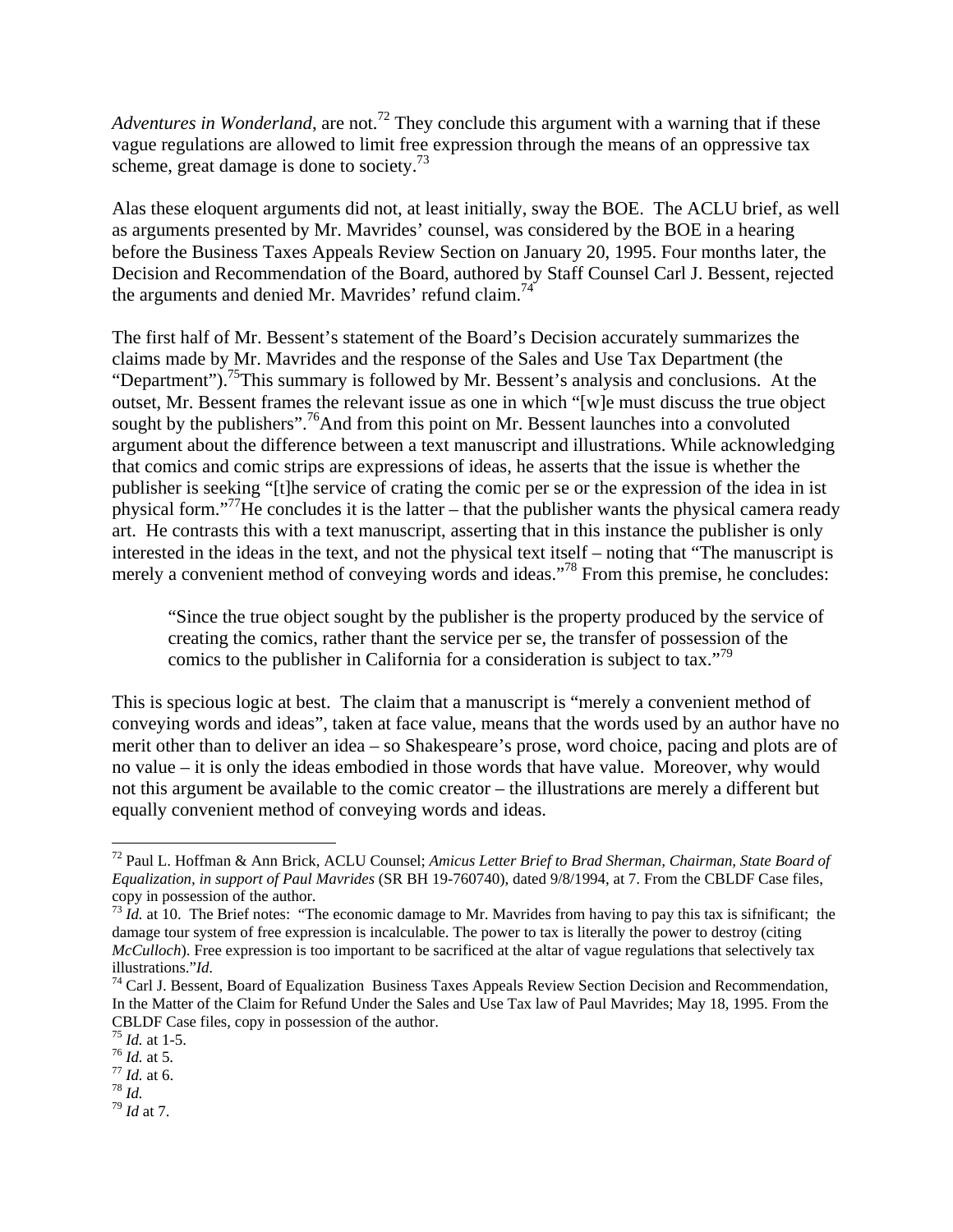*Adventures in Wonderland*, are not.<sup>72</sup> They conclude this argument with a warning that if these vague regulations are allowed to limit free expression through the means of an oppressive tax scheme, great damage is done to society.<sup>73</sup>

Alas these eloquent arguments did not, at least initially, sway the BOE. The ACLU brief, as well as arguments presented by Mr. Mavrides' counsel, was considered by the BOE in a hearing before the Business Taxes Appeals Review Section on January 20, 1995. Four months later, the Decision and Recommendation of the Board, authored by Staff Counsel Carl J. Bessent, rejected the arguments and denied Mr. Mavrides' refund claim.<sup>74</sup>

The first half of Mr. Bessent's statement of the Board's Decision accurately summarizes the claims made by Mr. Mavrides and the response of the Sales and Use Tax Department (the "Department").<sup>75</sup>This summary is followed by Mr. Bessent's analysis and conclusions. At the outset, Mr. Bessent frames the relevant issue as one in which "[w]e must discuss the true object sought by the publishers".<sup>76</sup>And from this point on Mr. Bessent launches into a convoluted argument about the difference between a text manuscript and illustrations. While acknowledging that comics and comic strips are expressions of ideas, he asserts that the issue is whether the publisher is seeking "[t]he service of crating the comic per se or the expression of the idea in ist physical form."77He concludes it is the latter – that the publisher wants the physical camera ready art. He contrasts this with a text manuscript, asserting that in this instance the publisher is only interested in the ideas in the text, and not the physical text itself – noting that "The manuscript is merely a convenient method of conveying words and ideas."<sup>78</sup> From this premise, he concludes:

 "Since the true object sought by the publisher is the property produced by the service of creating the comics, rather thant the service per se, the transfer of possession of the comics to the publisher in California for a consideration is subject to tax."<sup>79</sup>

This is specious logic at best. The claim that a manuscript is "merely a convenient method of conveying words and ideas", taken at face value, means that the words used by an author have no merit other than to deliver an idea – so Shakespeare's prose, word choice, pacing and plots are of no value – it is only the ideas embodied in those words that have value. Moreover, why would not this argument be available to the comic creator – the illustrations are merely a different but equally convenient method of conveying words and ideas.

- 
- 

1

<sup>72</sup> Paul L. Hoffman & Ann Brick, ACLU Counsel; *Amicus Letter Brief to Brad Sherman, Chairman, State Board of Equalization, in support of Paul Mavrides* (SR BH 19-760740), dated 9/8/1994, at 7. From the CBLDF Case files, copy in possession of the author.

 $^{73}$  *Id.* at 10. The Brief notes: "The economic damage to Mr. Mavrides from having to pay this tax is sifnificant; the damage tour system of free expression is incalculable. The power to tax is literally the power to destroy (citing *McCulloch*). Free expression is too important to be sacrificed at the altar of vague regulations that selectively tax illustrations."*Id.*<br><sup>74</sup> Carl J. Bessent, Board of Equalization Business Taxes Appeals Review Section Decision and Recommendation,

In the Matter of the Claim for Refund Under the Sales and Use Tax law of Paul Mavrides; May 18, 1995. From the CBLDF Case files, copy in possession of the author.

<sup>75</sup> *Id.* at 1-5. 76 *Id.* at 5. 77 *Id.* at 6. 78 *Id.* 79 *Id* at 7.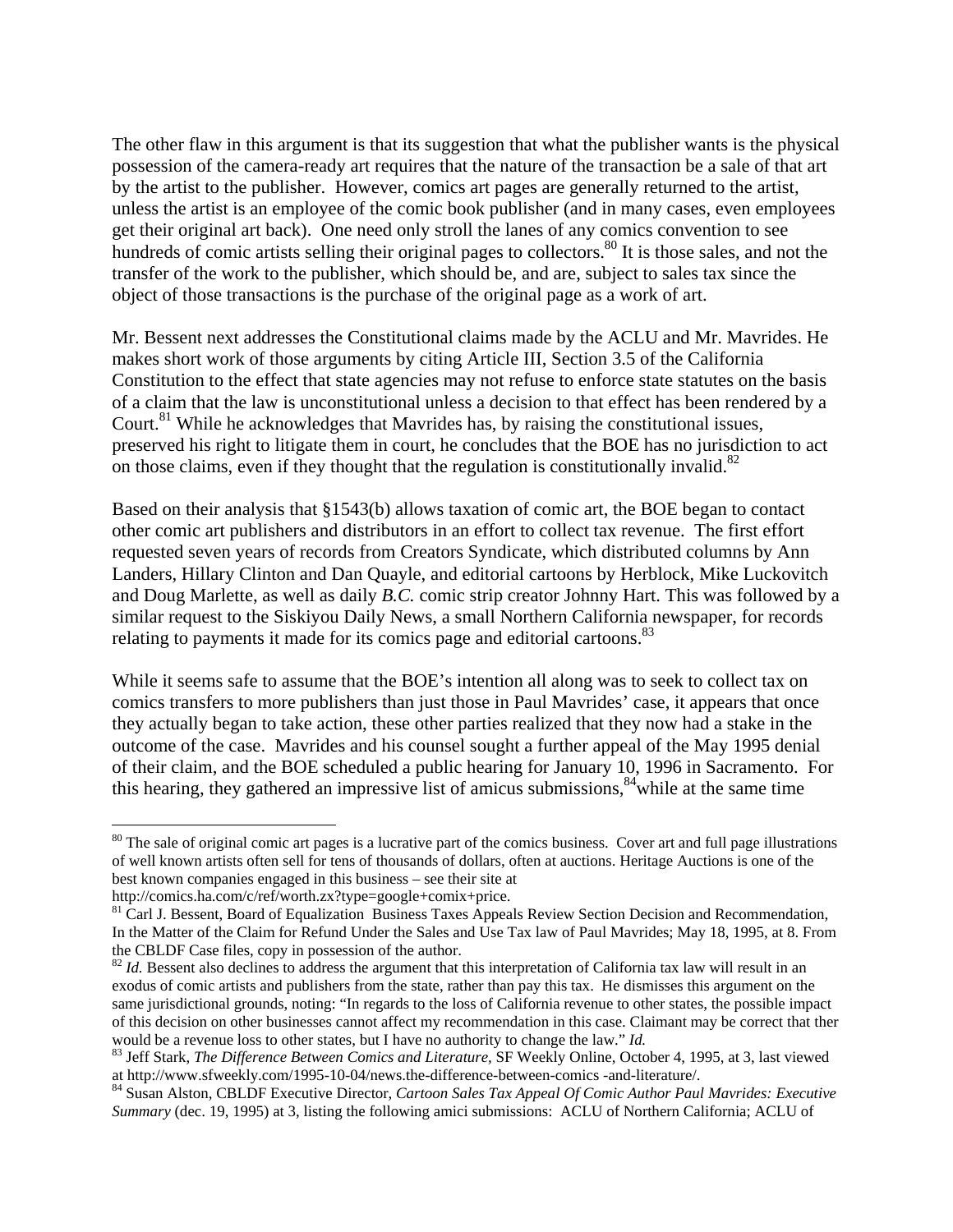The other flaw in this argument is that its suggestion that what the publisher wants is the physical possession of the camera-ready art requires that the nature of the transaction be a sale of that art by the artist to the publisher. However, comics art pages are generally returned to the artist, unless the artist is an employee of the comic book publisher (and in many cases, even employees get their original art back). One need only stroll the lanes of any comics convention to see hundreds of comic artists selling their original pages to collectors.<sup>80</sup> It is those sales, and not the transfer of the work to the publisher, which should be, and are, subject to sales tax since the object of those transactions is the purchase of the original page as a work of art.

Mr. Bessent next addresses the Constitutional claims made by the ACLU and Mr. Mavrides. He makes short work of those arguments by citing Article III, Section 3.5 of the California Constitution to the effect that state agencies may not refuse to enforce state statutes on the basis of a claim that the law is unconstitutional unless a decision to that effect has been rendered by a Court.<sup>81</sup> While he acknowledges that Mavrides has, by raising the constitutional issues, preserved his right to litigate them in court, he concludes that the BOE has no jurisdiction to act on those claims, even if they thought that the regulation is constitutionally invalid. $82$ 

Based on their analysis that §1543(b) allows taxation of comic art, the BOE began to contact other comic art publishers and distributors in an effort to collect tax revenue. The first effort requested seven years of records from Creators Syndicate, which distributed columns by Ann Landers, Hillary Clinton and Dan Quayle, and editorial cartoons by Herblock, Mike Luckovitch and Doug Marlette, as well as daily *B.C.* comic strip creator Johnny Hart. This was followed by a similar request to the Siskiyou Daily News, a small Northern California newspaper, for records relating to payments it made for its comics page and editorial cartoons.<sup>83</sup>

While it seems safe to assume that the BOE's intention all along was to seek to collect tax on comics transfers to more publishers than just those in Paul Mavrides' case, it appears that once they actually began to take action, these other parties realized that they now had a stake in the outcome of the case. Mavrides and his counsel sought a further appeal of the May 1995 denial of their claim, and the BOE scheduled a public hearing for January 10, 1996 in Sacramento. For this hearing, they gathered an impressive list of amicus submissions,  $84$  while at the same time

<sup>&</sup>lt;sup>80</sup> The sale of original comic art pages is a lucrative part of the comics business. Cover art and full page illustrations of well known artists often sell for tens of thousands of dollars, often at auctions. Heritage Auctions is one of the best known companies engaged in this business – see their site at

http://comics.ha.com/c/ref/worth.zx?type=google+comix+price.<br><sup>81</sup> Carl J. Bessent, Board of Equalization Business Taxes Appeals Review Section Decision and Recommendation, In the Matter of the Claim for Refund Under the Sales and Use Tax law of Paul Mavrides; May 18, 1995, at 8. From the CBLDF Case files, copy in possession of the author.

<sup>&</sup>lt;sup>82</sup> *Id.* Bessent also declines to address the argument that this interpretation of California tax law will result in an exodus of comic artists and publishers from the state, rather than pay this tax. He dismisses this argument on the same jurisdictional grounds, noting: "In regards to the loss of California revenue to other states, the possible impact of this decision on other businesses cannot affect my recommendation in this case. Claimant may be correct that ther

would be a revenue loss to other states, but I have no authority to change the law." *Id.*<br><sup>83</sup> Jeff Stark, *The Difference Between Comics and Literature*, SF Weekly Online, October 4, 1995, at 3, last viewed<br>at http://www

at http://www.sfirecom/<br><sup>84</sup> Susan Alston, CBLDF Executive Director, *Cartoon Sales Tax Appeal Of Comic Author Paul Mavrides: Executive Summary* (dec. 19, 1995) at 3, listing the following amici submissions: ACLU of Northern California; ACLU of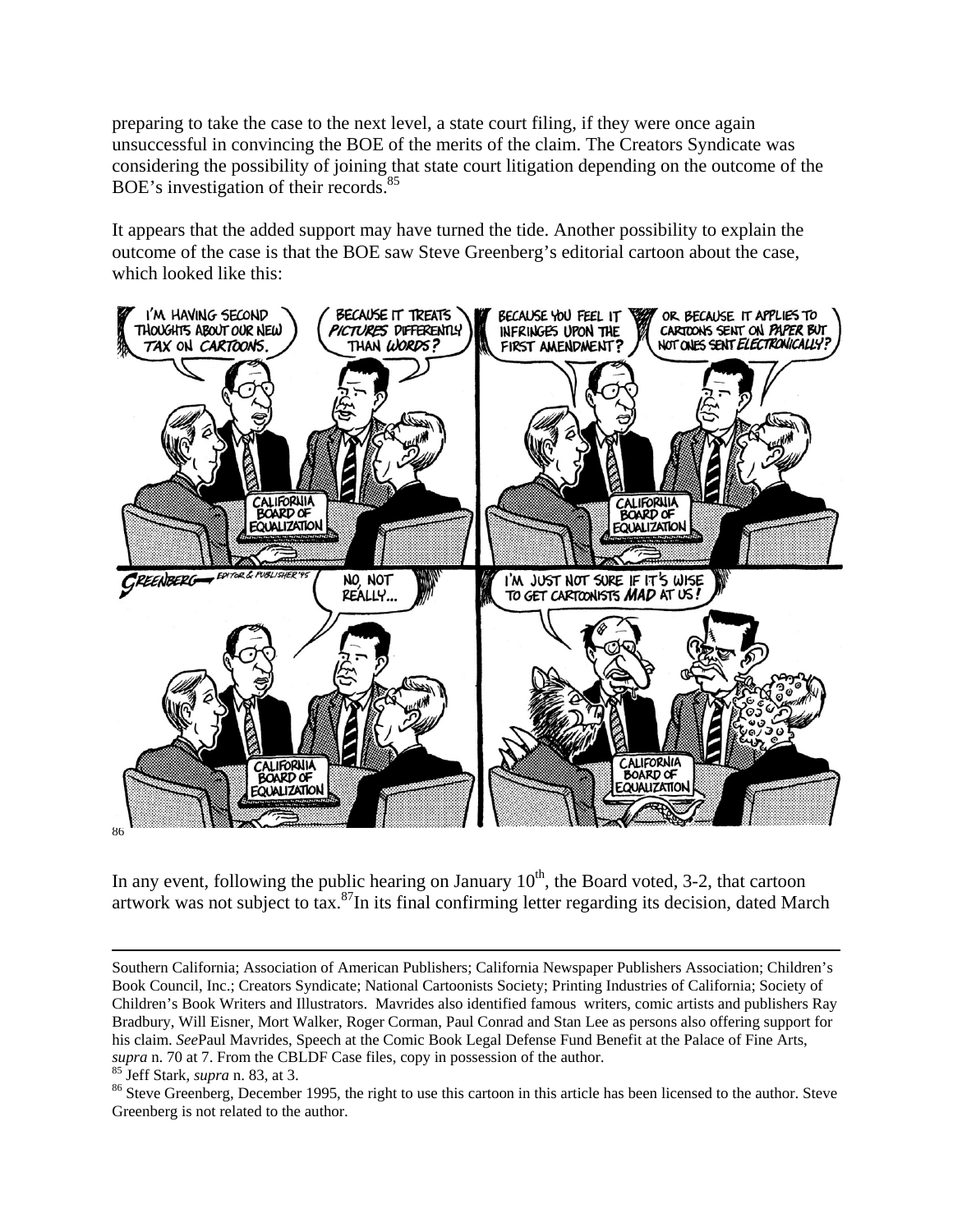preparing to take the case to the next level, a state court filing, if they were once again unsuccessful in convincing the BOE of the merits of the claim. The Creators Syndicate was considering the possibility of joining that state court litigation depending on the outcome of the BOE's investigation of their records.<sup>85</sup>

It appears that the added support may have turned the tide. Another possibility to explain the outcome of the case is that the BOE saw Steve Greenberg's editorial cartoon about the case, which looked like this:



In any event, following the public hearing on January  $10<sup>th</sup>$ , the Board voted, 3-2, that cartoon artwork was not subject to tax.<sup>87</sup>In its final confirming letter regarding its decision, dated March

Southern California; Association of American Publishers; California Newspaper Publishers Association; Children's Book Council, Inc.; Creators Syndicate; National Cartoonists Society; Printing Industries of California; Society of Children's Book Writers and Illustrators. Mavrides also identified famous writers, comic artists and publishers Ray Bradbury, Will Eisner, Mort Walker, Roger Corman, Paul Conrad and Stan Lee as persons also offering support for his claim. *SeePaul Mavrides*, Speech at the Comic Book Legal Defense Fund Benefit at the Palace of Fine Arts, *supra* n. 70 at 7. From the CBLDF Case files, copy in possession of the author.

<sup>&</sup>lt;sup>85</sup> Jeff Stark, *supra* n. 83, at 3.<br><sup>86</sup> Steve Greenberg, December 1995, the right to use this cartoon in this article has been licensed to the author. Steve Greenberg is not related to the author.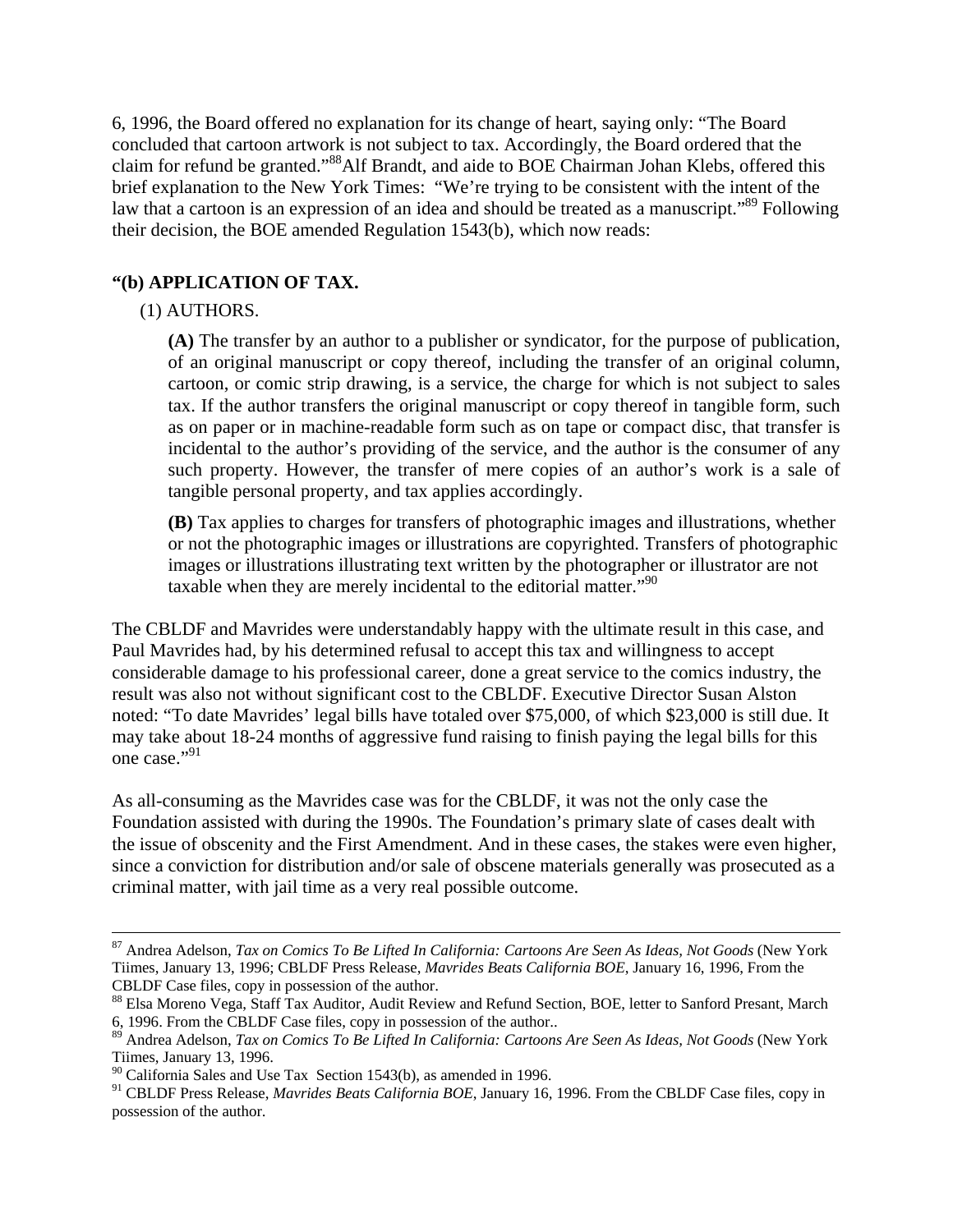6, 1996, the Board offered no explanation for its change of heart, saying only: "The Board concluded that cartoon artwork is not subject to tax. Accordingly, the Board ordered that the claim for refund be granted."88Alf Brandt, and aide to BOE Chairman Johan Klebs, offered this brief explanation to the New York Times: "We're trying to be consistent with the intent of the law that a cartoon is an expression of an idea and should be treated as a manuscript."<sup>89</sup> Following their decision, the BOE amended Regulation 1543(b), which now reads:

#### **"(b) APPLICATION OF TAX.**

#### (1) AUTHORS.

**(A)** The transfer by an author to a publisher or syndicator, for the purpose of publication, of an original manuscript or copy thereof, including the transfer of an original column, cartoon, or comic strip drawing, is a service, the charge for which is not subject to sales tax. If the author transfers the original manuscript or copy thereof in tangible form, such as on paper or in machine-readable form such as on tape or compact disc, that transfer is incidental to the author's providing of the service, and the author is the consumer of any such property. However, the transfer of mere copies of an author's work is a sale of tangible personal property, and tax applies accordingly.

 **(B)** Tax applies to charges for transfers of photographic images and illustrations, whether or not the photographic images or illustrations are copyrighted. Transfers of photographic images or illustrations illustrating text written by the photographer or illustrator are not taxable when they are merely incidental to the editorial matter."<sup>90</sup>

The CBLDF and Mavrides were understandably happy with the ultimate result in this case, and Paul Mavrides had, by his determined refusal to accept this tax and willingness to accept considerable damage to his professional career, done a great service to the comics industry, the result was also not without significant cost to the CBLDF. Executive Director Susan Alston noted: "To date Mavrides' legal bills have totaled over \$75,000, of which \$23,000 is still due. It may take about 18-24 months of aggressive fund raising to finish paying the legal bills for this one case."<sup>91</sup>

As all-consuming as the Mavrides case was for the CBLDF, it was not the only case the Foundation assisted with during the 1990s. The Foundation's primary slate of cases dealt with the issue of obscenity and the First Amendment. And in these cases, the stakes were even higher, since a conviction for distribution and/or sale of obscene materials generally was prosecuted as a criminal matter, with jail time as a very real possible outcome.

 <sup>87</sup> Andrea Adelson, *Tax on Comics To Be Lifted In California: Cartoons Are Seen As Ideas, Not Goods* (New York Tiimes, January 13, 1996; CBLDF Press Release, *Mavrides Beats California BOE*, January 16, 1996, From the CBLDF Case files, copy in possession of the author.

<sup>88</sup> Elsa Moreno Vega, Staff Tax Auditor, Audit Review and Refund Section, BOE, letter to Sanford Presant, March 6, 1996. From the CBLDF Case files, copy in possession of the author..

<sup>89</sup> Andrea Adelson, *Tax on Comics To Be Lifted In California: Cartoons Are Seen As Ideas, Not Goods* (New York Tiimes, January 13, 1996.

 $90$  California Sales and Use Tax Section 1543(b), as amended in 1996.

<sup>91</sup> CBLDF Press Release, *Mavrides Beats California BOE*, January 16, 1996. From the CBLDF Case files, copy in possession of the author.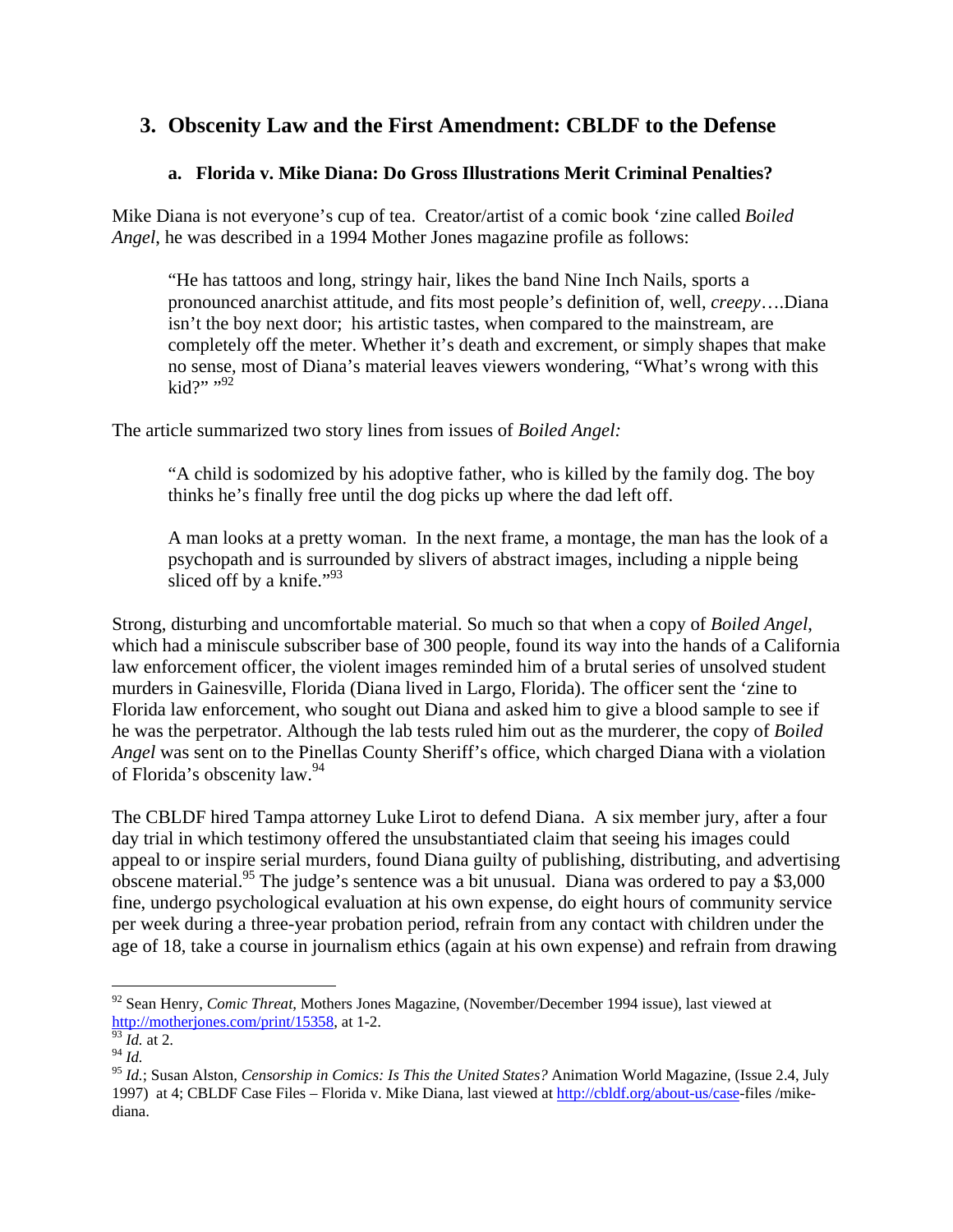# **3. Obscenity Law and the First Amendment: CBLDF to the Defense**

## **a. Florida v. Mike Diana: Do Gross Illustrations Merit Criminal Penalties?**

Mike Diana is not everyone's cup of tea. Creator/artist of a comic book 'zine called *Boiled Angel*, he was described in a 1994 Mother Jones magazine profile as follows:

 "He has tattoos and long, stringy hair, likes the band Nine Inch Nails, sports a pronounced anarchist attitude, and fits most people's definition of, well, *creepy*….Diana isn't the boy next door; his artistic tastes, when compared to the mainstream, are completely off the meter. Whether it's death and excrement, or simply shapes that make no sense, most of Diana's material leaves viewers wondering, "What's wrong with this  $kid?$ " "

The article summarized two story lines from issues of *Boiled Angel:* 

"A child is sodomized by his adoptive father, who is killed by the family dog. The boy thinks he's finally free until the dog picks up where the dad left off.

 A man looks at a pretty woman. In the next frame, a montage, the man has the look of a psychopath and is surrounded by slivers of abstract images, including a nipple being sliced off by a knife."<sup>93</sup>

Strong, disturbing and uncomfortable material. So much so that when a copy of *Boiled Angel*, which had a miniscule subscriber base of 300 people, found its way into the hands of a California law enforcement officer, the violent images reminded him of a brutal series of unsolved student murders in Gainesville, Florida (Diana lived in Largo, Florida). The officer sent the 'zine to Florida law enforcement, who sought out Diana and asked him to give a blood sample to see if he was the perpetrator. Although the lab tests ruled him out as the murderer, the copy of *Boiled Angel* was sent on to the Pinellas County Sheriff's office, which charged Diana with a violation of Florida's obscenity law.<sup>94</sup>

The CBLDF hired Tampa attorney Luke Lirot to defend Diana. A six member jury, after a four day trial in which testimony offered the unsubstantiated claim that seeing his images could appeal to or inspire serial murders, found Diana guilty of publishing, distributing, and advertising obscene material.<sup>95</sup> The judge's sentence was a bit unusual. Diana was ordered to pay a \$3,000 fine, undergo psychological evaluation at his own expense, do eight hours of community service per week during a three-year probation period, refrain from any contact with children under the age of 18, take a course in journalism ethics (again at his own expense) and refrain from drawing

<sup>92</sup> Sean Henry, *Comic Threat*, Mothers Jones Magazine, (November/December 1994 issue), last viewed at http://motherjones.com/print/15358, at 1-2.

<sup>93</sup> *Id.* at 2.

 $^{94}$  *Id.* 

<sup>95</sup> *Id.*; Susan Alston, *Censorship in Comics: Is This the United States?* Animation World Magazine, (Issue 2.4, July 1997) at 4; CBLDF Case Files – Florida v. Mike Diana, last viewed at http://cbldf.org/about-us/case-files /mikediana.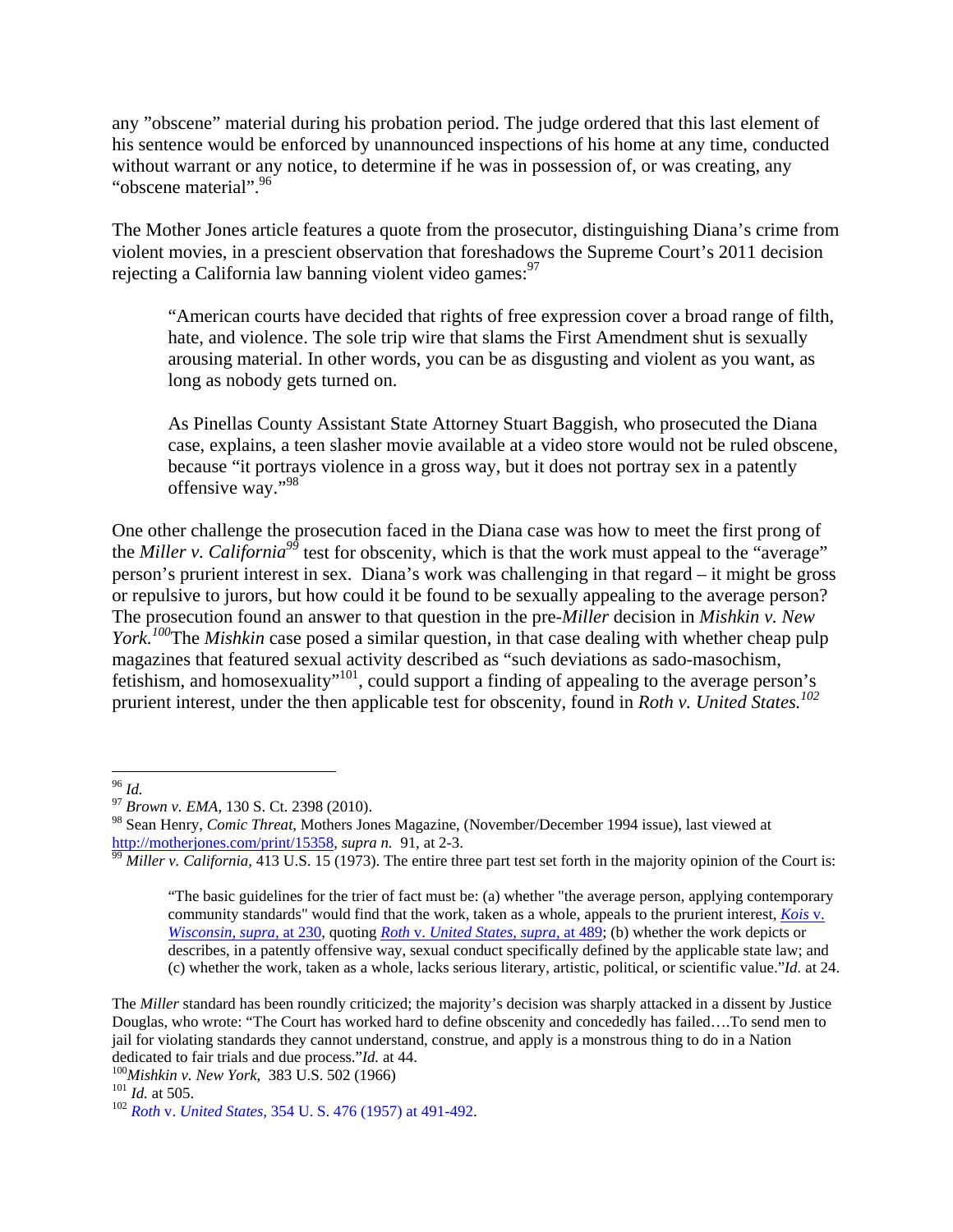any "obscene" material during his probation period. The judge ordered that this last element of his sentence would be enforced by unannounced inspections of his home at any time, conducted without warrant or any notice, to determine if he was in possession of, or was creating, any "obscene material".<sup>96</sup>

The Mother Jones article features a quote from the prosecutor, distinguishing Diana's crime from violent movies, in a prescient observation that foreshadows the Supreme Court's 2011 decision rejecting a California law banning violent video games:<sup>97</sup>

 "American courts have decided that rights of free expression cover a broad range of filth, hate, and violence. The sole trip wire that slams the First Amendment shut is sexually arousing material. In other words, you can be as disgusting and violent as you want, as long as nobody gets turned on.

 As Pinellas County Assistant State Attorney Stuart Baggish, who prosecuted the Diana case, explains, a teen slasher movie available at a video store would not be ruled obscene, because "it portrays violence in a gross way, but it does not portray sex in a patently offensive way."98

One other challenge the prosecution faced in the Diana case was how to meet the first prong of the *Miller v. California*<sup>99</sup> test for obscenity, which is that the work must appeal to the "average" person's prurient interest in sex. Diana's work was challenging in that regard – it might be gross or repulsive to jurors, but how could it be found to be sexually appealing to the average person? The prosecution found an answer to that question in the pre-*Miller* decision in *Mishkin v. New York.<sup>100</sup>*The *Mishkin* case posed a similar question, in that case dealing with whether cheap pulp magazines that featured sexual activity described as "such deviations as sado-masochism, fetishism, and homosexuality"<sup>101</sup>, could support a finding of appealing to the average person's prurient interest, under the then applicable test for obscenity, found in *Roth v. United States.*<sup>102</sup>

 $96$  Id.

<sup>&</sup>lt;sup>97</sup> *Brown v. EMA,* 130 S. Ct. 2398 (2010).

<sup>98</sup> Sean Henry, *Comic Threat*, Mothers Jones Magazine, (November/December 1994 issue), last viewed at http://motherjones.com/print/15358, *supra n.* 91, at 2-3.<br><sup>99</sup> *Miller v. California*, 413 U.S. 15 (1973). The entire three part test set forth in the majority opinion of the Court is:

 <sup>&</sup>quot;The basic guidelines for the trier of fact must be: (a) whether "the average person, applying contemporary community standards" would find that the work, taken as a whole, appeals to the prurient interest, *Kois* v. *Wisconsin, supra,* at 230, quoting *Roth* v. *United States, supra,* at 489; (b) whether the work depicts or describes, in a patently offensive way, sexual conduct specifically defined by the applicable state law; and (c) whether the work, taken as a whole, lacks serious literary, artistic, political, or scientific value."*Id.* at 24.

The *Miller* standard has been roundly criticized; the majority's decision was sharply attacked in a dissent by Justice Douglas, who wrote: "The Court has worked hard to define obscenity and concededly has failed….To send men to jail for violating standards they cannot understand, construe, and apply is a monstrous thing to do in a Nation dedicated to fair trials and due process."*Id.* at 44.<br><sup>100</sup>*Mishkin v. New York,* 383 U.S. 502 (1966)<br><sup>101</sup> *Id.* at 505.<br><sup>102</sup> *Roth v. United States,* 354 U. S. 476 (1957) at 491-492.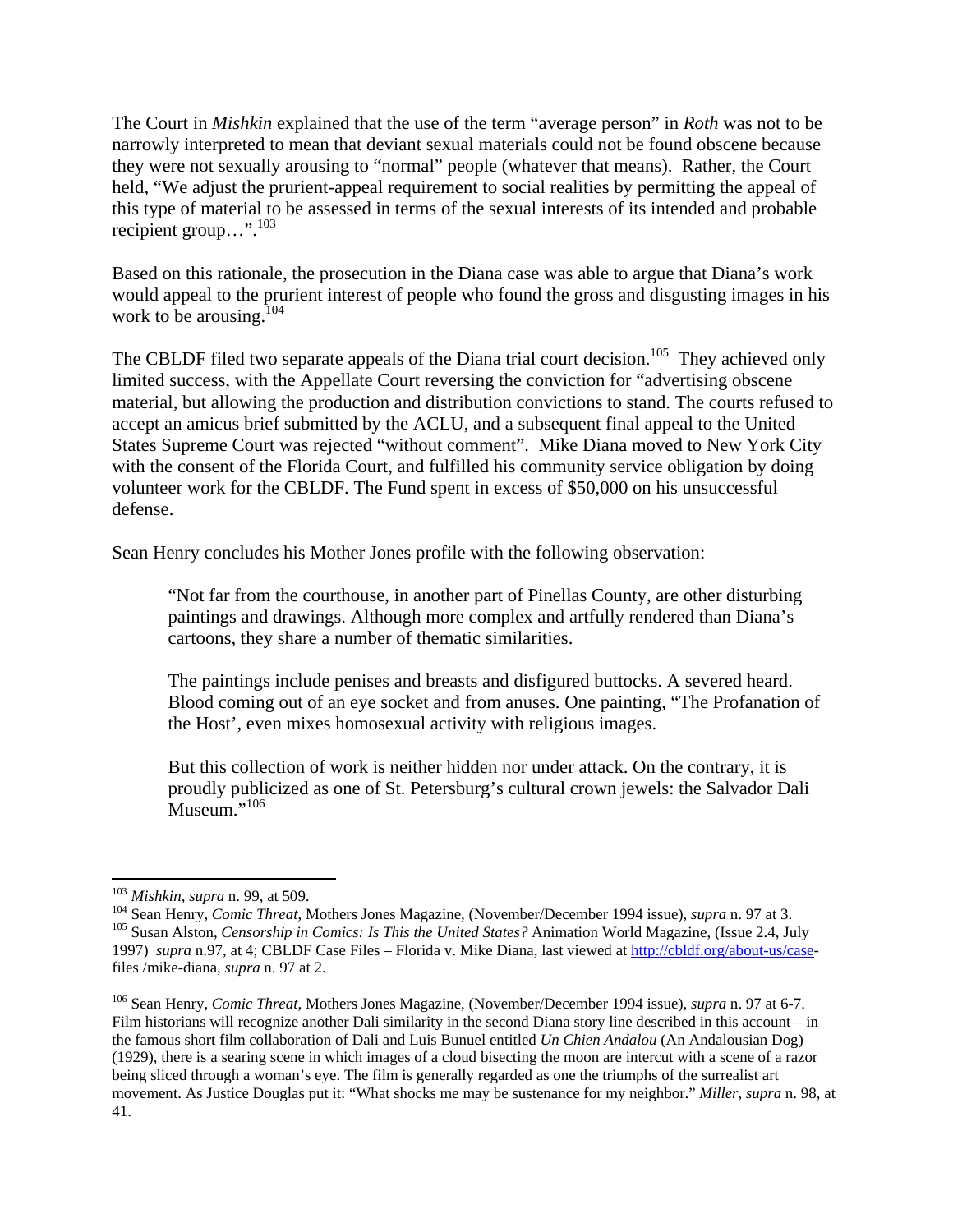The Court in *Mishkin* explained that the use of the term "average person" in *Roth* was not to be narrowly interpreted to mean that deviant sexual materials could not be found obscene because they were not sexually arousing to "normal" people (whatever that means). Rather, the Court held, "We adjust the prurient-appeal requirement to social realities by permitting the appeal of this type of material to be assessed in terms of the sexual interests of its intended and probable recipient group…".103

Based on this rationale, the prosecution in the Diana case was able to argue that Diana's work would appeal to the prurient interest of people who found the gross and disgusting images in his work to be arousing.<sup>104</sup>

The CBLDF filed two separate appeals of the Diana trial court decision.<sup>105</sup> They achieved only limited success, with the Appellate Court reversing the conviction for "advertising obscene material, but allowing the production and distribution convictions to stand. The courts refused to accept an amicus brief submitted by the ACLU, and a subsequent final appeal to the United States Supreme Court was rejected "without comment". Mike Diana moved to New York City with the consent of the Florida Court, and fulfilled his community service obligation by doing volunteer work for the CBLDF. The Fund spent in excess of \$50,000 on his unsuccessful defense.

Sean Henry concludes his Mother Jones profile with the following observation:

 "Not far from the courthouse, in another part of Pinellas County, are other disturbing paintings and drawings. Although more complex and artfully rendered than Diana's cartoons, they share a number of thematic similarities.

 The paintings include penises and breasts and disfigured buttocks. A severed heard. Blood coming out of an eye socket and from anuses. One painting, "The Profanation of the Host', even mixes homosexual activity with religious images.

 But this collection of work is neither hidden nor under attack. On the contrary, it is proudly publicized as one of St. Petersburg's cultural crown jewels: the Salvador Dali  $M$ useum."<sup>106</sup>

<sup>&</sup>lt;sup>103</sup> Mishkin, supra n. 99, at 509.<br><sup>104</sup> Sean Henry, *Comic Threat*, Mothers Jones Magazine, (November/December 1994 issue), *supra* n. 97 at 3.<br><sup>105</sup> Susan Alston, *Censorship in Comics: Is This the United States?* Anima 1997) *supra* n.97, at 4; CBLDF Case Files – Florida v. Mike Diana, last viewed at http://cbldf.org/about-us/casefiles /mike-diana, *supra* n. 97 at 2.

<sup>106</sup> Sean Henry, *Comic Threat*, Mothers Jones Magazine, (November/December 1994 issue), *supra* n. 97 at 6-7. Film historians will recognize another Dali similarity in the second Diana story line described in this account – in the famous short film collaboration of Dali and Luis Bunuel entitled *Un Chien Andalou* (An Andalousian Dog) (1929), there is a searing scene in which images of a cloud bisecting the moon are intercut with a scene of a razor being sliced through a woman's eye. The film is generally regarded as one the triumphs of the surrealist art movement. As Justice Douglas put it: "What shocks me may be sustenance for my neighbor." *Miller, supra* n. 98, at 41.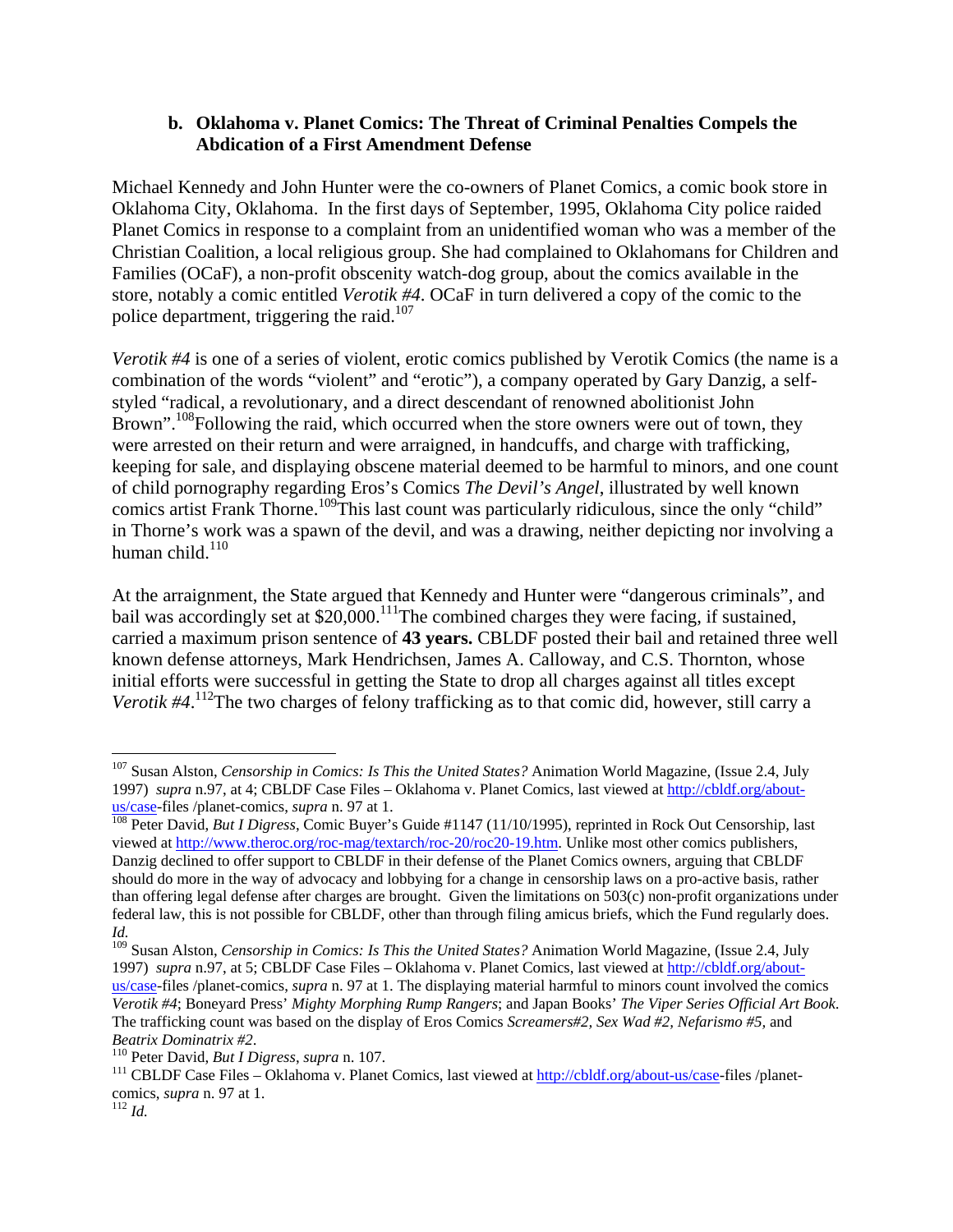### **b. Oklahoma v. Planet Comics: The Threat of Criminal Penalties Compels the Abdication of a First Amendment Defense**

Michael Kennedy and John Hunter were the co-owners of Planet Comics, a comic book store in Oklahoma City, Oklahoma. In the first days of September, 1995, Oklahoma City police raided Planet Comics in response to a complaint from an unidentified woman who was a member of the Christian Coalition, a local religious group. She had complained to Oklahomans for Children and Families (OCaF), a non-profit obscenity watch-dog group, about the comics available in the store, notably a comic entitled *Verotik #4*. OCaF in turn delivered a copy of the comic to the police department, triggering the raid.<sup>107</sup>

*Verotik #4* is one of a series of violent, erotic comics published by Verotik Comics (the name is a combination of the words "violent" and "erotic"), a company operated by Gary Danzig, a selfstyled "radical, a revolutionary, and a direct descendant of renowned abolitionist John Brown".<sup>108</sup>Following the raid, which occurred when the store owners were out of town, they were arrested on their return and were arraigned, in handcuffs, and charge with trafficking, keeping for sale, and displaying obscene material deemed to be harmful to minors, and one count of child pornography regarding Eros's Comics *The Devil's Angel*, illustrated by well known comics artist Frank Thorne.<sup>109</sup>This last count was particularly ridiculous, since the only "child" in Thorne's work was a spawn of the devil, and was a drawing, neither depicting nor involving a human child.<sup>110</sup>

At the arraignment, the State argued that Kennedy and Hunter were "dangerous criminals", and bail was accordingly set at  $$20,000$ .<sup>111</sup>The combined charges they were facing, if sustained, carried a maximum prison sentence of **43 years.** CBLDF posted their bail and retained three well known defense attorneys, Mark Hendrichsen, James A. Calloway, and C.S. Thornton, whose initial efforts were successful in getting the State to drop all charges against all titles except Verotik #4.<sup>112</sup>The two charges of felony trafficking as to that comic did, however, still carry a

<sup>1</sup> 107 Susan Alston, *Censorship in Comics: Is This the United States?* Animation World Magazine, (Issue 2.4, July 1997) *supra* n.97, at 4; CBLDF Case Files – Oklahoma v. Planet Comics, last viewed at http://cbldf.org/aboutus/case-files /planet-comics, *supra* n. 97 at 1.<br><sup>108</sup> Peter David, *But I Digress*, Comic Buyer's Guide #1147 (11/10/1995), reprinted in Rock Out Censorship, last

viewed at http://www.theroc.org/roc-mag/textarch/roc-20/roc20-19.htm. Unlike most other comics publishers, Danzig declined to offer support to CBLDF in their defense of the Planet Comics owners, arguing that CBLDF should do more in the way of advocacy and lobbying for a change in censorship laws on a pro-active basis, rather than offering legal defense after charges are brought. Given the limitations on 503(c) non-profit organizations under federal law, this is not possible for CBLDF, other than through filing amicus briefs, which the Fund regularly does. *Id.* 

<sup>109</sup> Susan Alston, *Censorship in Comics: Is This the United States?* Animation World Magazine, (Issue 2.4, July 1997) *supra* n.97, at 5; CBLDF Case Files – Oklahoma v. Planet Comics, last viewed at http://cbldf.org/aboutus/case-files /planet-comics, *supra* n. 97 at 1. The displaying material harmful to minors count involved the comics *Verotik #4*; Boneyard Press' *Mighty Morphing Rump Rangers*; and Japan Books' *The Viper Series Official Art Book*. The trafficking count was based on the display of Eros Comics *Screamers#2, Sex Wad #2, Nefarismo #5,* and

<sup>&</sup>lt;sup>110</sup> Peter David, *But I Digress*, *supra* n. 107.<br><sup>111</sup> CBLDF Case Files – Oklahoma v. Planet Comics, last viewed at <u>http://cbldf.org/about-us/case</u>-files /planetcomics, *supra* **n**. 97 at 1.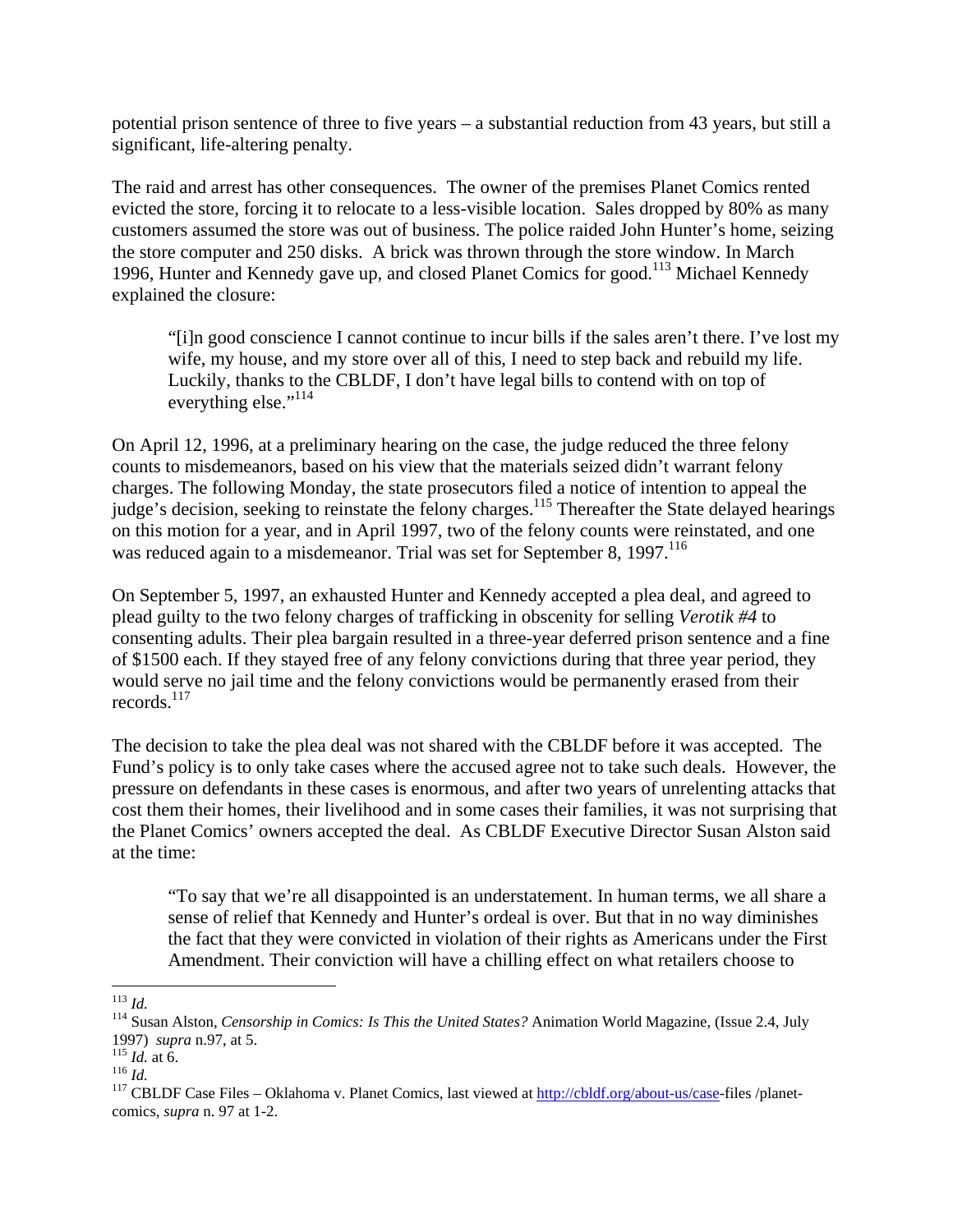potential prison sentence of three to five years – a substantial reduction from 43 years, but still a significant, life-altering penalty.

The raid and arrest has other consequences. The owner of the premises Planet Comics rented evicted the store, forcing it to relocate to a less-visible location. Sales dropped by 80% as many customers assumed the store was out of business. The police raided John Hunter's home, seizing the store computer and 250 disks. A brick was thrown through the store window. In March 1996, Hunter and Kennedy gave up, and closed Planet Comics for good.113 Michael Kennedy explained the closure:

 "[i]n good conscience I cannot continue to incur bills if the sales aren't there. I've lost my wife, my house, and my store over all of this, I need to step back and rebuild my life. Luckily, thanks to the CBLDF, I don't have legal bills to contend with on top of everything else."<sup>114</sup>

On April 12, 1996, at a preliminary hearing on the case, the judge reduced the three felony counts to misdemeanors, based on his view that the materials seized didn't warrant felony charges. The following Monday, the state prosecutors filed a notice of intention to appeal the judge's decision, seeking to reinstate the felony charges.<sup>115</sup> Thereafter the State delayed hearings on this motion for a year, and in April 1997, two of the felony counts were reinstated, and one was reduced again to a misdemeanor. Trial was set for September 8, 1997.<sup>116</sup>

On September 5, 1997, an exhausted Hunter and Kennedy accepted a plea deal, and agreed to plead guilty to the two felony charges of trafficking in obscenity for selling *Verotik #4* to consenting adults. Their plea bargain resulted in a three-year deferred prison sentence and a fine of \$1500 each. If they stayed free of any felony convictions during that three year period, they would serve no jail time and the felony convictions would be permanently erased from their records.<sup>117</sup>

The decision to take the plea deal was not shared with the CBLDF before it was accepted. The Fund's policy is to only take cases where the accused agree not to take such deals. However, the pressure on defendants in these cases is enormous, and after two years of unrelenting attacks that cost them their homes, their livelihood and in some cases their families, it was not surprising that the Planet Comics' owners accepted the deal. As CBLDF Executive Director Susan Alston said at the time:

 "To say that we're all disappointed is an understatement. In human terms, we all share a sense of relief that Kennedy and Hunter's ordeal is over. But that in no way diminishes the fact that they were convicted in violation of their rights as Americans under the First Amendment. Their conviction will have a chilling effect on what retailers choose to

 $^{113}$  *Id.* 

<sup>&</sup>lt;sup>114</sup> Susan Alston, *Censorship in Comics: Is This the United States?* Animation World Magazine, (Issue 2.4, July 1997) *supra* n.97, at 5.<br>
<sup>115</sup> *Id.* at 6.<br>
<sup>116</sup> *Id.*<br>
<sup>117</sup> CBLDF Case Files – Oklahoma v. Planet Comics, last viewed at <u>http://cbldf.org/about-us/case</u>-files /planet-

comics, *supra* n. 97 at 1-2.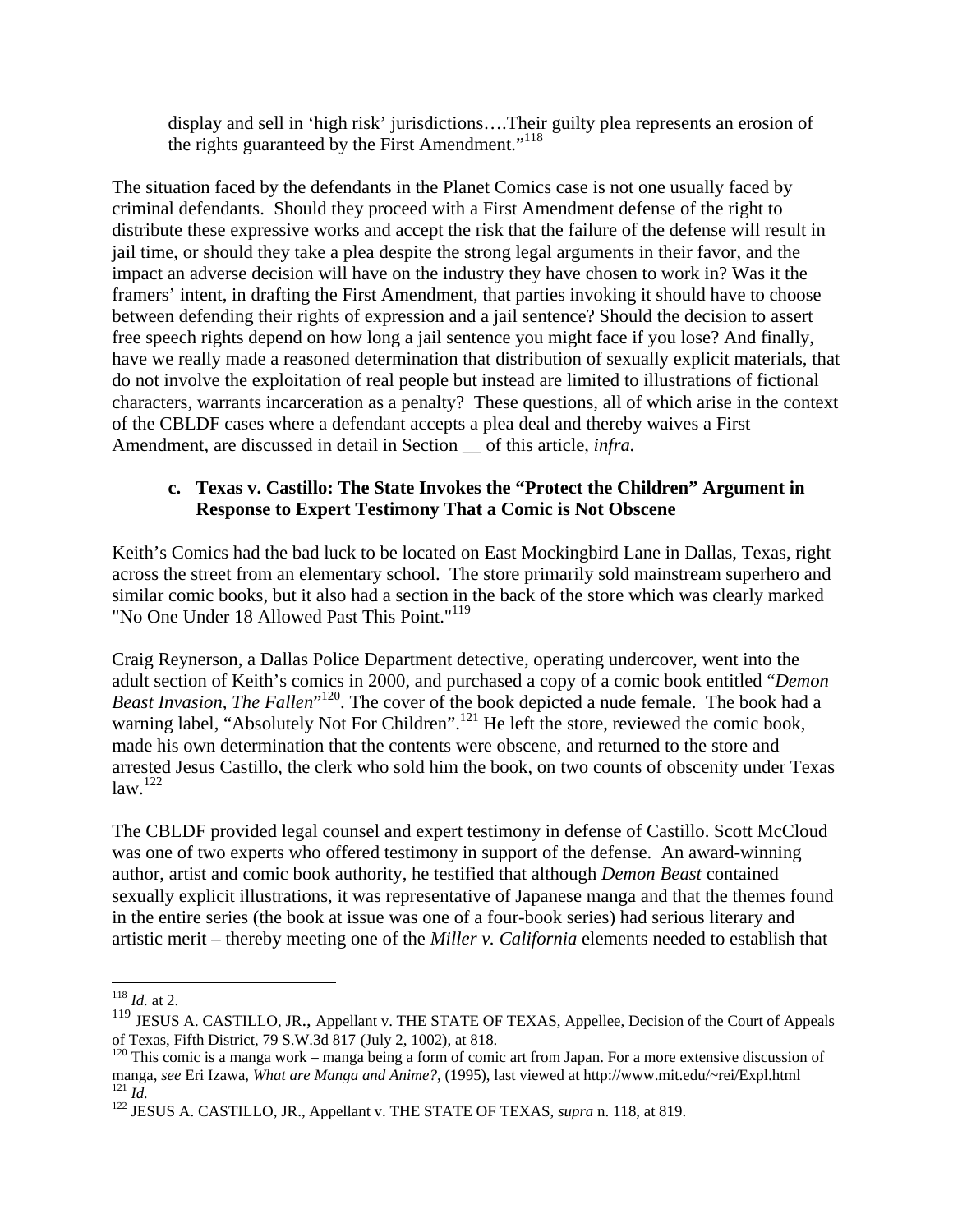display and sell in 'high risk' jurisdictions….Their guilty plea represents an erosion of the rights guaranteed by the First Amendment."<sup>118</sup>

The situation faced by the defendants in the Planet Comics case is not one usually faced by criminal defendants. Should they proceed with a First Amendment defense of the right to distribute these expressive works and accept the risk that the failure of the defense will result in jail time, or should they take a plea despite the strong legal arguments in their favor, and the impact an adverse decision will have on the industry they have chosen to work in? Was it the framers' intent, in drafting the First Amendment, that parties invoking it should have to choose between defending their rights of expression and a jail sentence? Should the decision to assert free speech rights depend on how long a jail sentence you might face if you lose? And finally, have we really made a reasoned determination that distribution of sexually explicit materials, that do not involve the exploitation of real people but instead are limited to illustrations of fictional characters, warrants incarceration as a penalty? These questions, all of which arise in the context of the CBLDF cases where a defendant accepts a plea deal and thereby waives a First Amendment, are discussed in detail in Section \_\_ of this article, *infra.* 

### **c. Texas v. Castillo: The State Invokes the "Protect the Children" Argument in Response to Expert Testimony That a Comic is Not Obscene**

Keith's Comics had the bad luck to be located on East Mockingbird Lane in Dallas, Texas, right across the street from an elementary school. The store primarily sold mainstream superhero and similar comic books, but it also had a section in the back of the store which was clearly marked "No One Under 18 Allowed Past This Point."<sup>119</sup>

Craig Reynerson, a Dallas Police Department detective, operating undercover, went into the adult section of Keith's comics in 2000, and purchased a copy of a comic book entitled "*Demon*  Beast Invasion, The Fallen<sup>"120</sup>. The cover of the book depicted a nude female. The book had a warning label, "Absolutely Not For Children".<sup>121</sup> He left the store, reviewed the comic book, made his own determination that the contents were obscene, and returned to the store and arrested Jesus Castillo, the clerk who sold him the book, on two counts of obscenity under Texas  $law.<sup>122</sup>$ 

The CBLDF provided legal counsel and expert testimony in defense of Castillo. Scott McCloud was one of two experts who offered testimony in support of the defense. An award-winning author, artist and comic book authority, he testified that although *Demon Beast* contained sexually explicit illustrations, it was representative of Japanese manga and that the themes found in the entire series (the book at issue was one of a four-book series) had serious literary and artistic merit – thereby meeting one of the *Miller v. California* elements needed to establish that

<sup>118</sup> *Id.* at 2.

<sup>&</sup>lt;sup>119</sup> JESUS A. CASTILLO, JR., Appellant v. THE STATE OF TEXAS, Appellee, Decision of the Court of Appeals of Texas, Fifth District, 79 S.W.3d 817 (July 2, 1002), at 818.

 $120$  This comic is a manga work – manga being a form of comic art from Japan. For a more extensive discussion of manga, *see* Eri Izawa, *What are Manga and Anime?*, (1995), last viewed at http://www.mit.edu/~rei/Expl.html 121 *Id.* 122 JESUS A. CASTILLO, JR., Appellant v. THE STATE OF TEXAS, *supra* n. 118, at 819.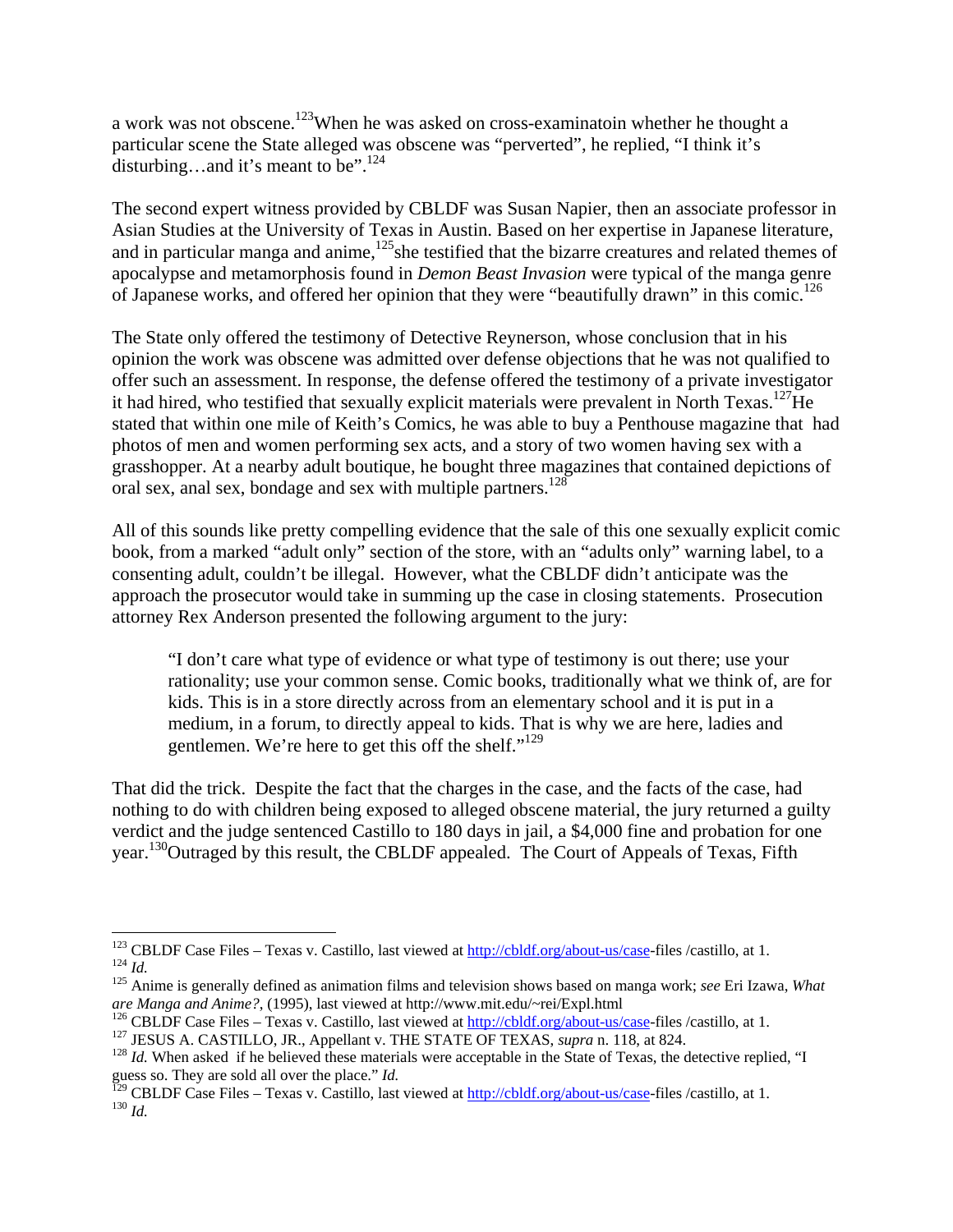a work was not obscene.<sup>123</sup>When he was asked on cross-examinatoin whether he thought a particular scene the State alleged was obscene was "perverted", he replied, "I think it's disturbing...and it's meant to be".<sup>124</sup>

The second expert witness provided by CBLDF was Susan Napier, then an associate professor in Asian Studies at the University of Texas in Austin. Based on her expertise in Japanese literature, and in particular manga and anime,<sup>125</sup>she testified that the bizarre creatures and related themes of apocalypse and metamorphosis found in *Demon Beast Invasion* were typical of the manga genre of Japanese works, and offered her opinion that they were "beautifully drawn" in this comic.<sup>126</sup>

The State only offered the testimony of Detective Reynerson, whose conclusion that in his opinion the work was obscene was admitted over defense objections that he was not qualified to offer such an assessment. In response, the defense offered the testimony of a private investigator it had hired, who testified that sexually explicit materials were prevalent in North Texas.<sup>127</sup>He stated that within one mile of Keith's Comics, he was able to buy a Penthouse magazine that had photos of men and women performing sex acts, and a story of two women having sex with a grasshopper. At a nearby adult boutique, he bought three magazines that contained depictions of oral sex, anal sex, bondage and sex with multiple partners.<sup>128</sup>

All of this sounds like pretty compelling evidence that the sale of this one sexually explicit comic book, from a marked "adult only" section of the store, with an "adults only" warning label, to a consenting adult, couldn't be illegal. However, what the CBLDF didn't anticipate was the approach the prosecutor would take in summing up the case in closing statements. Prosecution attorney Rex Anderson presented the following argument to the jury:

 "I don't care what type of evidence or what type of testimony is out there; use your rationality; use your common sense. Comic books, traditionally what we think of, are for kids. This is in a store directly across from an elementary school and it is put in a medium, in a forum, to directly appeal to kids. That is why we are here, ladies and gentlemen. We're here to get this off the shelf."<sup>129</sup>

That did the trick. Despite the fact that the charges in the case, and the facts of the case, had nothing to do with children being exposed to alleged obscene material, the jury returned a guilty verdict and the judge sentenced Castillo to 180 days in jail, a \$4,000 fine and probation for one year.<sup>130</sup>Outraged by this result, the CBLDF appealed. The Court of Appeals of Texas, Fifth

<sup>1</sup> <sup>123</sup> CBLDF Case Files – Texas v. Castillo, last viewed at  $\frac{http://cbldf.org/about-us/case}$ -files /castillo, at 1.<br><sup>124</sup> *Id.*<br><sup>125</sup> Anime is generally defined as animation films and television shows based on manga work; *see* Eri Izawa,

<sup>&</sup>lt;sup>126</sup> CBLDF Case Files – Texas v. Castillo, last viewed at  $\frac{http://cbldf.org/about-us/case}$ -files /castillo, at 1.<br><sup>127</sup> JESUS A. CASTILLO, JR., Appellant v. THE STATE OF TEXAS, *supra* n. 118, at 824.<br><sup>128</sup> Id. When asked if he believe

guess so. They are sold all over the place." *Id.* 

<sup>&</sup>lt;sup>129</sup> CBLDF Case Files – Texas v. Castillo, last viewed at <u>http://cbldf.org/about-us/case</u>-files /castillo, at 1.<br><sup>130</sup> *Id.*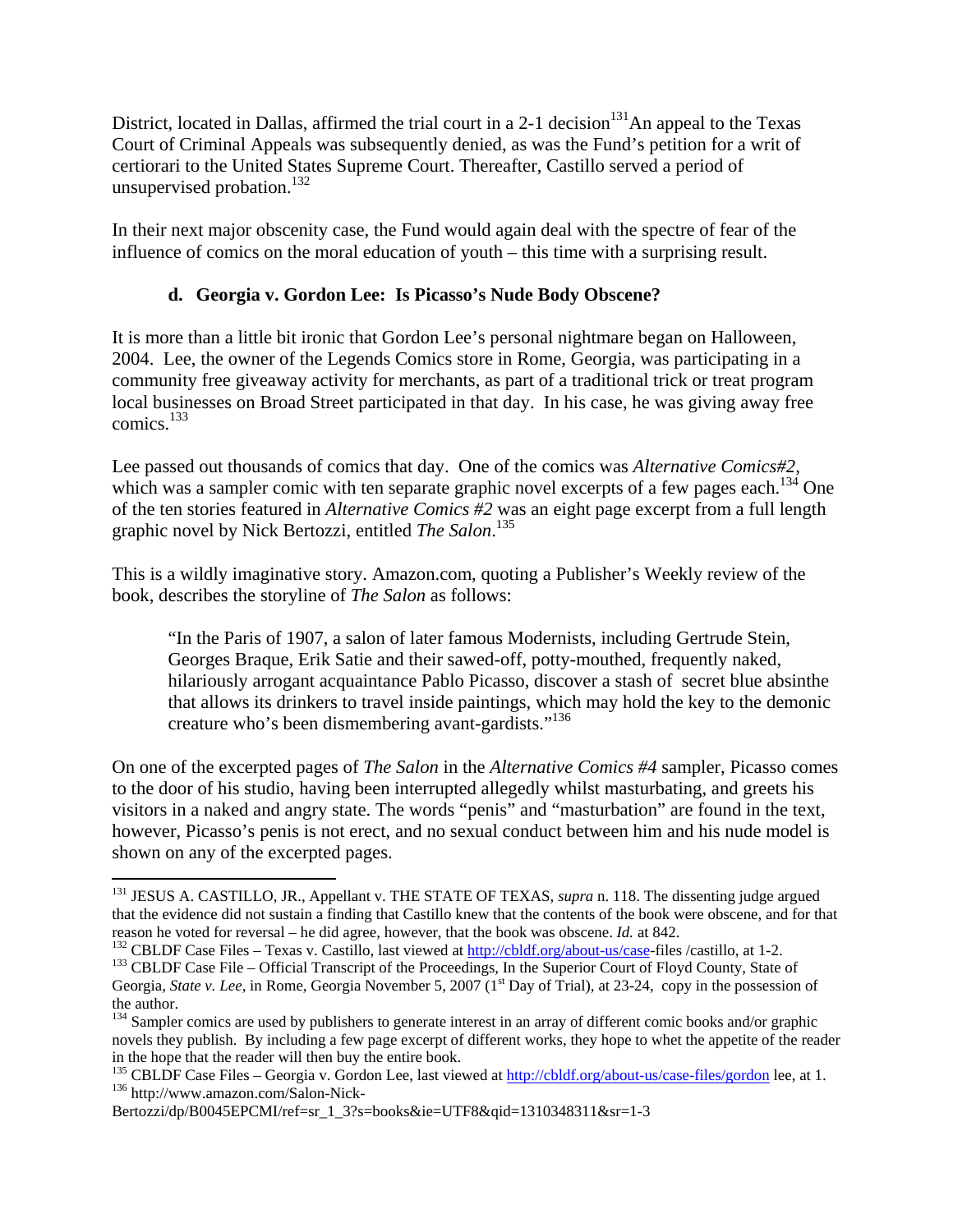District, located in Dallas, affirmed the trial court in a 2-1 decision<sup>131</sup>An appeal to the Texas Court of Criminal Appeals was subsequently denied, as was the Fund's petition for a writ of certiorari to the United States Supreme Court. Thereafter, Castillo served a period of unsupervised probation. $132$ 

In their next major obscenity case, the Fund would again deal with the spectre of fear of the influence of comics on the moral education of youth – this time with a surprising result.

## **d. Georgia v. Gordon Lee: Is Picasso's Nude Body Obscene?**

It is more than a little bit ironic that Gordon Lee's personal nightmare began on Halloween, 2004. Lee, the owner of the Legends Comics store in Rome, Georgia, was participating in a community free giveaway activity for merchants, as part of a traditional trick or treat program local businesses on Broad Street participated in that day. In his case, he was giving away free comics.133

Lee passed out thousands of comics that day. One of the comics was *Alternative Comics#2*, which was a sampler comic with ten separate graphic novel excerpts of a few pages each.<sup>134</sup> One of the ten stories featured in *Alternative Comics #2* was an eight page excerpt from a full length graphic novel by Nick Bertozzi, entitled *The Salon*. 135

This is a wildly imaginative story. Amazon.com, quoting a Publisher's Weekly review of the book, describes the storyline of *The Salon* as follows:

 "In the Paris of 1907, a salon of later famous Modernists, including Gertrude Stein, Georges Braque, Erik Satie and their sawed-off, potty-mouthed, frequently naked, hilariously arrogant acquaintance Pablo Picasso, discover a stash of secret blue absinthe that allows its drinkers to travel inside paintings, which may hold the key to the demonic creature who's been dismembering avant-gardists."136

On one of the excerpted pages of *The Salon* in the *Alternative Comics #4* sampler, Picasso comes to the door of his studio, having been interrupted allegedly whilst masturbating, and greets his visitors in a naked and angry state. The words "penis" and "masturbation" are found in the text, however, Picasso's penis is not erect, and no sexual conduct between him and his nude model is shown on any of the excerpted pages.

<sup>131</sup> JESUS A. CASTILLO, JR., Appellant v. THE STATE OF TEXAS, *supra* n. 118. The dissenting judge argued that the evidence did not sustain a finding that Castillo knew that the contents of the book were obscene, and for that reason he voted for reversal – he did agree, however, that the book was obscene. *Id.* at 842.<br><sup>132</sup> CBLDF Case Files – Texas v. Castillo, last viewed at <u>http://cbldf.org/about-us/case</u>-files /castillo, at 1-2.<br><sup>133</sup> CBLD

Georgia, *State v. Lee*, in Rome, Georgia November 5, 2007 (1<sup>st</sup> Day of Trial), at 23-24, copy in the possession of the author.

<sup>&</sup>lt;sup>134</sup> Sampler comics are used by publishers to generate interest in an array of different comic books and/or graphic novels they publish. By including a few page excerpt of different works, they hope to whet the appetite of the reader in the hope that the reader will then buy the entire book.

<sup>&</sup>lt;sup>135</sup> CBLDF Case Files – Georgia v. Gordon Lee, last viewed at  $\frac{http://cbldf.org/about-us/case-files/gordon}{}$  lee, at 1.<br><sup>136</sup> http://www.amazon.com/Salon-Nick-

Bertozzi/dp/B0045EPCMI/ref=sr\_1\_3?s=books&ie=UTF8&qid=1310348311&sr=1-3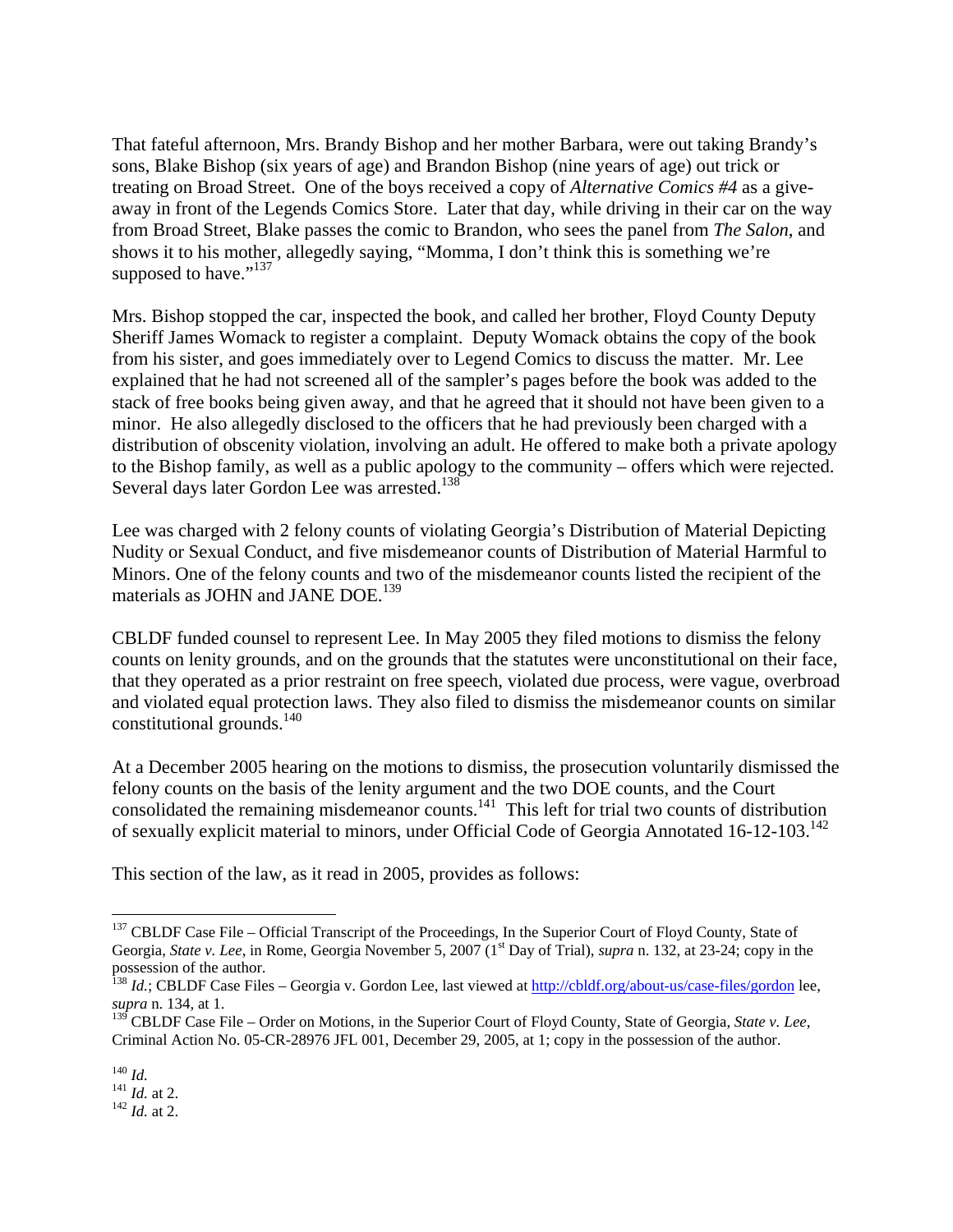That fateful afternoon, Mrs. Brandy Bishop and her mother Barbara, were out taking Brandy's sons, Blake Bishop (six years of age) and Brandon Bishop (nine years of age) out trick or treating on Broad Street. One of the boys received a copy of *Alternative Comics #4* as a giveaway in front of the Legends Comics Store. Later that day, while driving in their car on the way from Broad Street, Blake passes the comic to Brandon, who sees the panel from *The Salon*, and shows it to his mother, allegedly saying, "Momma, I don't think this is something we're supposed to have."<sup>137</sup>

Mrs. Bishop stopped the car, inspected the book, and called her brother, Floyd County Deputy Sheriff James Womack to register a complaint. Deputy Womack obtains the copy of the book from his sister, and goes immediately over to Legend Comics to discuss the matter. Mr. Lee explained that he had not screened all of the sampler's pages before the book was added to the stack of free books being given away, and that he agreed that it should not have been given to a minor. He also allegedly disclosed to the officers that he had previously been charged with a distribution of obscenity violation, involving an adult. He offered to make both a private apology to the Bishop family, as well as a public apology to the community – offers which were rejected. Several days later Gordon Lee was arrested.<sup>138</sup>

Lee was charged with 2 felony counts of violating Georgia's Distribution of Material Depicting Nudity or Sexual Conduct, and five misdemeanor counts of Distribution of Material Harmful to Minors. One of the felony counts and two of the misdemeanor counts listed the recipient of the materials as JOHN and JANE DOE.<sup>139</sup>

CBLDF funded counsel to represent Lee. In May 2005 they filed motions to dismiss the felony counts on lenity grounds, and on the grounds that the statutes were unconstitutional on their face, that they operated as a prior restraint on free speech, violated due process, were vague, overbroad and violated equal protection laws. They also filed to dismiss the misdemeanor counts on similar constitutional grounds.<sup>140</sup>

At a December 2005 hearing on the motions to dismiss, the prosecution voluntarily dismissed the felony counts on the basis of the lenity argument and the two DOE counts, and the Court consolidated the remaining misdemeanor counts.141 This left for trial two counts of distribution of sexually explicit material to minors, under Official Code of Georgia Annotated 16-12-103.<sup>142</sup>

This section of the law, as it read in 2005, provides as follows:

1

<sup>&</sup>lt;sup>137</sup> CBLDF Case File – Official Transcript of the Proceedings, In the Superior Court of Floyd County, State of Georgia, *State v. Lee*, in Rome, Georgia November 5, 2007 (1<sup>st</sup> Day of Trial), *supra* n. 132, at 23-24; copy in the possession of the author.

<sup>&</sup>lt;sup>138</sup> *Id.*; CBLDF Case Files – Georgia v. Gordon Lee, last viewed at http://cbldf.org/about-us/case-files/gordon lee, *supra* n. 134, at 1.

<sup>&</sup>lt;sup>139</sup> CBLDF Case File – Order on Motions, in the Superior Court of Floyd County, State of Georgia, *State v. Lee*, Criminal Action No. 05-CR-28976 JFL 001, December 29, 2005, at 1; copy in the possession of the author.

<sup>140</sup> *Id.* <sup>141</sup> *Id.* at 2. 142 *Id.* at 2.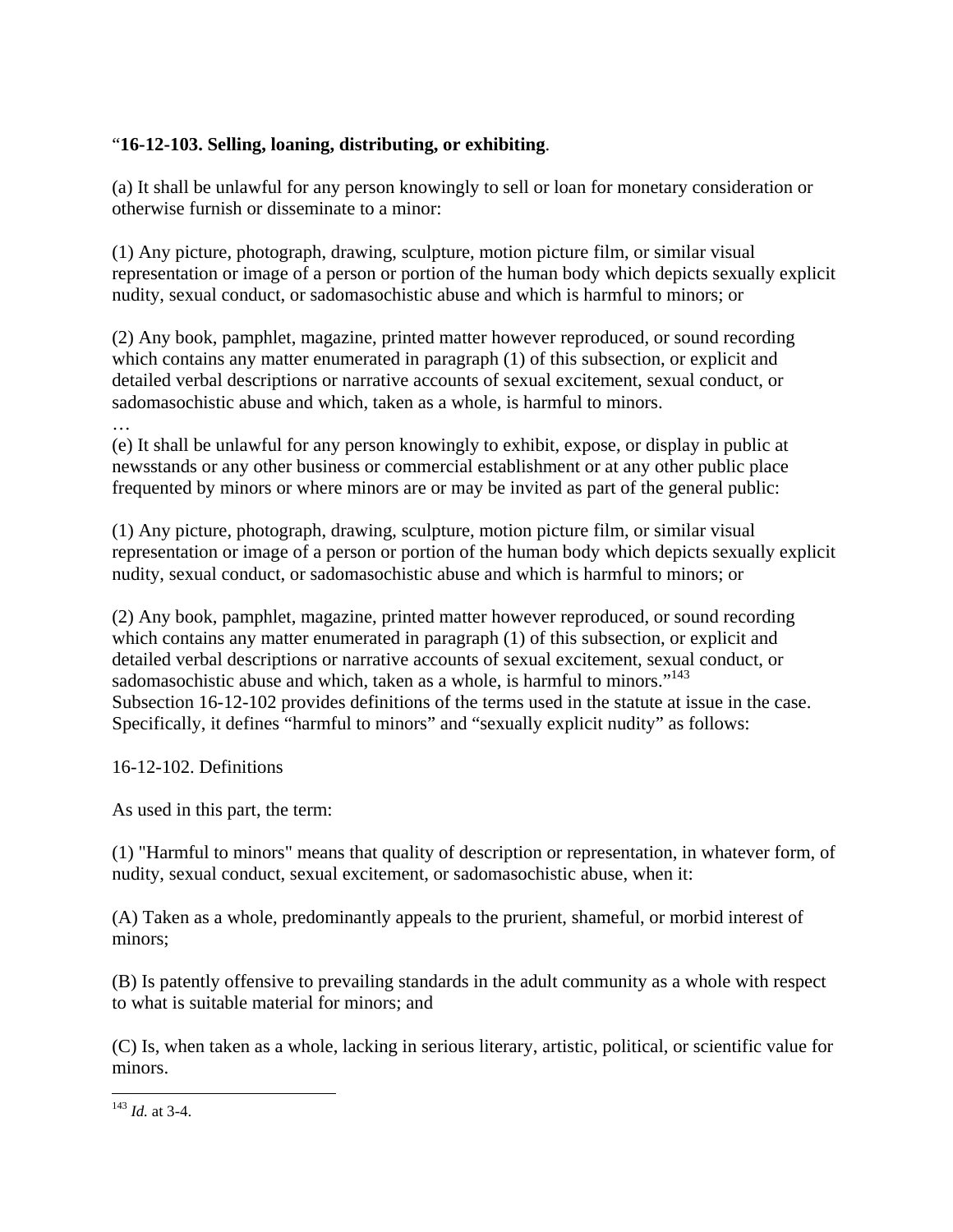## "**16-12-103. Selling, loaning, distributing, or exhibiting**.

(a) It shall be unlawful for any person knowingly to sell or loan for monetary consideration or otherwise furnish or disseminate to a minor:

(1) Any picture, photograph, drawing, sculpture, motion picture film, or similar visual representation or image of a person or portion of the human body which depicts sexually explicit nudity, sexual conduct, or sadomasochistic abuse and which is harmful to minors; or

(2) Any book, pamphlet, magazine, printed matter however reproduced, or sound recording which contains any matter enumerated in paragraph (1) of this subsection, or explicit and detailed verbal descriptions or narrative accounts of sexual excitement, sexual conduct, or sadomasochistic abuse and which, taken as a whole, is harmful to minors.

…

(e) It shall be unlawful for any person knowingly to exhibit, expose, or display in public at newsstands or any other business or commercial establishment or at any other public place frequented by minors or where minors are or may be invited as part of the general public:

(1) Any picture, photograph, drawing, sculpture, motion picture film, or similar visual representation or image of a person or portion of the human body which depicts sexually explicit nudity, sexual conduct, or sadomasochistic abuse and which is harmful to minors; or

(2) Any book, pamphlet, magazine, printed matter however reproduced, or sound recording which contains any matter enumerated in paragraph (1) of this subsection, or explicit and detailed verbal descriptions or narrative accounts of sexual excitement, sexual conduct, or sadomasochistic abuse and which, taken as a whole, is harmful to minors."<sup>143</sup> Subsection 16-12-102 provides definitions of the terms used in the statute at issue in the case. Specifically, it defines "harmful to minors" and "sexually explicit nudity" as follows:

16-12-102. Definitions

As used in this part, the term:

(1) "Harmful to minors" means that quality of description or representation, in whatever form, of nudity, sexual conduct, sexual excitement, or sadomasochistic abuse, when it:

(A) Taken as a whole, predominantly appeals to the prurient, shameful, or morbid interest of minors;

(B) Is patently offensive to prevailing standards in the adult community as a whole with respect to what is suitable material for minors; and

(C) Is, when taken as a whole, lacking in serious literary, artistic, political, or scientific value for minors.

 $\overline{a}$ <sup>143</sup> *Id.* at 3-4.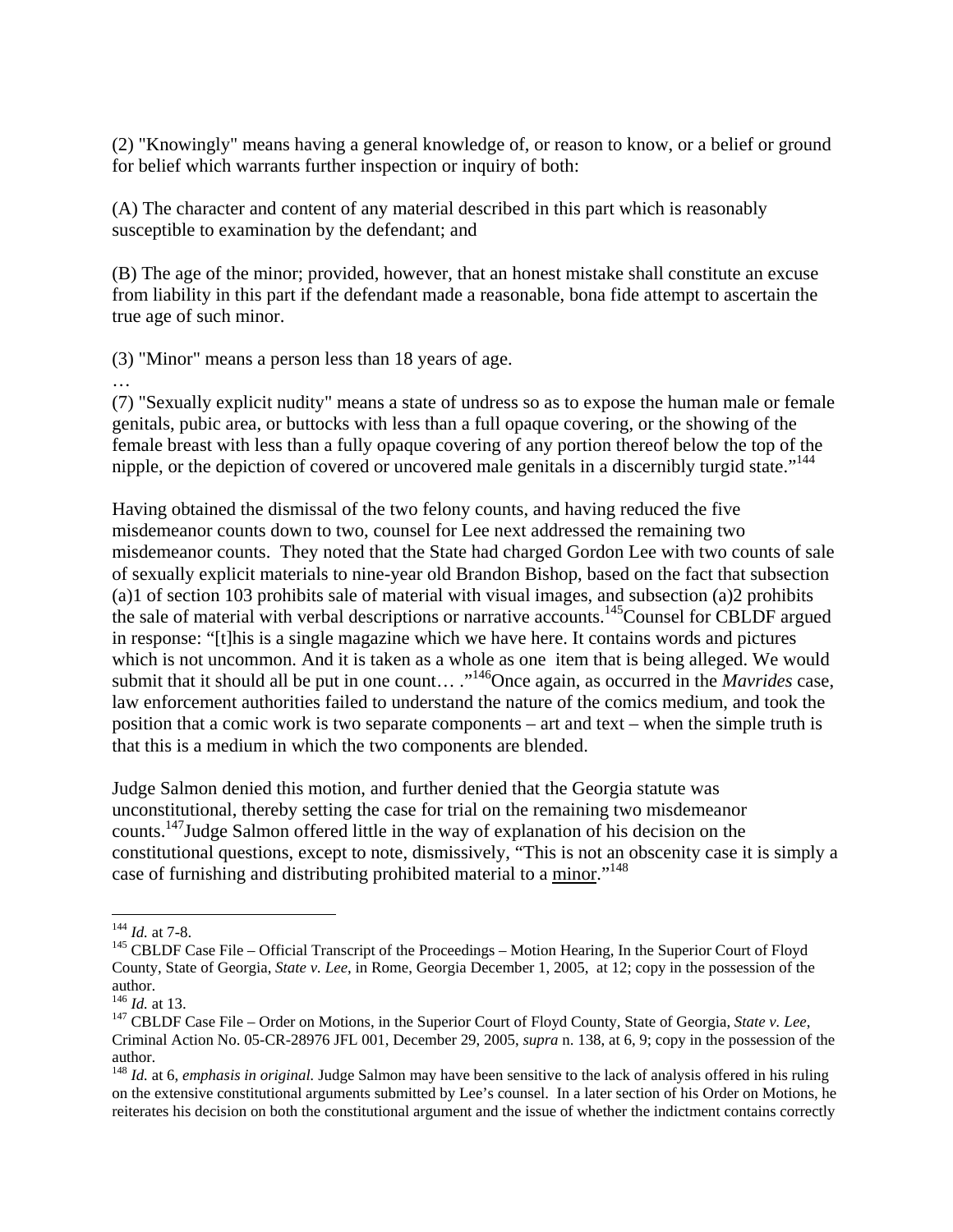(2) "Knowingly" means having a general knowledge of, or reason to know, or a belief or ground for belief which warrants further inspection or inquiry of both:

(A) The character and content of any material described in this part which is reasonably susceptible to examination by the defendant; and

(B) The age of the minor; provided, however, that an honest mistake shall constitute an excuse from liability in this part if the defendant made a reasonable, bona fide attempt to ascertain the true age of such minor.

(3) "Minor" means a person less than 18 years of age.

… (7) "Sexually explicit nudity" means a state of undress so as to expose the human male or female genitals, pubic area, or buttocks with less than a full opaque covering, or the showing of the female breast with less than a fully opaque covering of any portion thereof below the top of the nipple, or the depiction of covered or uncovered male genitals in a discernibly turgid state."<sup>144</sup>

Having obtained the dismissal of the two felony counts, and having reduced the five misdemeanor counts down to two, counsel for Lee next addressed the remaining two misdemeanor counts. They noted that the State had charged Gordon Lee with two counts of sale of sexually explicit materials to nine-year old Brandon Bishop, based on the fact that subsection (a)1 of section 103 prohibits sale of material with visual images, and subsection (a)2 prohibits the sale of material with verbal descriptions or narrative accounts.<sup>145</sup>Counsel for CBLDF argued in response: "[t]his is a single magazine which we have here. It contains words and pictures which is not uncommon. And it is taken as a whole as one item that is being alleged. We would submit that it should all be put in one count... .<sup>"146</sup>Once again, as occurred in the *Mavrides* case, law enforcement authorities failed to understand the nature of the comics medium, and took the position that a comic work is two separate components – art and text – when the simple truth is that this is a medium in which the two components are blended.

Judge Salmon denied this motion, and further denied that the Georgia statute was unconstitutional, thereby setting the case for trial on the remaining two misdemeanor counts.147Judge Salmon offered little in the way of explanation of his decision on the constitutional questions, except to note, dismissively, "This is not an obscenity case it is simply a case of furnishing and distributing prohibited material to a minor."148

 $144$  *Id.* at 7-8.

<sup>&</sup>lt;sup>145</sup> CBLDF Case File – Official Transcript of the Proceedings – Motion Hearing, In the Superior Court of Floyd County, State of Georgia, *State v. Lee*, in Rome, Georgia December 1, 2005, at 12; copy in the possession of the author.<br> $^{146}$  *Id.* at 13.

<sup>&</sup>lt;sup>147</sup> CBLDF Case File – Order on Motions, in the Superior Court of Floyd County, State of Georgia, State v. Lee, Criminal Action No. 05-CR-28976 JFL 001, December 29, 2005, *supra* n. 138, at 6, 9; copy in the possession of the author.

<sup>148</sup> *Id.* at 6, *emphasis in original.* Judge Salmon may have been sensitive to the lack of analysis offered in his ruling on the extensive constitutional arguments submitted by Lee's counsel. In a later section of his Order on Motions, he reiterates his decision on both the constitutional argument and the issue of whether the indictment contains correctly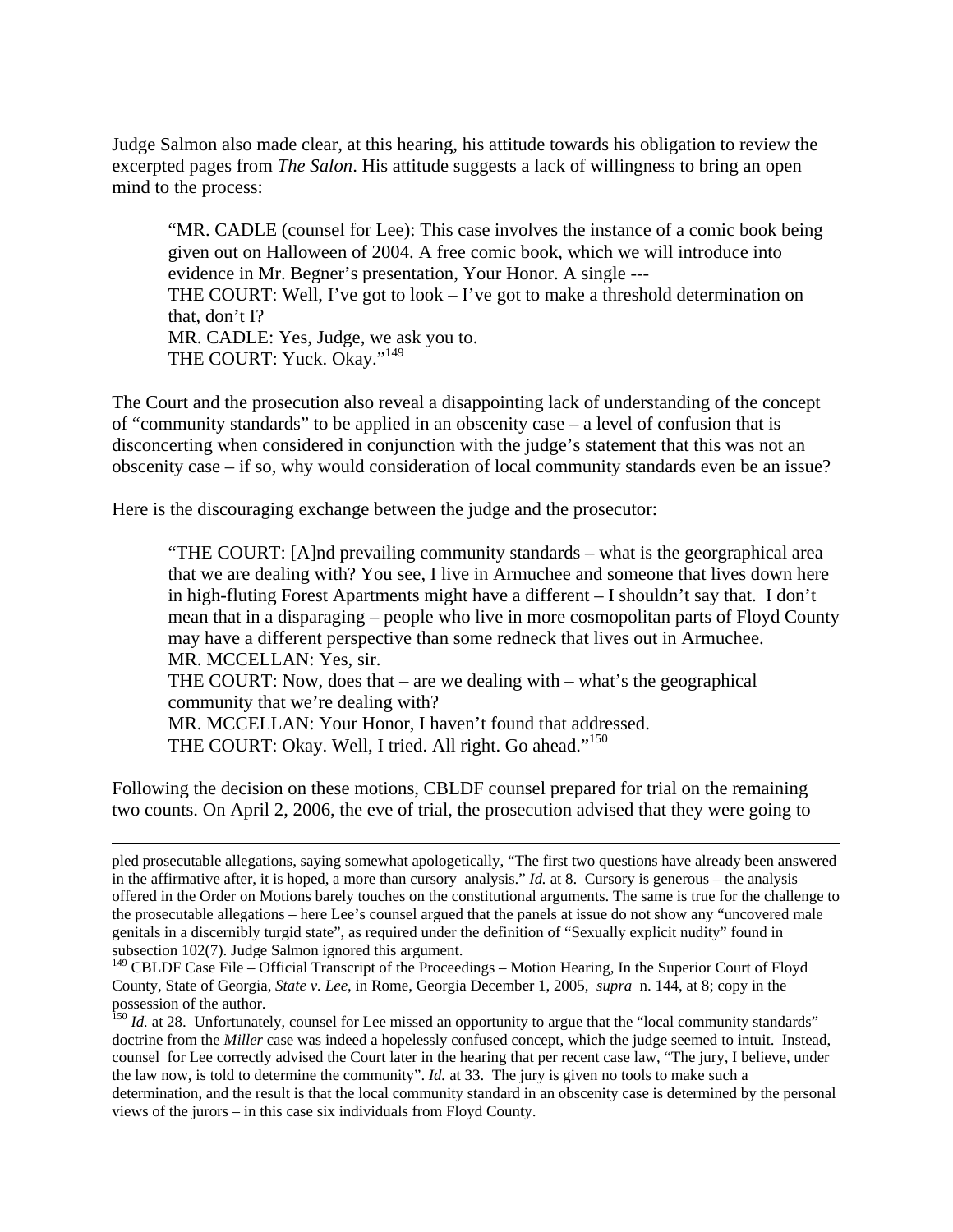Judge Salmon also made clear, at this hearing, his attitude towards his obligation to review the excerpted pages from *The Salon*. His attitude suggests a lack of willingness to bring an open mind to the process:

 "MR. CADLE (counsel for Lee): This case involves the instance of a comic book being given out on Halloween of 2004. A free comic book, which we will introduce into evidence in Mr. Begner's presentation, Your Honor. A single --- THE COURT: Well, I've got to look – I've got to make a threshold determination on that, don't I? MR. CADLE: Yes, Judge, we ask you to. THE COURT: Yuck. Okay."<sup>149</sup>

The Court and the prosecution also reveal a disappointing lack of understanding of the concept of "community standards" to be applied in an obscenity case – a level of confusion that is disconcerting when considered in conjunction with the judge's statement that this was not an obscenity case – if so, why would consideration of local community standards even be an issue?

Here is the discouraging exchange between the judge and the prosecutor:

 "THE COURT: [A]nd prevailing community standards – what is the georgraphical area that we are dealing with? You see, I live in Armuchee and someone that lives down here in high-fluting Forest Apartments might have a different – I shouldn't say that. I don't mean that in a disparaging – people who live in more cosmopolitan parts of Floyd County may have a different perspective than some redneck that lives out in Armuchee. MR. MCCELLAN: Yes, sir. THE COURT: Now, does that – are we dealing with – what's the geographical community that we're dealing with?

 MR. MCCELLAN: Your Honor, I haven't found that addressed. THE COURT: Okay. Well, I tried. All right. Go ahead."<sup>150</sup>

Following the decision on these motions, CBLDF counsel prepared for trial on the remaining two counts. On April 2, 2006, the eve of trial, the prosecution advised that they were going to

pled prosecutable allegations, saying somewhat apologetically, "The first two questions have already been answered in the affirmative after, it is hoped, a more than cursory analysis." *Id.* at 8. Cursory is generous – the analysis offered in the Order on Motions barely touches on the constitutional arguments. The same is true for the challenge to the prosecutable allegations – here Lee's counsel argued that the panels at issue do not show any "uncovered male genitals in a discernibly turgid state", as required under the definition of "Sexually explicit nudity" found in subsection 102(7). Judge Salmon ignored this argument.

<sup>&</sup>lt;sup>149</sup> CBLDF Case File – Official Transcript of the Proceedings – Motion Hearing, In the Superior Court of Floyd County, State of Georgia, *State v. Lee*, in Rome, Georgia December 1, 2005, *supra* n. 144, at 8; copy in the possession of the author.

<sup>&</sup>lt;sup>150</sup> *Id.* at 28. Unfortunately, counsel for Lee missed an opportunity to argue that the "local community standards" doctrine from the *Miller* case was indeed a hopelessly confused concept, which the judge seemed to intuit. Instead, counsel for Lee correctly advised the Court later in the hearing that per recent case law, "The jury, I believe, under the law now, is told to determine the community". *Id.* at 33. The jury is given no tools to make such a determination, and the result is that the local community standard in an obscenity case is determined by the personal views of the jurors – in this case six individuals from Floyd County.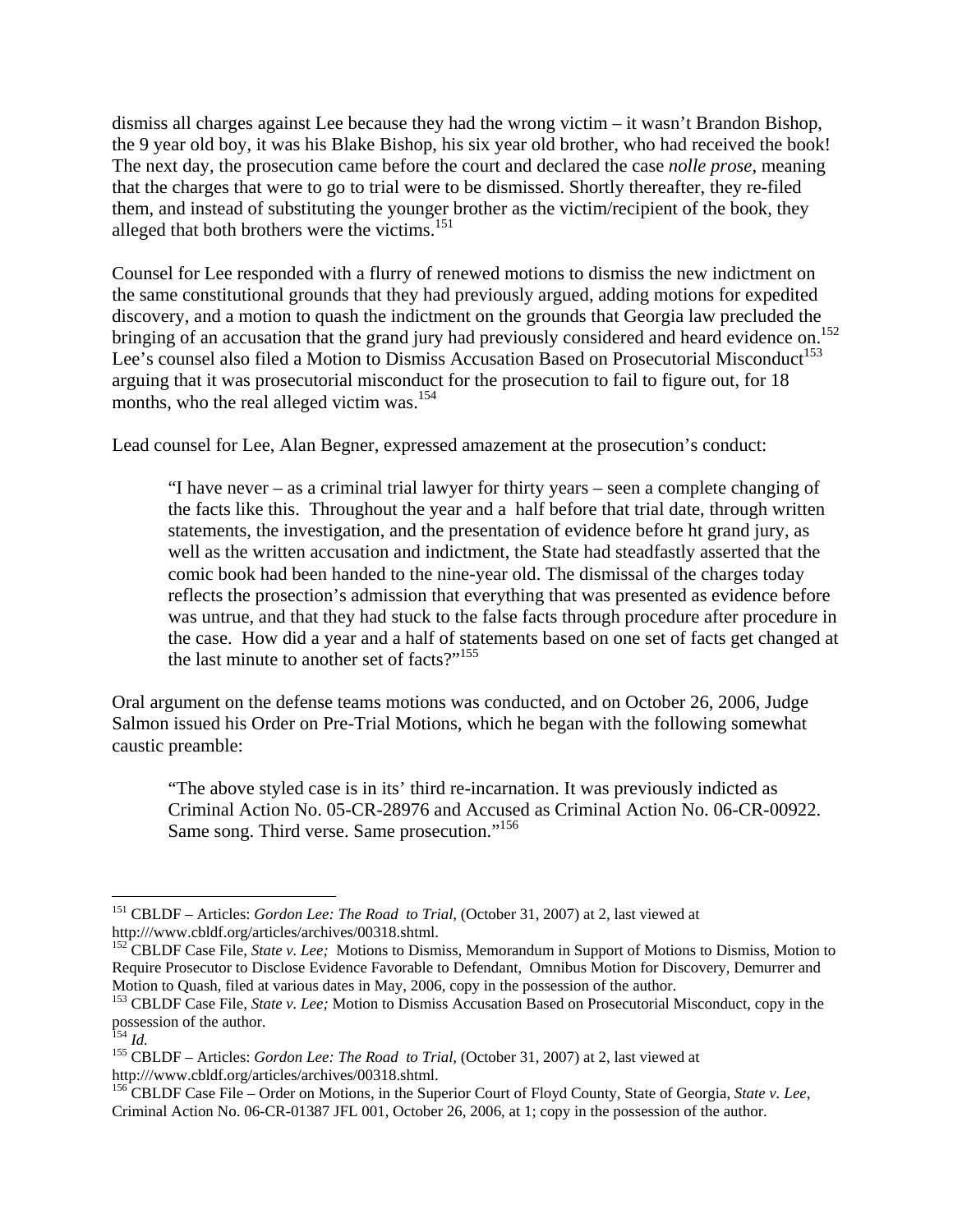dismiss all charges against Lee because they had the wrong victim – it wasn't Brandon Bishop, the 9 year old boy, it was his Blake Bishop, his six year old brother, who had received the book! The next day, the prosecution came before the court and declared the case *nolle prose*, meaning that the charges that were to go to trial were to be dismissed. Shortly thereafter, they re-filed them, and instead of substituting the younger brother as the victim/recipient of the book, they alleged that both brothers were the victims.151

Counsel for Lee responded with a flurry of renewed motions to dismiss the new indictment on the same constitutional grounds that they had previously argued, adding motions for expedited discovery, and a motion to quash the indictment on the grounds that Georgia law precluded the bringing of an accusation that the grand jury had previously considered and heard evidence on.<sup>152</sup> Lee's counsel also filed a Motion to Dismiss Accusation Based on Prosecutorial Misconduct<sup>153</sup> arguing that it was prosecutorial misconduct for the prosecution to fail to figure out, for 18 months, who the real alleged victim was.<sup>154</sup>

Lead counsel for Lee, Alan Begner, expressed amazement at the prosecution's conduct:

 "I have never – as a criminal trial lawyer for thirty years – seen a complete changing of the facts like this. Throughout the year and a half before that trial date, through written statements, the investigation, and the presentation of evidence before ht grand jury, as well as the written accusation and indictment, the State had steadfastly asserted that the comic book had been handed to the nine-year old. The dismissal of the charges today reflects the prosection's admission that everything that was presented as evidence before was untrue, and that they had stuck to the false facts through procedure after procedure in the case. How did a year and a half of statements based on one set of facts get changed at the last minute to another set of facts?"155

Oral argument on the defense teams motions was conducted, and on October 26, 2006, Judge Salmon issued his Order on Pre-Trial Motions, which he began with the following somewhat caustic preamble:

 "The above styled case is in its' third re-incarnation. It was previously indicted as Criminal Action No. 05-CR-28976 and Accused as Criminal Action No. 06-CR-00922. Same song. Third verse. Same prosecution."<sup>156</sup>

<sup>151</sup> CBLDF – Articles: *Gordon Lee: The Road to Trial*, (October 31, 2007) at 2, last viewed at http:///www.cbldf.org/articles/archives/00318.shtml.

<sup>152</sup> CBLDF Case File, *State v. Lee;* Motions to Dismiss, Memorandum in Support of Motions to Dismiss, Motion to Require Prosecutor to Disclose Evidence Favorable to Defendant, Omnibus Motion for Discovery, Demurrer and Motion to Quash, filed at various dates in May, 2006, copy in the possession of the author. 153 CBLDF Case File, *State v. Lee;* Motion to Dismiss Accusation Based on Prosecutorial Misconduct, copy in the

possession of the author.

<sup>&</sup>lt;sup>155</sup> CBLDF – Articles: *Gordon Lee: The Road to Trial*, (October 31, 2007) at 2, last viewed at http:///www.cbldf.org/articles/archives/00318.shtml.

<sup>156</sup> CBLDF Case File – Order on Motions, in the Superior Court of Floyd County, State of Georgia, *State v. Lee*, Criminal Action No. 06-CR-01387 JFL 001, October 26, 2006, at 1; copy in the possession of the author.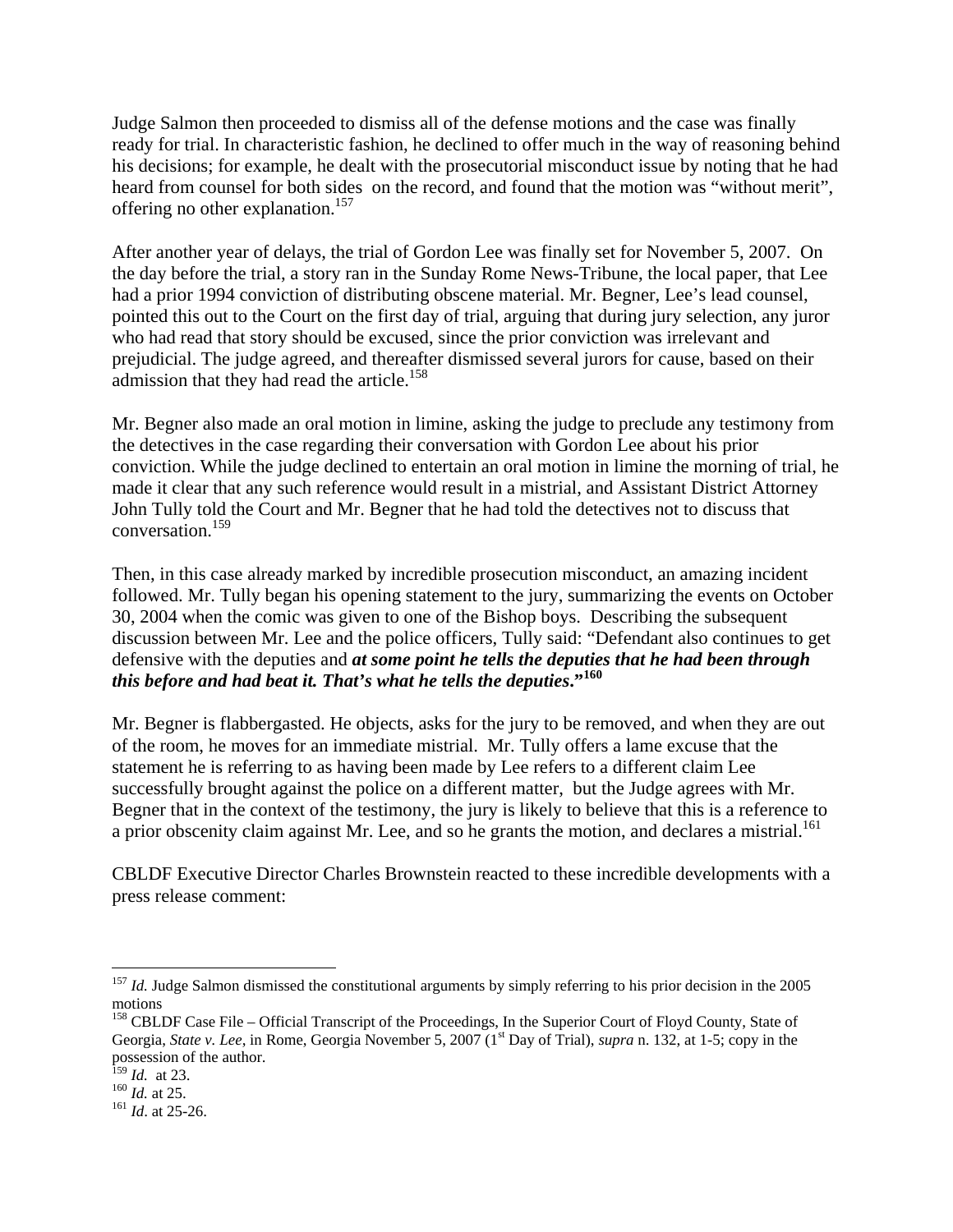Judge Salmon then proceeded to dismiss all of the defense motions and the case was finally ready for trial. In characteristic fashion, he declined to offer much in the way of reasoning behind his decisions; for example, he dealt with the prosecutorial misconduct issue by noting that he had heard from counsel for both sides on the record, and found that the motion was "without merit", offering no other explanation.<sup>157</sup>

After another year of delays, the trial of Gordon Lee was finally set for November 5, 2007. On the day before the trial, a story ran in the Sunday Rome News-Tribune, the local paper, that Lee had a prior 1994 conviction of distributing obscene material. Mr. Begner, Lee's lead counsel, pointed this out to the Court on the first day of trial, arguing that during jury selection, any juror who had read that story should be excused, since the prior conviction was irrelevant and prejudicial. The judge agreed, and thereafter dismissed several jurors for cause, based on their admission that they had read the article.<sup>158</sup>

Mr. Begner also made an oral motion in limine, asking the judge to preclude any testimony from the detectives in the case regarding their conversation with Gordon Lee about his prior conviction. While the judge declined to entertain an oral motion in limine the morning of trial, he made it clear that any such reference would result in a mistrial, and Assistant District Attorney John Tully told the Court and Mr. Begner that he had told the detectives not to discuss that conversation.<sup>159</sup>

Then, in this case already marked by incredible prosecution misconduct, an amazing incident followed. Mr. Tully began his opening statement to the jury, summarizing the events on October 30, 2004 when the comic was given to one of the Bishop boys. Describing the subsequent discussion between Mr. Lee and the police officers, Tully said: "Defendant also continues to get defensive with the deputies and *at some point he tells the deputies that he had been through this before and had beat it. That's what he tells the deputies***."160**

Mr. Begner is flabbergasted. He objects, asks for the jury to be removed, and when they are out of the room, he moves for an immediate mistrial. Mr. Tully offers a lame excuse that the statement he is referring to as having been made by Lee refers to a different claim Lee successfully brought against the police on a different matter, but the Judge agrees with Mr. Begner that in the context of the testimony, the jury is likely to believe that this is a reference to a prior obscenity claim against Mr. Lee, and so he grants the motion, and declares a mistrial.<sup>161</sup>

CBLDF Executive Director Charles Brownstein reacted to these incredible developments with a press release comment:

1

<sup>&</sup>lt;sup>157</sup> *Id.* Judge Salmon dismissed the constitutional arguments by simply referring to his prior decision in the 2005 motions

<sup>&</sup>lt;sup>158</sup> CBLDF Case File – Official Transcript of the Proceedings, In the Superior Court of Floyd County, State of Georgia, *State v. Lee*, in Rome, Georgia November 5, 2007 (1<sup>st</sup> Day of Trial), *supra* n. 132, at 1-5; copy in the possession of the author.<br> $^{159}$  *Id.* at 23.

<sup>159</sup> *Id.* at 23. 160 *Id.* at 25. 161 *Id*. at 25-26.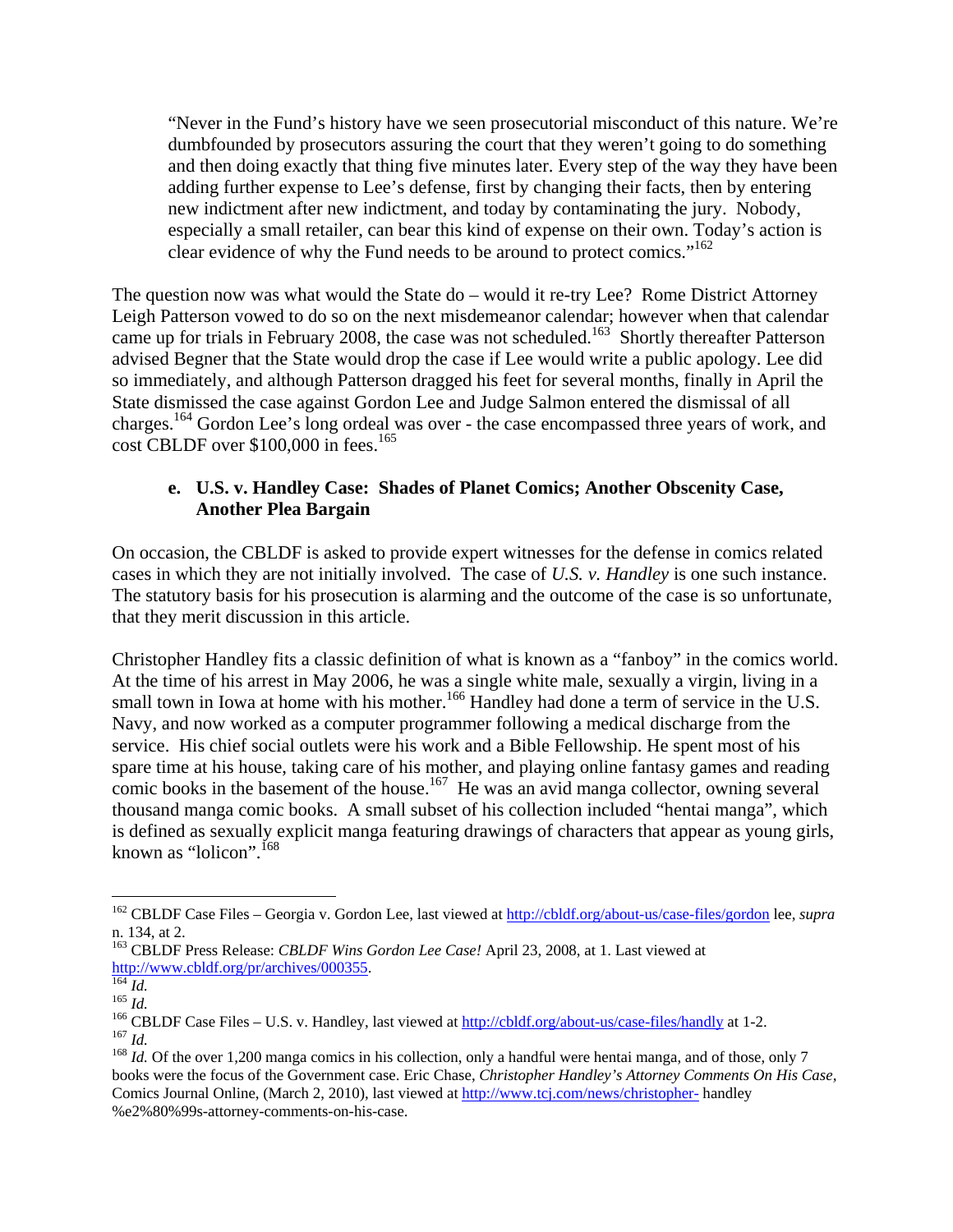"Never in the Fund's history have we seen prosecutorial misconduct of this nature. We're dumbfounded by prosecutors assuring the court that they weren't going to do something and then doing exactly that thing five minutes later. Every step of the way they have been adding further expense to Lee's defense, first by changing their facts, then by entering new indictment after new indictment, and today by contaminating the jury. Nobody, especially a small retailer, can bear this kind of expense on their own. Today's action is clear evidence of why the Fund needs to be around to protect comics."<sup>162</sup>

The question now was what would the State do – would it re-try Lee? Rome District Attorney Leigh Patterson vowed to do so on the next misdemeanor calendar; however when that calendar came up for trials in February 2008, the case was not scheduled.<sup>163</sup> Shortly thereafter Patterson advised Begner that the State would drop the case if Lee would write a public apology. Lee did so immediately, and although Patterson dragged his feet for several months, finally in April the State dismissed the case against Gordon Lee and Judge Salmon entered the dismissal of all charges.<sup>164</sup> Gordon Lee's long ordeal was over - the case encompassed three years of work, and cost CBLDF over \$100,000 in fees.<sup>165</sup>

### **e. U.S. v. Handley Case: Shades of Planet Comics; Another Obscenity Case, Another Plea Bargain**

On occasion, the CBLDF is asked to provide expert witnesses for the defense in comics related cases in which they are not initially involved. The case of *U.S. v. Handley* is one such instance. The statutory basis for his prosecution is alarming and the outcome of the case is so unfortunate, that they merit discussion in this article.

Christopher Handley fits a classic definition of what is known as a "fanboy" in the comics world. At the time of his arrest in May 2006, he was a single white male, sexually a virgin, living in a small town in Iowa at home with his mother.<sup>166</sup> Handley had done a term of service in the U.S. Navy, and now worked as a computer programmer following a medical discharge from the service. His chief social outlets were his work and a Bible Fellowship. He spent most of his spare time at his house, taking care of his mother, and playing online fantasy games and reading comic books in the basement of the house.<sup>167</sup> He was an avid manga collector, owning several thousand manga comic books. A small subset of his collection included "hentai manga", which is defined as sexually explicit manga featuring drawings of characters that appear as young girls, known as "lolicon".<sup>168</sup>

<sup>162</sup> CBLDF Case Files – Georgia v. Gordon Lee, last viewed at http://cbldf.org/about-us/case-files/gordon lee, *supra*  n. 134, at 2.

<sup>&</sup>lt;sup>163</sup> CBLDF Press Release: *CBLDF Wins Gordon Lee Case!* April 23, 2008, at 1. Last viewed at http://www.cbldf.org/pr/archives/000355.

<sup>&</sup>lt;sup>164</sup>*Id.*<br><sup>165</sup>*Id.*<br><sup>166</sup> CBLDF Case Files – U.S. v. Handley, last viewed at <u>http://cbldf.org/about-us/case-files/handly</u> at 1-2.<br><sup>167</sup>*Id.*<br><sup>168</sup>*Id.* Of the over 1,200 manga comics in his collection, only a handful w

books were the focus of the Government case. Eric Chase, *Christopher Handley's Attorney Comments On His Case,*  Comics Journal Online, (March 2, 2010), last viewed at http://www.tcj.com/news/christopher- handley %e2%80%99s-attorney-comments-on-his-case.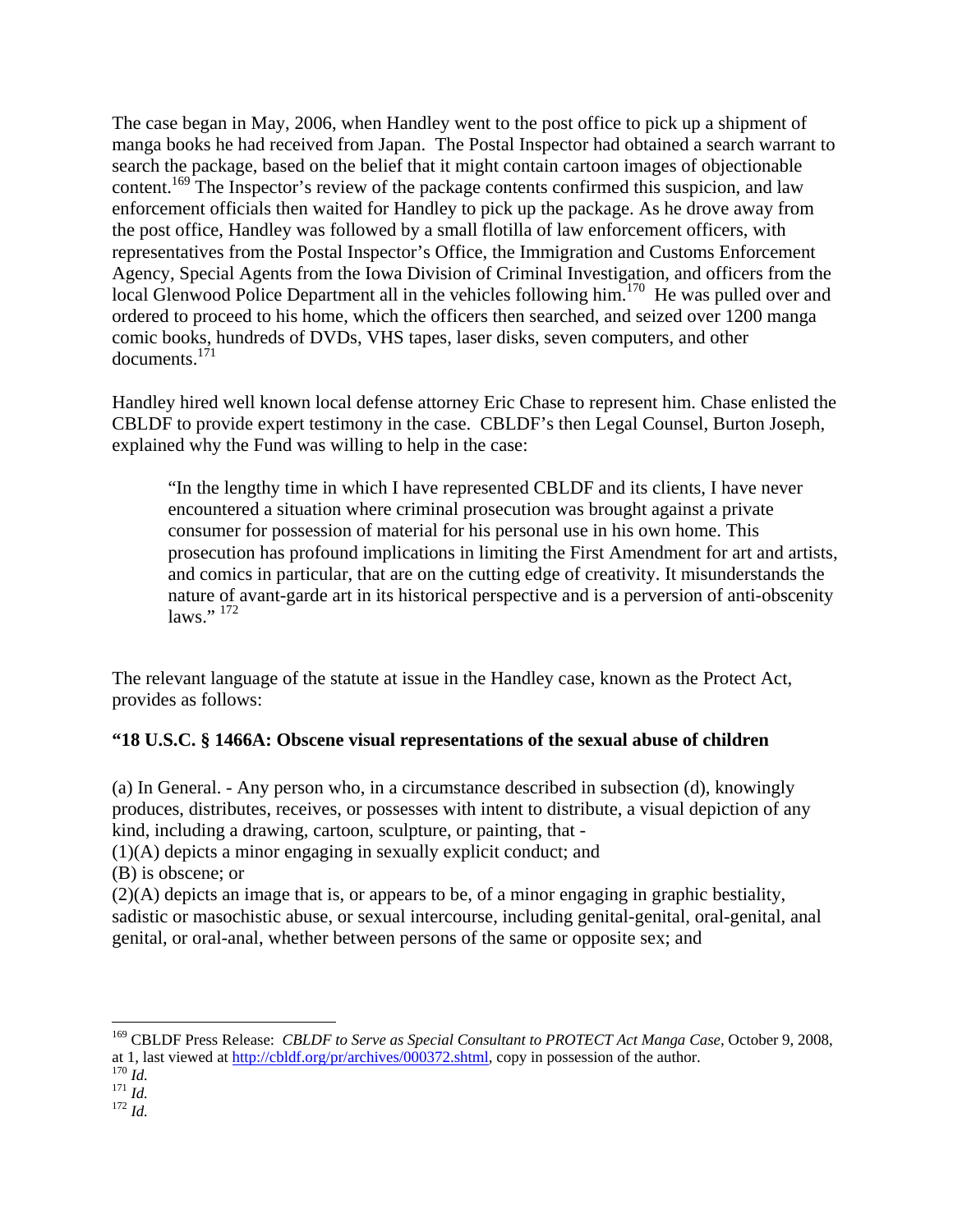The case began in May, 2006, when Handley went to the post office to pick up a shipment of manga books he had received from Japan. The Postal Inspector had obtained a search warrant to search the package, based on the belief that it might contain cartoon images of objectionable content.<sup>169</sup> The Inspector's review of the package contents confirmed this suspicion, and law enforcement officials then waited for Handley to pick up the package. As he drove away from the post office, Handley was followed by a small flotilla of law enforcement officers, with representatives from the Postal Inspector's Office, the Immigration and Customs Enforcement Agency, Special Agents from the Iowa Division of Criminal Investigation, and officers from the local Glenwood Police Department all in the vehicles following him.<sup>170</sup> He was pulled over and ordered to proceed to his home, which the officers then searched, and seized over 1200 manga comic books, hundreds of DVDs, VHS tapes, laser disks, seven computers, and other documents.171

Handley hired well known local defense attorney Eric Chase to represent him. Chase enlisted the CBLDF to provide expert testimony in the case. CBLDF's then Legal Counsel, Burton Joseph, explained why the Fund was willing to help in the case:

 "In the lengthy time in which I have represented CBLDF and its clients, I have never encountered a situation where criminal prosecution was brought against a private consumer for possession of material for his personal use in his own home. This prosecution has profound implications in limiting the First Amendment for art and artists, and comics in particular, that are on the cutting edge of creativity. It misunderstands the nature of avant-garde art in its historical perspective and is a perversion of anti-obscenity  $\mu$ laws."  $^{172}$ 

The relevant language of the statute at issue in the Handley case, known as the Protect Act, provides as follows:

## **"18 U.S.C. § 1466A: Obscene visual representations of the sexual abuse of children**

(a) In General. - Any person who, in a circumstance described in subsection (d), knowingly produces, distributes, receives, or possesses with intent to distribute, a visual depiction of any kind, including a drawing, cartoon, sculpture, or painting, that -

(1)(A) depicts a minor engaging in sexually explicit conduct; and

(B) is obscene; or

(2)(A) depicts an image that is, or appears to be, of a minor engaging in graphic bestiality, sadistic or masochistic abuse, or sexual intercourse, including genital-genital, oral-genital, anal genital, or oral-anal, whether between persons of the same or opposite sex; and

1

<sup>&</sup>lt;sup>169</sup> CBLDF Press Release: *CBLDF to Serve as Special Consultant to PROTECT Act Manga Case*, October 9, 2008, at 1, last viewed at http://cbldf.org/pr/archives/000372.shtml, copy in possession of the author. 170 *Id.* <sup>171</sup> *Id.* <sup>172</sup> *Id.*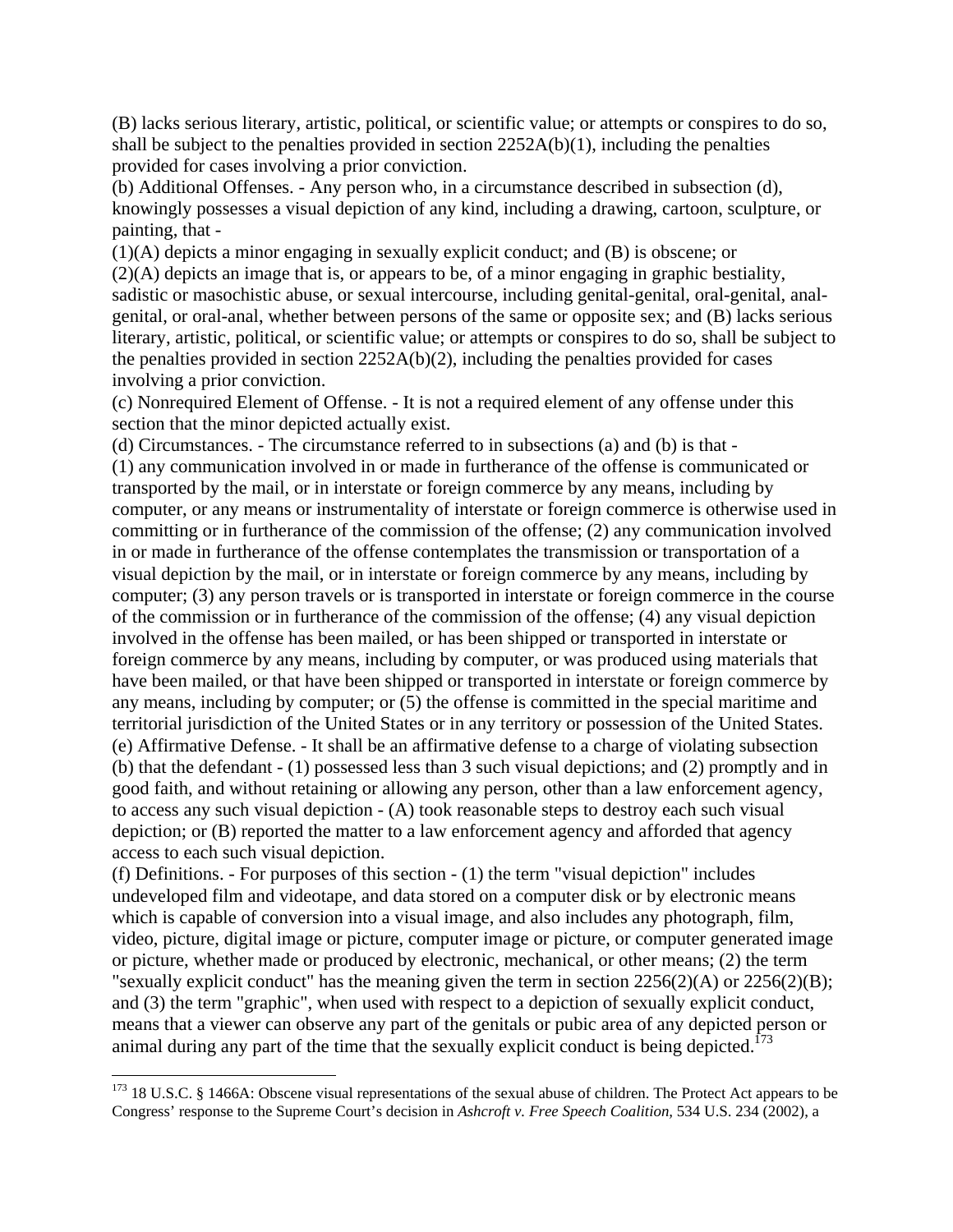(B) lacks serious literary, artistic, political, or scientific value; or attempts or conspires to do so, shall be subject to the penalties provided in section  $2252A(b)(1)$ , including the penalties provided for cases involving a prior conviction.

(b) Additional Offenses. - Any person who, in a circumstance described in subsection (d), knowingly possesses a visual depiction of any kind, including a drawing, cartoon, sculpture, or painting, that -

(1)(A) depicts a minor engaging in sexually explicit conduct; and (B) is obscene; or (2)(A) depicts an image that is, or appears to be, of a minor engaging in graphic bestiality, sadistic or masochistic abuse, or sexual intercourse, including genital-genital, oral-genital, analgenital, or oral-anal, whether between persons of the same or opposite sex; and (B) lacks serious literary, artistic, political, or scientific value; or attempts or conspires to do so, shall be subject to the penalties provided in section 2252A(b)(2), including the penalties provided for cases involving a prior conviction.

(c) Nonrequired Element of Offense. - It is not a required element of any offense under this section that the minor depicted actually exist.

(d) Circumstances. - The circumstance referred to in subsections (a) and (b) is that -

(1) any communication involved in or made in furtherance of the offense is communicated or transported by the mail, or in interstate or foreign commerce by any means, including by computer, or any means or instrumentality of interstate or foreign commerce is otherwise used in committing or in furtherance of the commission of the offense; (2) any communication involved in or made in furtherance of the offense contemplates the transmission or transportation of a visual depiction by the mail, or in interstate or foreign commerce by any means, including by computer; (3) any person travels or is transported in interstate or foreign commerce in the course of the commission or in furtherance of the commission of the offense; (4) any visual depiction involved in the offense has been mailed, or has been shipped or transported in interstate or foreign commerce by any means, including by computer, or was produced using materials that have been mailed, or that have been shipped or transported in interstate or foreign commerce by any means, including by computer; or (5) the offense is committed in the special maritime and territorial jurisdiction of the United States or in any territory or possession of the United States. (e) Affirmative Defense. - It shall be an affirmative defense to a charge of violating subsection (b) that the defendant - (1) possessed less than 3 such visual depictions; and (2) promptly and in good faith, and without retaining or allowing any person, other than a law enforcement agency, to access any such visual depiction - (A) took reasonable steps to destroy each such visual depiction; or (B) reported the matter to a law enforcement agency and afforded that agency access to each such visual depiction.

(f) Definitions. - For purposes of this section - (1) the term "visual depiction" includes undeveloped film and videotape, and data stored on a computer disk or by electronic means which is capable of conversion into a visual image, and also includes any photograph, film, video, picture, digital image or picture, computer image or picture, or computer generated image or picture, whether made or produced by electronic, mechanical, or other means; (2) the term "sexually explicit conduct" has the meaning given the term in section  $2256(2)(A)$  or  $2256(2)(B)$ ; and (3) the term "graphic", when used with respect to a depiction of sexually explicit conduct, means that a viewer can observe any part of the genitals or pubic area of any depicted person or animal during any part of the time that the sexually explicit conduct is being depicted.<sup>173</sup>

1

<sup>&</sup>lt;sup>173</sup> 18 U.S.C. § 1466A: Obscene visual representations of the sexual abuse of children. The Protect Act appears to be Congress' response to the Supreme Court's decision in *Ashcroft v. Free Speech Coalition,* 534 U.S. 234 (2002), a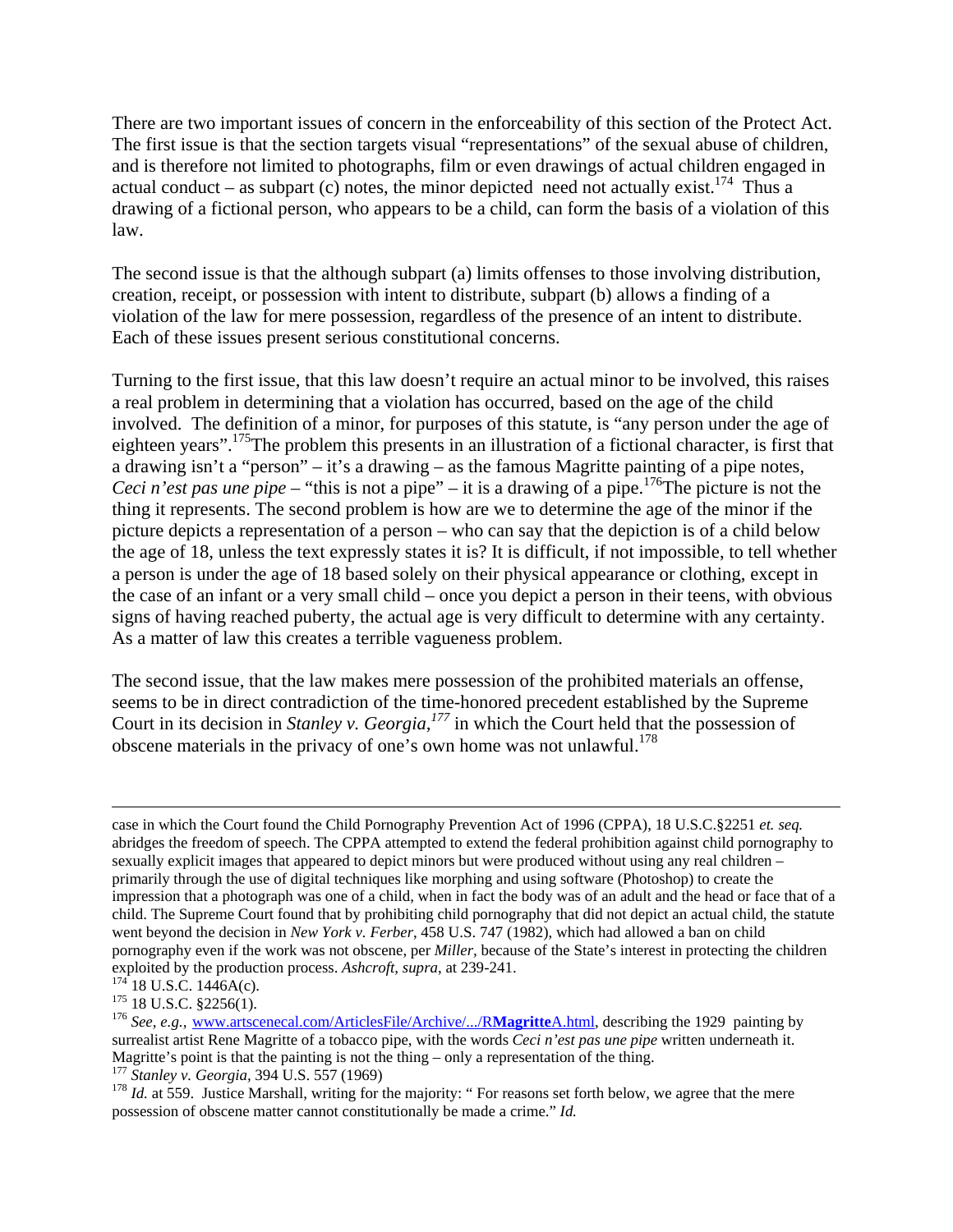There are two important issues of concern in the enforceability of this section of the Protect Act. The first issue is that the section targets visual "representations" of the sexual abuse of children, and is therefore not limited to photographs, film or even drawings of actual children engaged in actual conduct – as subpart (c) notes, the minor depicted need not actually exist.<sup>174</sup> Thus a drawing of a fictional person, who appears to be a child, can form the basis of a violation of this law.

The second issue is that the although subpart (a) limits offenses to those involving distribution, creation, receipt, or possession with intent to distribute, subpart (b) allows a finding of a violation of the law for mere possession, regardless of the presence of an intent to distribute. Each of these issues present serious constitutional concerns.

Turning to the first issue, that this law doesn't require an actual minor to be involved, this raises a real problem in determining that a violation has occurred, based on the age of the child involved. The definition of a minor, for purposes of this statute, is "any person under the age of eighteen years".175The problem this presents in an illustration of a fictional character, is first that a drawing isn't a "person" – it's a drawing – as the famous Magritte painting of a pipe notes, *Ceci n'est pas une pipe* – "this is not a pipe" – it is a drawing of a pipe.<sup>176</sup>The picture is not the thing it represents. The second problem is how are we to determine the age of the minor if the picture depicts a representation of a person – who can say that the depiction is of a child below the age of 18, unless the text expressly states it is? It is difficult, if not impossible, to tell whether a person is under the age of 18 based solely on their physical appearance or clothing, except in the case of an infant or a very small child – once you depict a person in their teens, with obvious signs of having reached puberty, the actual age is very difficult to determine with any certainty. As a matter of law this creates a terrible vagueness problem.

The second issue, that the law makes mere possession of the prohibited materials an offense, seems to be in direct contradiction of the time-honored precedent established by the Supreme Court in its decision in *Stanley v. Georgia*,<sup>177</sup> in which the Court held that the possession of obscene materials in the privacy of one's own home was not unlawful.178

case in which the Court found the Child Pornography Prevention Act of 1996 (CPPA), 18 U.S.C.§2251 *et. seq.* abridges the freedom of speech. The CPPA attempted to extend the federal prohibition against child pornography to sexually explicit images that appeared to depict minors but were produced without using any real children – primarily through the use of digital techniques like morphing and using software (Photoshop) to create the impression that a photograph was one of a child, when in fact the body was of an adult and the head or face that of a child. The Supreme Court found that by prohibiting child pornography that did not depict an actual child, the statute went beyond the decision in *New York v. Ferber*, 458 U.S. 747 (1982), which had allowed a ban on child pornography even if the work was not obscene, per *Miller,* because of the State's interest in protecting the children exploited by the production process. *Ashcroft, supra,* at 239-241.<br><sup>174</sup> 18 U.S.C. 1446A(c).<br><sup>175</sup> 18 U.S.C. §2256(1).<br><sup>175</sup> *See, e.g., www.artscenecal.com/ArticlesFile/Archive/.../RMagritteA.html, describing the 1929 pa* 

surrealist artist Rene Magritte of a tobacco pipe, with the words *Ceci n'est pas une pipe* written underneath it. Magritte's point is that the painting is not the thing – only a representation of the thing.<br> $^{177}$  Stanley v. Georgia, 394 U.S. 557 (1969)

<sup>&</sup>lt;sup>178</sup> *Id.* at 559. Justice Marshall, writing for the majority: " For reasons set forth below, we agree that the mere possession of obscene matter cannot constitutionally be made a crime." *Id.*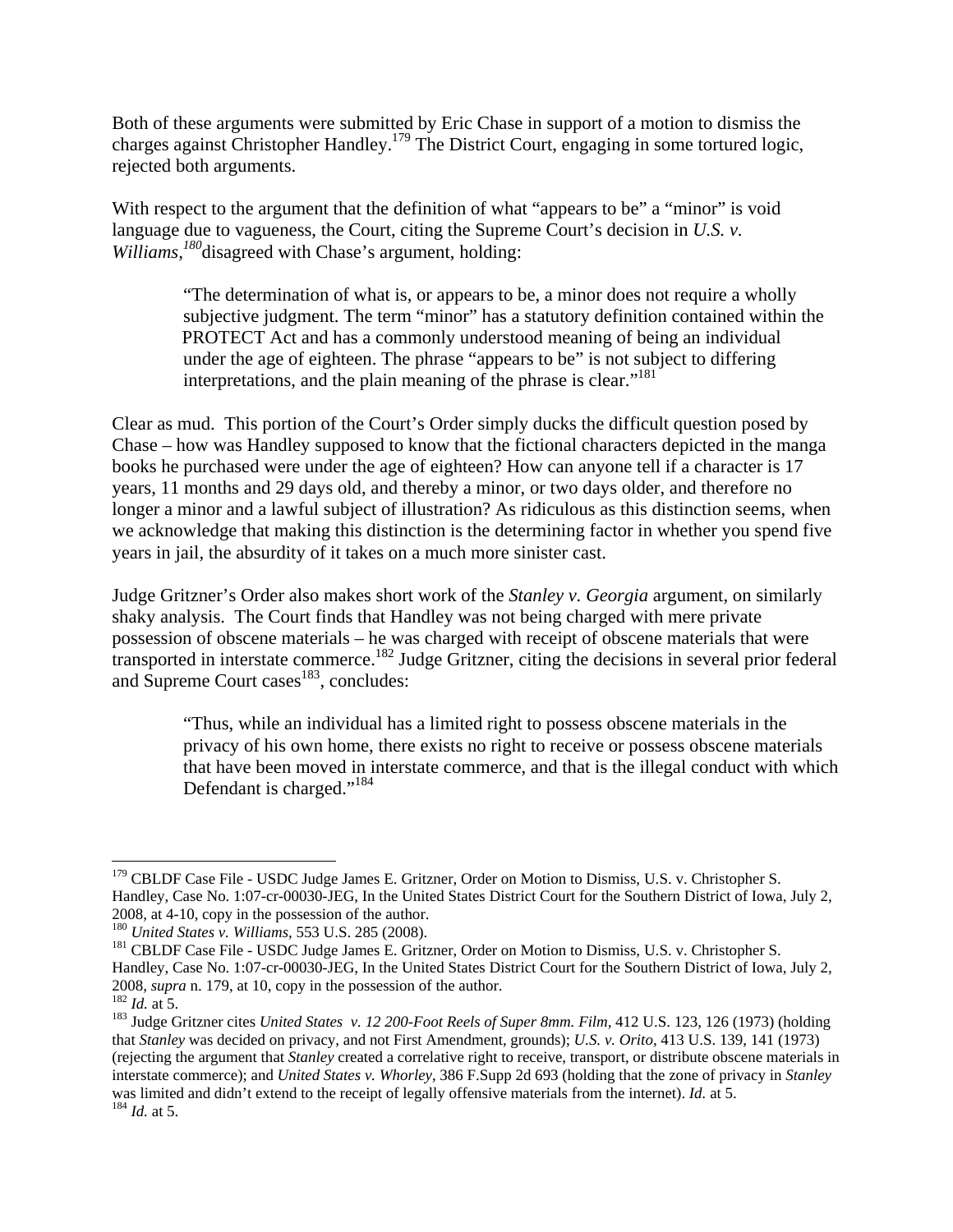Both of these arguments were submitted by Eric Chase in support of a motion to dismiss the charges against Christopher Handley.179 The District Court, engaging in some tortured logic, rejected both arguments.

With respect to the argument that the definition of what "appears to be" a "minor" is void language due to vagueness, the Court, citing the Supreme Court's decision in *U.S. v. Williams,*<sup>180</sup> disagreed with Chase's argument, holding:

> "The determination of what is, or appears to be, a minor does not require a wholly subjective judgment. The term "minor" has a statutory definition contained within the PROTECT Act and has a commonly understood meaning of being an individual under the age of eighteen. The phrase "appears to be" is not subject to differing interpretations, and the plain meaning of the phrase is clear."<sup>181</sup>

Clear as mud. This portion of the Court's Order simply ducks the difficult question posed by Chase – how was Handley supposed to know that the fictional characters depicted in the manga books he purchased were under the age of eighteen? How can anyone tell if a character is 17 years, 11 months and 29 days old, and thereby a minor, or two days older, and therefore no longer a minor and a lawful subject of illustration? As ridiculous as this distinction seems, when we acknowledge that making this distinction is the determining factor in whether you spend five years in jail, the absurdity of it takes on a much more sinister cast.

Judge Gritzner's Order also makes short work of the *Stanley v. Georgia* argument, on similarly shaky analysis. The Court finds that Handley was not being charged with mere private possession of obscene materials – he was charged with receipt of obscene materials that were transported in interstate commerce.182 Judge Gritzner, citing the decisions in several prior federal and Supreme Court cases $^{183}$ , concludes:

 "Thus, while an individual has a limited right to possess obscene materials in the privacy of his own home, there exists no right to receive or possess obscene materials that have been moved in interstate commerce, and that is the illegal conduct with which Defendant is charged."<sup>184</sup>

<sup>&</sup>lt;sup>179</sup> CBLDF Case File - USDC Judge James E. Gritzner, Order on Motion to Dismiss, U.S. v. Christopher S. Handley, Case No. 1:07-cr-00030-JEG, In the United States District Court for the Southern District of Iowa, July 2, 2008, at 4-10, copy in the possession of the author.<br><sup>180</sup> United States v. Williams, 553 U.S. 285 (2008).

<sup>&</sup>lt;sup>181</sup> CBLDF Case File - USDC Judge James E. Gritzner, Order on Motion to Dismiss, U.S. v. Christopher S. Handley, Case No. 1:07-cr-00030-JEG, In the United States District Court for the Southern District of Iowa, July 2, 2008, *supra* n. 179, at 10, copy in the possession of the author.<br><sup>182</sup> *Id.* at 5. 183 Judge Gritzner cites *United States v. 12 200-Foot Reels of Super 8mm. Film,* 412 U.S. 123, 126 (1973) (holding

that *Stanley* was decided on privacy, and not First Amendment, grounds); *U.S. v. Orito,* 413 U.S. 139, 141 (1973) (rejecting the argument that *Stanley* created a correlative right to receive, transport, or distribute obscene materials in interstate commerce); and *United States v. Whorley*, 386 F.Supp 2d 693 (holding that the zone of privacy in *Stanley* was limited and didn't extend to the receipt of legally offensive materials from the internet). *Id.* at 5. <sup>184</sup> *Id.* at 5.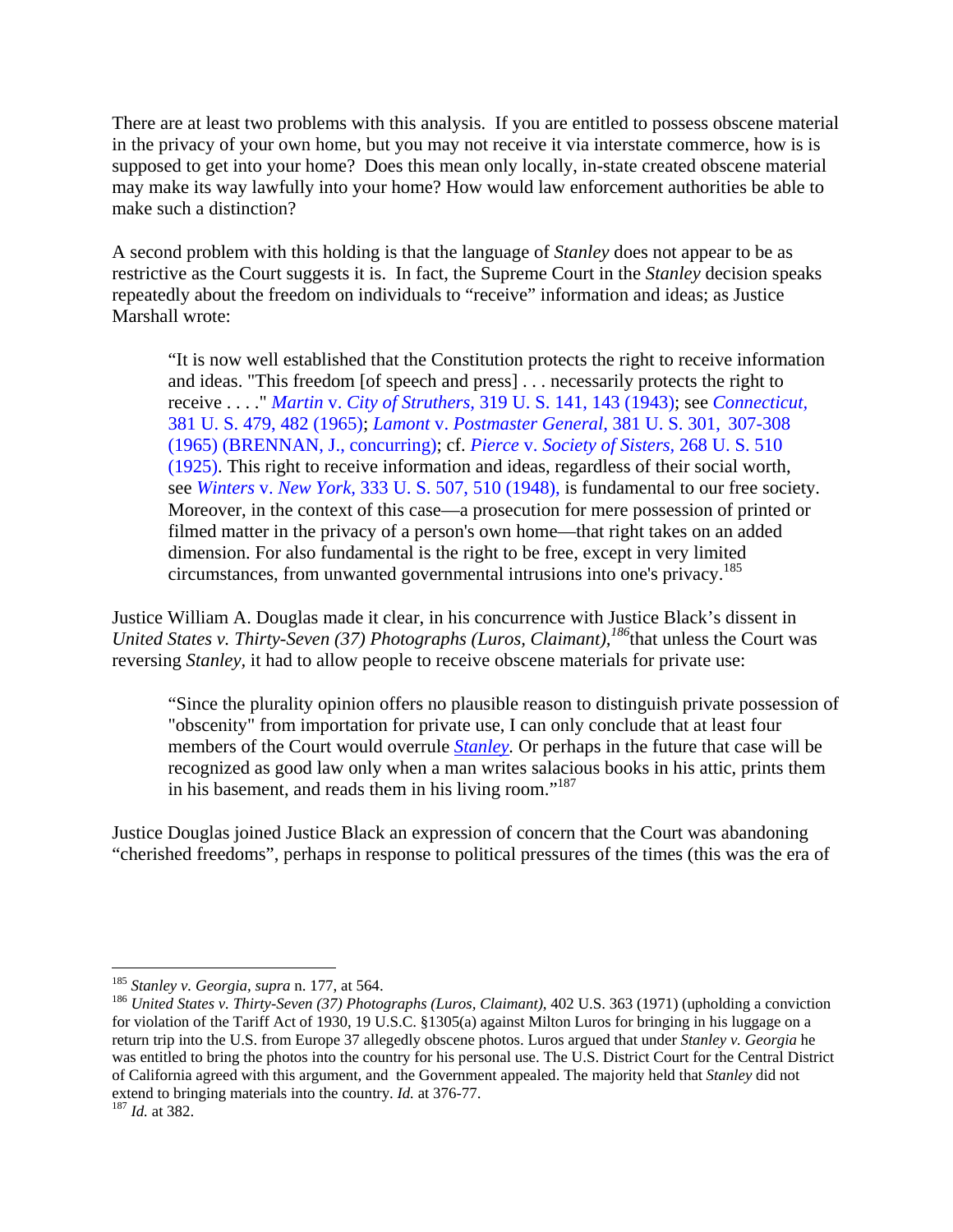There are at least two problems with this analysis. If you are entitled to possess obscene material in the privacy of your own home, but you may not receive it via interstate commerce, how is is supposed to get into your home? Does this mean only locally, in-state created obscene material may make its way lawfully into your home? How would law enforcement authorities be able to make such a distinction?

A second problem with this holding is that the language of *Stanley* does not appear to be as restrictive as the Court suggests it is. In fact, the Supreme Court in the *Stanley* decision speaks repeatedly about the freedom on individuals to "receive" information and ideas; as Justice Marshall wrote:

 "It is now well established that the Constitution protects the right to receive information and ideas. "This freedom [of speech and press] . . . necessarily protects the right to receive . . . ." *Martin* v. *City of Struthers,* 319 U. S. 141, 143 (1943); see *Connecticut,* 381 U. S. 479, 482 (1965); *Lamont* v. *Postmaster General,* 381 U. S. 301, 307-308 (1965) (BRENNAN, J., concurring); cf. *Pierce* v. *Society of Sisters,* 268 U. S. 510 (1925). This right to receive information and ideas, regardless of their social worth, see *Winters* v. *New York,* 333 U. S. 507, 510 (1948), is fundamental to our free society. Moreover, in the context of this case—a prosecution for mere possession of printed or filmed matter in the privacy of a person's own home—that right takes on an added dimension. For also fundamental is the right to be free, except in very limited circumstances, from unwanted governmental intrusions into one's privacy.<sup>185</sup>

Justice William A. Douglas made it clear, in his concurrence with Justice Black's dissent in *United States v. Thirty-Seven (37) Photographs (Luros, Claimant),<sup>186</sup>*that unless the Court was reversing *Stanley,* it had to allow people to receive obscene materials for private use:

 "Since the plurality opinion offers no plausible reason to distinguish private possession of "obscenity" from importation for private use, I can only conclude that at least four members of the Court would overrule *Stanley.* Or perhaps in the future that case will be recognized as good law only when a man writes salacious books in his attic, prints them in his basement, and reads them in his living room."<sup>187</sup>

Justice Douglas joined Justice Black an expression of concern that the Court was abandoning "cherished freedoms", perhaps in response to political pressures of the times (this was the era of

<sup>&</sup>lt;sup>185</sup> *Stanley v. Georgia, supra n. 177, at 564.* 1864.<br><sup>186</sup> *United States v. Thirty-Seven (37) Photographs (Luros, Claimant), 402 U.S. 363 (1971) (upholding a conviction* for violation of the Tariff Act of 1930, 19 U.S.C. §1305(a) against Milton Luros for bringing in his luggage on a return trip into the U.S. from Europe 37 allegedly obscene photos. Luros argued that under *Stanley v. Georgia* he was entitled to bring the photos into the country for his personal use. The U.S. District Court for the Central District of California agreed with this argument, and the Government appealed. The majority held that *Stanley* did not extend to bringing materials into the country. *Id.* at 376-77. <sup>187</sup> *Id.* at 382.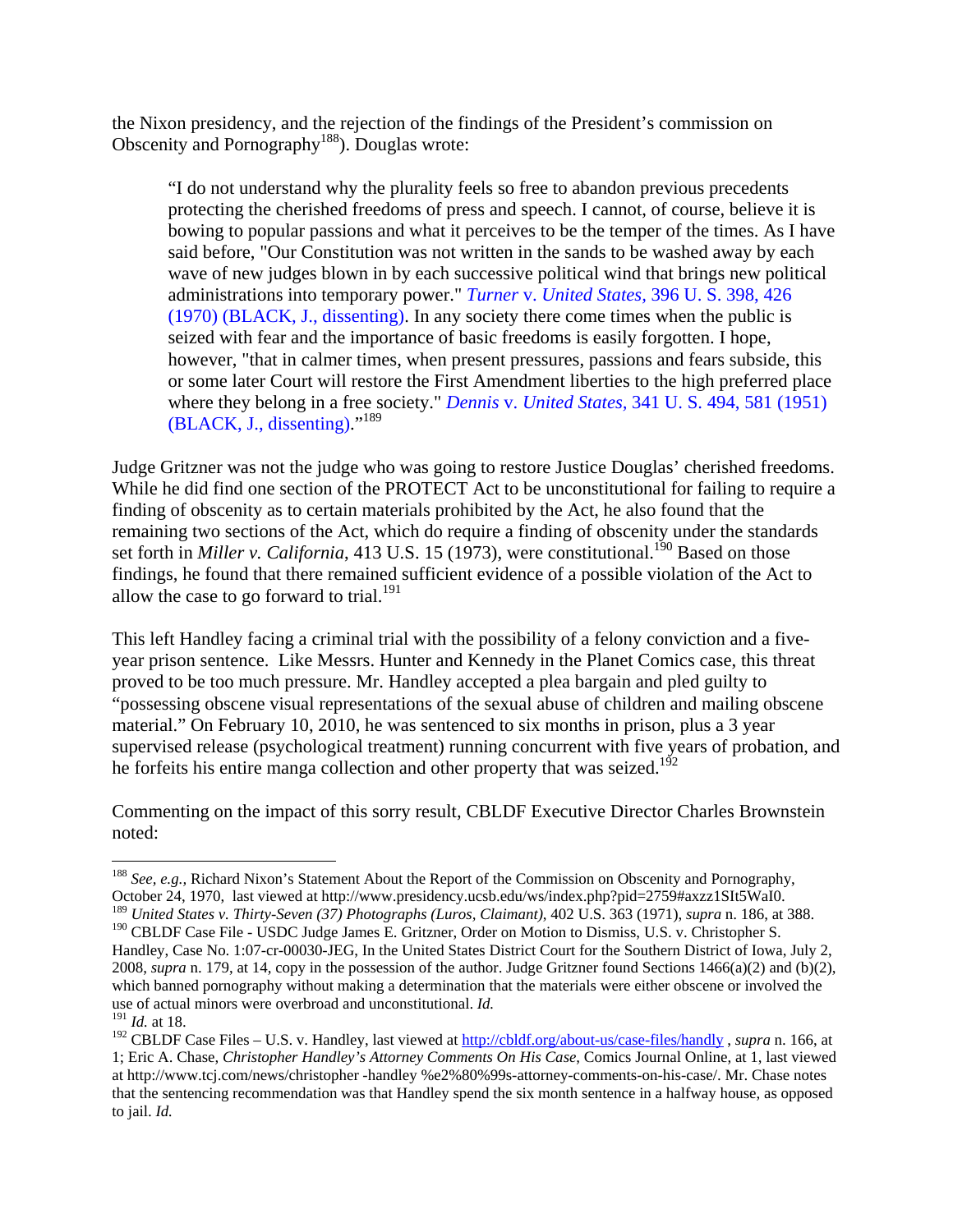the Nixon presidency, and the rejection of the findings of the President's commission on Obscenity and Pornography<sup>188</sup>). Douglas wrote:

 "I do not understand why the plurality feels so free to abandon previous precedents protecting the cherished freedoms of press and speech. I cannot, of course, believe it is bowing to popular passions and what it perceives to be the temper of the times. As I have said before, "Our Constitution was not written in the sands to be washed away by each wave of new judges blown in by each successive political wind that brings new political administrations into temporary power." *Turner* v. *United States,* 396 U. S. 398, 426 (1970) (BLACK, J., dissenting). In any society there come times when the public is seized with fear and the importance of basic freedoms is easily forgotten. I hope, however, "that in calmer times, when present pressures, passions and fears subside, this or some later Court will restore the First Amendment liberties to the high preferred place where they belong in a free society." *Dennis* v. *United States,* 341 U. S. 494, 581 (1951) (BLACK, J., dissenting)."<sup>189</sup>

Judge Gritzner was not the judge who was going to restore Justice Douglas' cherished freedoms. While he did find one section of the PROTECT Act to be unconstitutional for failing to require a finding of obscenity as to certain materials prohibited by the Act, he also found that the remaining two sections of the Act, which do require a finding of obscenity under the standards set forth in *Miller v. California*, 413 U.S. 15 (1973), were constitutional.<sup>190</sup> Based on those findings, he found that there remained sufficient evidence of a possible violation of the Act to allow the case to go forward to trial.<sup>191</sup>

This left Handley facing a criminal trial with the possibility of a felony conviction and a fiveyear prison sentence. Like Messrs. Hunter and Kennedy in the Planet Comics case, this threat proved to be too much pressure. Mr. Handley accepted a plea bargain and pled guilty to "possessing obscene visual representations of the sexual abuse of children and mailing obscene material." On February 10, 2010, he was sentenced to six months in prison, plus a 3 year supervised release (psychological treatment) running concurrent with five years of probation, and he forfeits his entire manga collection and other property that was seized.<sup>192</sup>

Commenting on the impact of this sorry result, CBLDF Executive Director Charles Brownstein noted:

<sup>188</sup> *See, e.g.,* Richard Nixon's Statement About the Report of the Commission on Obscenity and Pornography, October 24, 1970, last viewed at http://www.presidency.ucsb.edu/ws/index.php?pid=2759#axzz1SIt5WaI0. <sup>189</sup> *United States v. Thirty-Seven (37) Photographs (Luros, Claimant)*, 402 U.S. 363 (1971), *supra* n. 186, at 388.

<sup>&</sup>lt;sup>190</sup> CBLDF Case File - USDC Judge James E. Gritzner, Order on Motion to Dismiss, U.S. v. Christopher S. Handley, Case No. 1:07-cr-00030-JEG, In the United States District Court for the Southern District of Iowa, July 2, 2008, *supra* n. 179, at 14, copy in the possession of the author. Judge Gritzner found Sections 1466(a)(2) and (b)(2), which banned pornography without making a determination that the materials were either obscene or involved the use of actual minors were overbroad and unconstitutional. *Id.* 

<sup>191</sup> *Id.* at 18.

<sup>192</sup> CBLDF Case Files – U.S. v. Handley, last viewed at http://cbldf.org/about-us/case-files/handly , *supra* n. 166, at 1; Eric A. Chase, *Christopher Handley's Attorney Comments On His Case*, Comics Journal Online, at 1, last viewed at http://www.tcj.com/news/christopher -handley %e2%80%99s-attorney-comments-on-his-case/. Mr. Chase notes that the sentencing recommendation was that Handley spend the six month sentence in a halfway house, as opposed to jail. *Id.*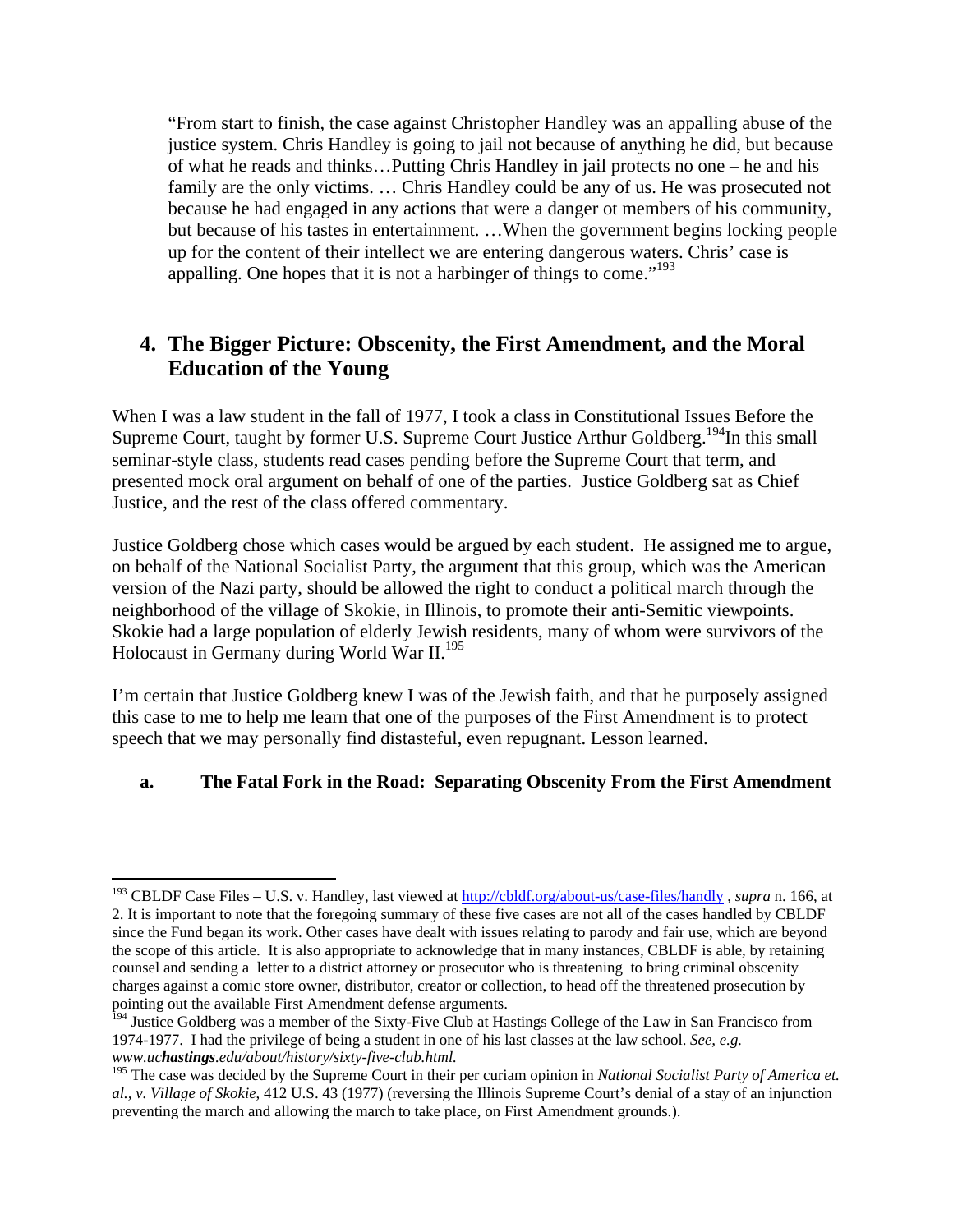"From start to finish, the case against Christopher Handley was an appalling abuse of the justice system. Chris Handley is going to jail not because of anything he did, but because of what he reads and thinks…Putting Chris Handley in jail protects no one – he and his family are the only victims. … Chris Handley could be any of us. He was prosecuted not because he had engaged in any actions that were a danger ot members of his community, but because of his tastes in entertainment. …When the government begins locking people up for the content of their intellect we are entering dangerous waters. Chris' case is appalling. One hopes that it is not a harbinger of things to come."<sup>193</sup>

# **4. The Bigger Picture: Obscenity, the First Amendment, and the Moral Education of the Young**

When I was a law student in the fall of 1977, I took a class in Constitutional Issues Before the Supreme Court, taught by former U.S. Supreme Court Justice Arthur Goldberg.<sup>194</sup>In this small seminar-style class, students read cases pending before the Supreme Court that term, and presented mock oral argument on behalf of one of the parties. Justice Goldberg sat as Chief Justice, and the rest of the class offered commentary.

Justice Goldberg chose which cases would be argued by each student. He assigned me to argue, on behalf of the National Socialist Party, the argument that this group, which was the American version of the Nazi party, should be allowed the right to conduct a political march through the neighborhood of the village of Skokie, in Illinois, to promote their anti-Semitic viewpoints. Skokie had a large population of elderly Jewish residents, many of whom were survivors of the Holocaust in Germany during World War II.<sup>195</sup>

I'm certain that Justice Goldberg knew I was of the Jewish faith, and that he purposely assigned this case to me to help me learn that one of the purposes of the First Amendment is to protect speech that we may personally find distasteful, even repugnant. Lesson learned.

## **a. The Fatal Fork in the Road: Separating Obscenity From the First Amendment**

<sup>193</sup> CBLDF Case Files – U.S. v. Handley, last viewed at http://cbldf.org/about-us/case-files/handly , *supra* n. 166, at 2. It is important to note that the foregoing summary of these five cases are not all of the cases handled by CBLDF since the Fund began its work. Other cases have dealt with issues relating to parody and fair use, which are beyond the scope of this article. It is also appropriate to acknowledge that in many instances, CBLDF is able, by retaining counsel and sending a letter to a district attorney or prosecutor who is threatening to bring criminal obscenity charges against a comic store owner, distributor, creator or collection, to head off the threatened prosecution by pointing out the available First Amendment defense arguments.

<sup>&</sup>lt;sup>194</sup> Justice Goldberg was a member of the Sixty-Five Club at Hastings College of the Law in San Francisco from 1974-1977. I had the privilege of being a student in one of his last classes at the law school. *See, e.g. www.uchastings.edu/about/history/sixty-five-club.html.* 

<sup>&</sup>lt;sup>195</sup> The case was decided by the Supreme Court in their per curiam opinion in *National Socialist Party of America et*. *al., v. Village of Skokie*, 412 U.S. 43 (1977) (reversing the Illinois Supreme Court's denial of a stay of an injunction preventing the march and allowing the march to take place, on First Amendment grounds.).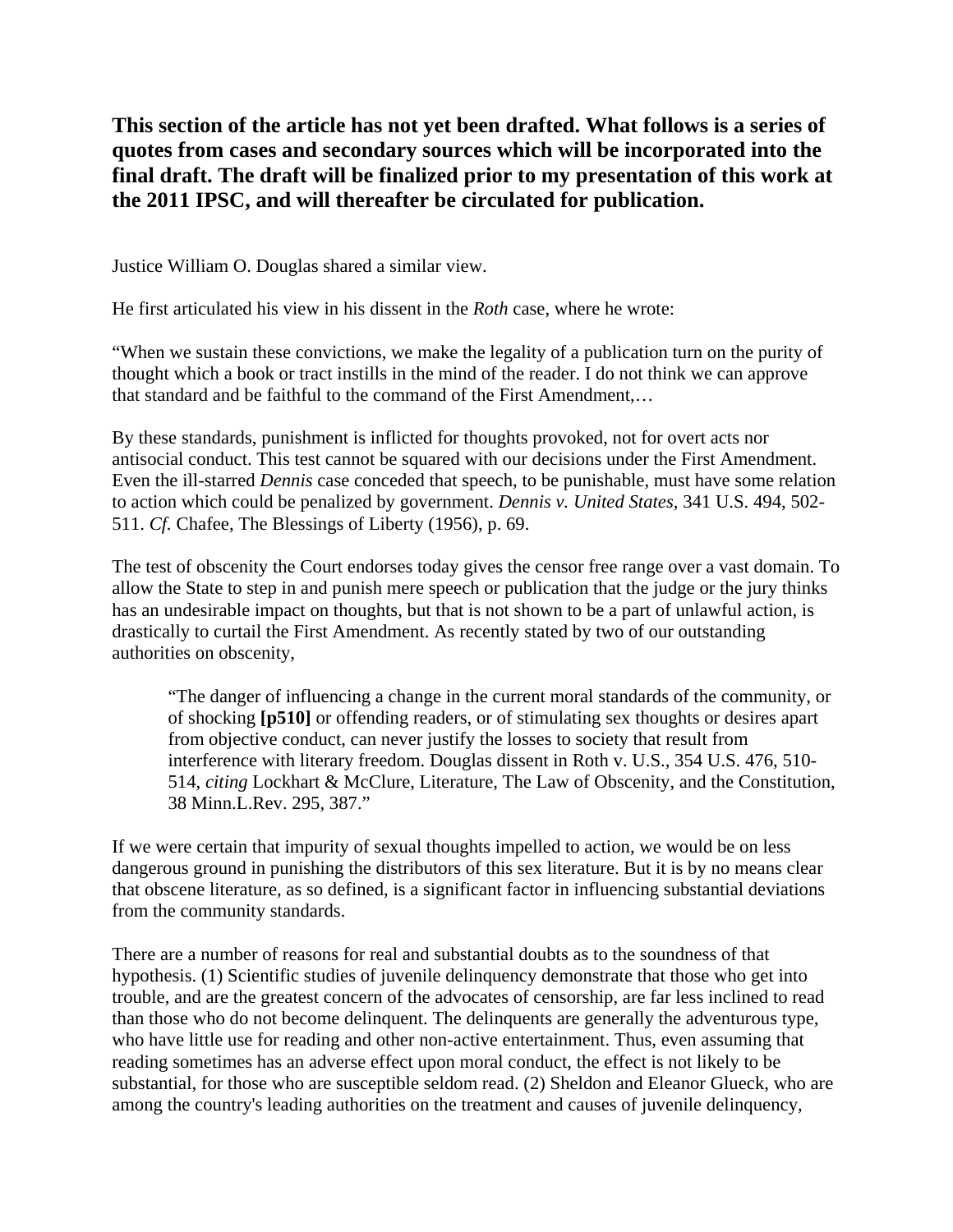**This section of the article has not yet been drafted. What follows is a series of quotes from cases and secondary sources which will be incorporated into the final draft. The draft will be finalized prior to my presentation of this work at the 2011 IPSC, and will thereafter be circulated for publication.** 

Justice William O. Douglas shared a similar view.

He first articulated his view in his dissent in the *Roth* case, where he wrote:

"When we sustain these convictions, we make the legality of a publication turn on the purity of thought which a book or tract instills in the mind of the reader. I do not think we can approve that standard and be faithful to the command of the First Amendment,…

By these standards, punishment is inflicted for thoughts provoked, not for overt acts nor antisocial conduct. This test cannot be squared with our decisions under the First Amendment. Even the ill-starred *Dennis* case conceded that speech, to be punishable, must have some relation to action which could be penalized by government. *Dennis v. United States,* 341 U.S. 494, 502- 511. *Cf.* Chafee, The Blessings of Liberty (1956), p. 69.

The test of obscenity the Court endorses today gives the censor free range over a vast domain. To allow the State to step in and punish mere speech or publication that the judge or the jury thinks has an undesirable impact on thoughts, but that is not shown to be a part of unlawful action, is drastically to curtail the First Amendment. As recently stated by two of our outstanding authorities on obscenity,

 "The danger of influencing a change in the current moral standards of the community, or of shocking **[p510]** or offending readers, or of stimulating sex thoughts or desires apart from objective conduct, can never justify the losses to society that result from interference with literary freedom. Douglas dissent in Roth v. U.S., 354 U.S. 476, 510- 514, *citing* Lockhart & McClure, Literature, The Law of Obscenity, and the Constitution, 38 Minn.L.Rev. 295, 387."

If we were certain that impurity of sexual thoughts impelled to action, we would be on less dangerous ground in punishing the distributors of this sex literature. But it is by no means clear that obscene literature, as so defined, is a significant factor in influencing substantial deviations from the community standards.

There are a number of reasons for real and substantial doubts as to the soundness of that hypothesis. (1) Scientific studies of juvenile delinquency demonstrate that those who get into trouble, and are the greatest concern of the advocates of censorship, are far less inclined to read than those who do not become delinquent. The delinquents are generally the adventurous type, who have little use for reading and other non-active entertainment. Thus, even assuming that reading sometimes has an adverse effect upon moral conduct, the effect is not likely to be substantial, for those who are susceptible seldom read. (2) Sheldon and Eleanor Glueck, who are among the country's leading authorities on the treatment and causes of juvenile delinquency,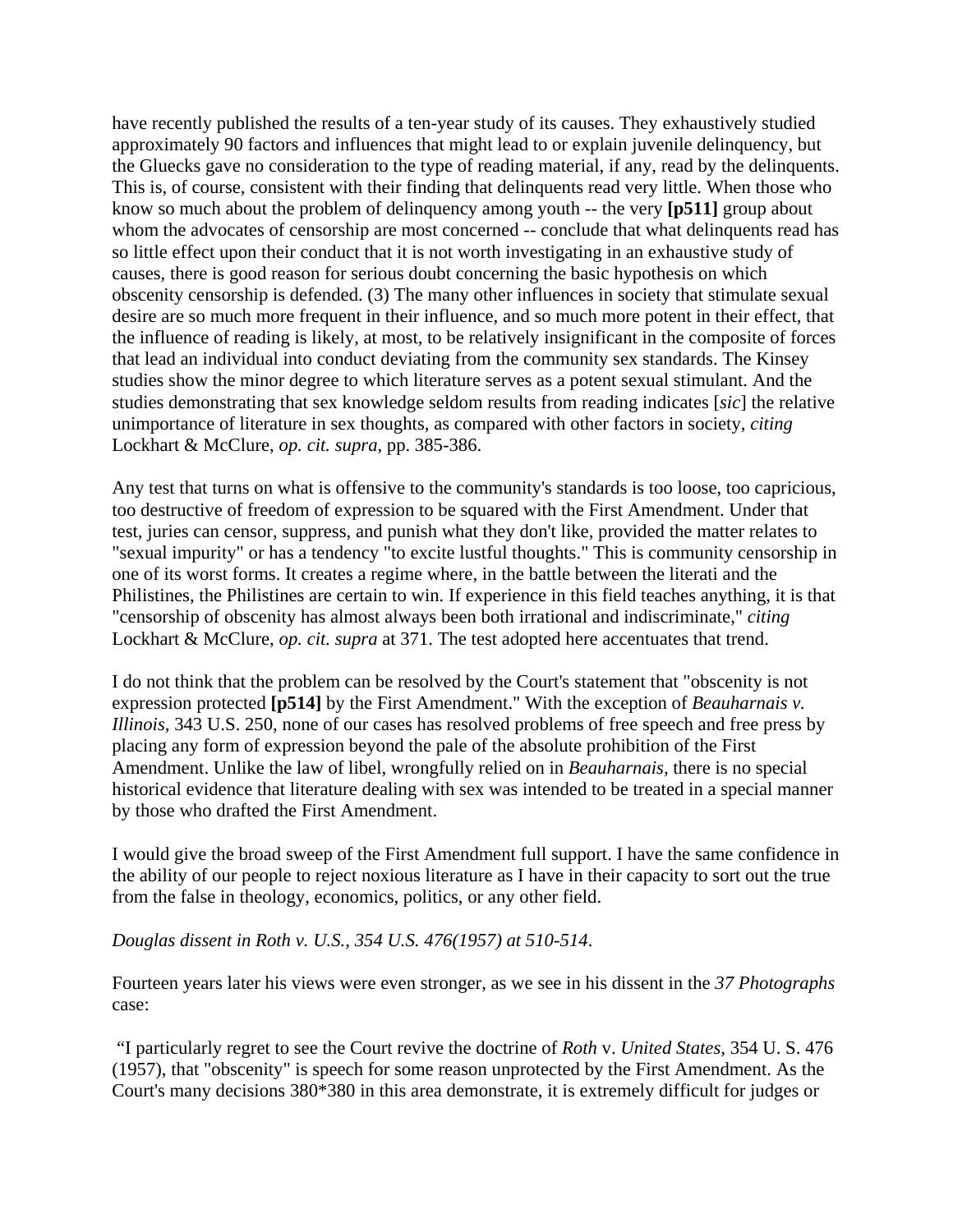have recently published the results of a ten-year study of its causes. They exhaustively studied approximately 90 factors and influences that might lead to or explain juvenile delinquency, but the Gluecks gave no consideration to the type of reading material, if any, read by the delinquents. This is, of course, consistent with their finding that delinquents read very little. When those who know so much about the problem of delinquency among youth -- the very **[p511]** group about whom the advocates of censorship are most concerned -- conclude that what delinquents read has so little effect upon their conduct that it is not worth investigating in an exhaustive study of causes, there is good reason for serious doubt concerning the basic hypothesis on which obscenity censorship is defended. (3) The many other influences in society that stimulate sexual desire are so much more frequent in their influence, and so much more potent in their effect, that the influence of reading is likely, at most, to be relatively insignificant in the composite of forces that lead an individual into conduct deviating from the community sex standards. The Kinsey studies show the minor degree to which literature serves as a potent sexual stimulant. And the studies demonstrating that sex knowledge seldom results from reading indicates [*sic*] the relative unimportance of literature in sex thoughts, as compared with other factors in society, *citing*  Lockhart & McClure, *op. cit. supra,* pp. 385-386.

Any test that turns on what is offensive to the community's standards is too loose, too capricious, too destructive of freedom of expression to be squared with the First Amendment. Under that test, juries can censor, suppress, and punish what they don't like, provided the matter relates to "sexual impurity" or has a tendency "to excite lustful thoughts." This is community censorship in one of its worst forms. It creates a regime where, in the battle between the literati and the Philistines, the Philistines are certain to win. If experience in this field teaches anything, it is that "censorship of obscenity has almost always been both irrational and indiscriminate," *citing*  Lockhart & McClure, *op. cit. supra* at 371. The test adopted here accentuates that trend.

I do not think that the problem can be resolved by the Court's statement that "obscenity is not expression protected **[p514]** by the First Amendment." With the exception of *Beauharnais v. Illinois,* 343 U.S. 250, none of our cases has resolved problems of free speech and free press by placing any form of expression beyond the pale of the absolute prohibition of the First Amendment. Unlike the law of libel, wrongfully relied on in *Beauharnais,* there is no special historical evidence that literature dealing with sex was intended to be treated in a special manner by those who drafted the First Amendment.

I would give the broad sweep of the First Amendment full support. I have the same confidence in the ability of our people to reject noxious literature as I have in their capacity to sort out the true from the false in theology, economics, politics, or any other field.

### *Douglas dissent in Roth v. U.S., 354 U.S. 476(1957) at 510-514*.

Fourteen years later his views were even stronger, as we see in his dissent in the *37 Photographs*  case:

 "I particularly regret to see the Court revive the doctrine of *Roth* v. *United States,* 354 U. S. 476 (1957), that "obscenity" is speech for some reason unprotected by the First Amendment. As the Court's many decisions 380\*380 in this area demonstrate, it is extremely difficult for judges or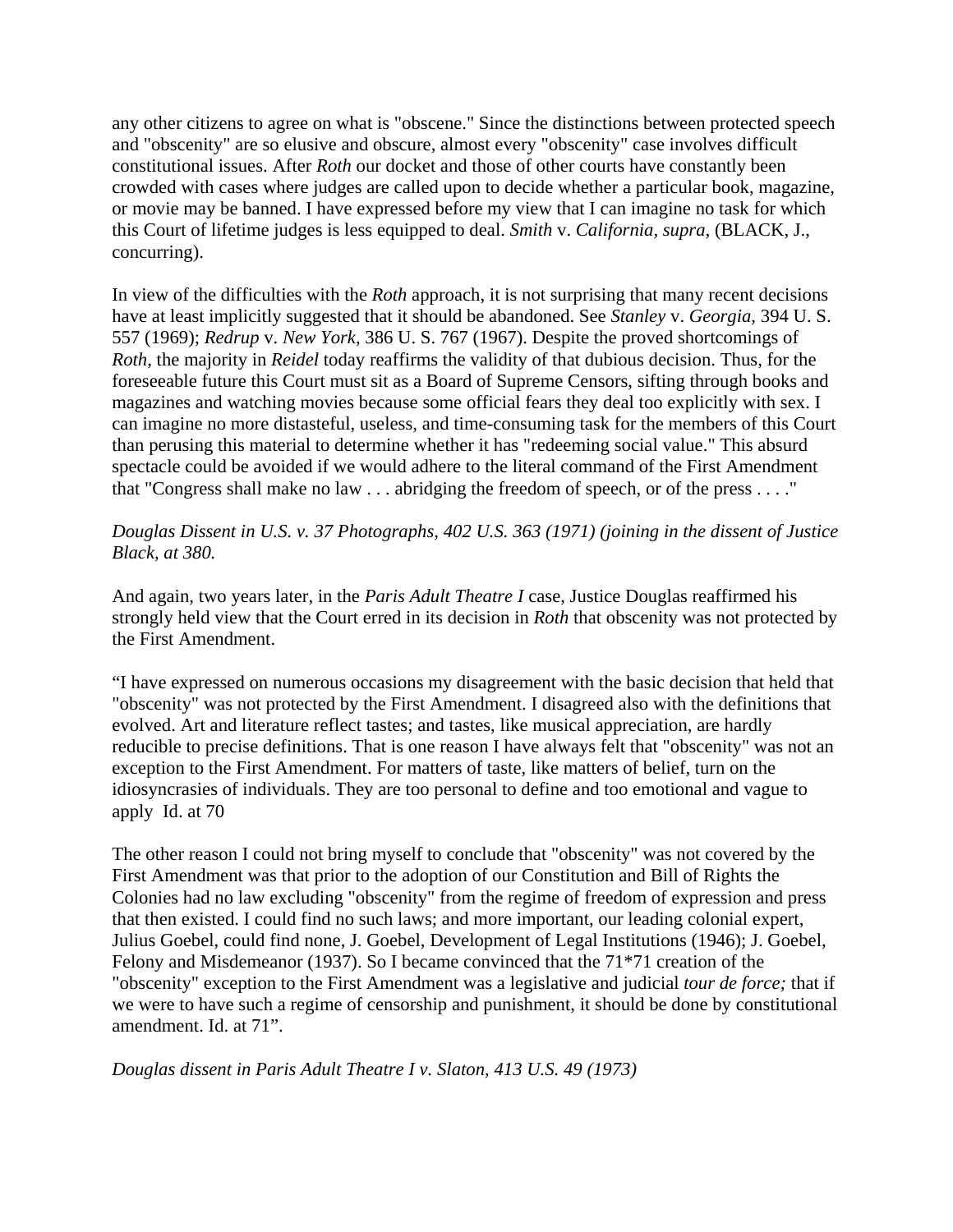any other citizens to agree on what is "obscene." Since the distinctions between protected speech and "obscenity" are so elusive and obscure, almost every "obscenity" case involves difficult constitutional issues. After *Roth* our docket and those of other courts have constantly been crowded with cases where judges are called upon to decide whether a particular book, magazine, or movie may be banned. I have expressed before my view that I can imagine no task for which this Court of lifetime judges is less equipped to deal. *Smith* v. *California, supra,* (BLACK, J., concurring).

In view of the difficulties with the *Roth* approach, it is not surprising that many recent decisions have at least implicitly suggested that it should be abandoned. See *Stanley* v. *Georgia,* 394 U. S. 557 (1969); *Redrup* v. *New York,* 386 U. S. 767 (1967). Despite the proved shortcomings of *Roth,* the majority in *Reidel* today reaffirms the validity of that dubious decision. Thus, for the foreseeable future this Court must sit as a Board of Supreme Censors, sifting through books and magazines and watching movies because some official fears they deal too explicitly with sex. I can imagine no more distasteful, useless, and time-consuming task for the members of this Court than perusing this material to determine whether it has "redeeming social value." This absurd spectacle could be avoided if we would adhere to the literal command of the First Amendment that "Congress shall make no law . . . abridging the freedom of speech, or of the press . . . ."

## *Douglas Dissent in U.S. v. 37 Photographs, 402 U.S. 363 (1971) (joining in the dissent of Justice Black, at 380.*

And again, two years later, in the *Paris Adult Theatre I* case, Justice Douglas reaffirmed his strongly held view that the Court erred in its decision in *Roth* that obscenity was not protected by the First Amendment.

"I have expressed on numerous occasions my disagreement with the basic decision that held that "obscenity" was not protected by the First Amendment. I disagreed also with the definitions that evolved. Art and literature reflect tastes; and tastes, like musical appreciation, are hardly reducible to precise definitions. That is one reason I have always felt that "obscenity" was not an exception to the First Amendment. For matters of taste, like matters of belief, turn on the idiosyncrasies of individuals. They are too personal to define and too emotional and vague to apply Id. at 70

The other reason I could not bring myself to conclude that "obscenity" was not covered by the First Amendment was that prior to the adoption of our Constitution and Bill of Rights the Colonies had no law excluding "obscenity" from the regime of freedom of expression and press that then existed. I could find no such laws; and more important, our leading colonial expert, Julius Goebel, could find none, J. Goebel, Development of Legal Institutions (1946); J. Goebel, Felony and Misdemeanor (1937). So I became convinced that the 71\*71 creation of the "obscenity" exception to the First Amendment was a legislative and judicial *tour de force;* that if we were to have such a regime of censorship and punishment, it should be done by constitutional amendment. Id. at 71".

*Douglas dissent in Paris Adult Theatre I v. Slaton, 413 U.S. 49 (1973)*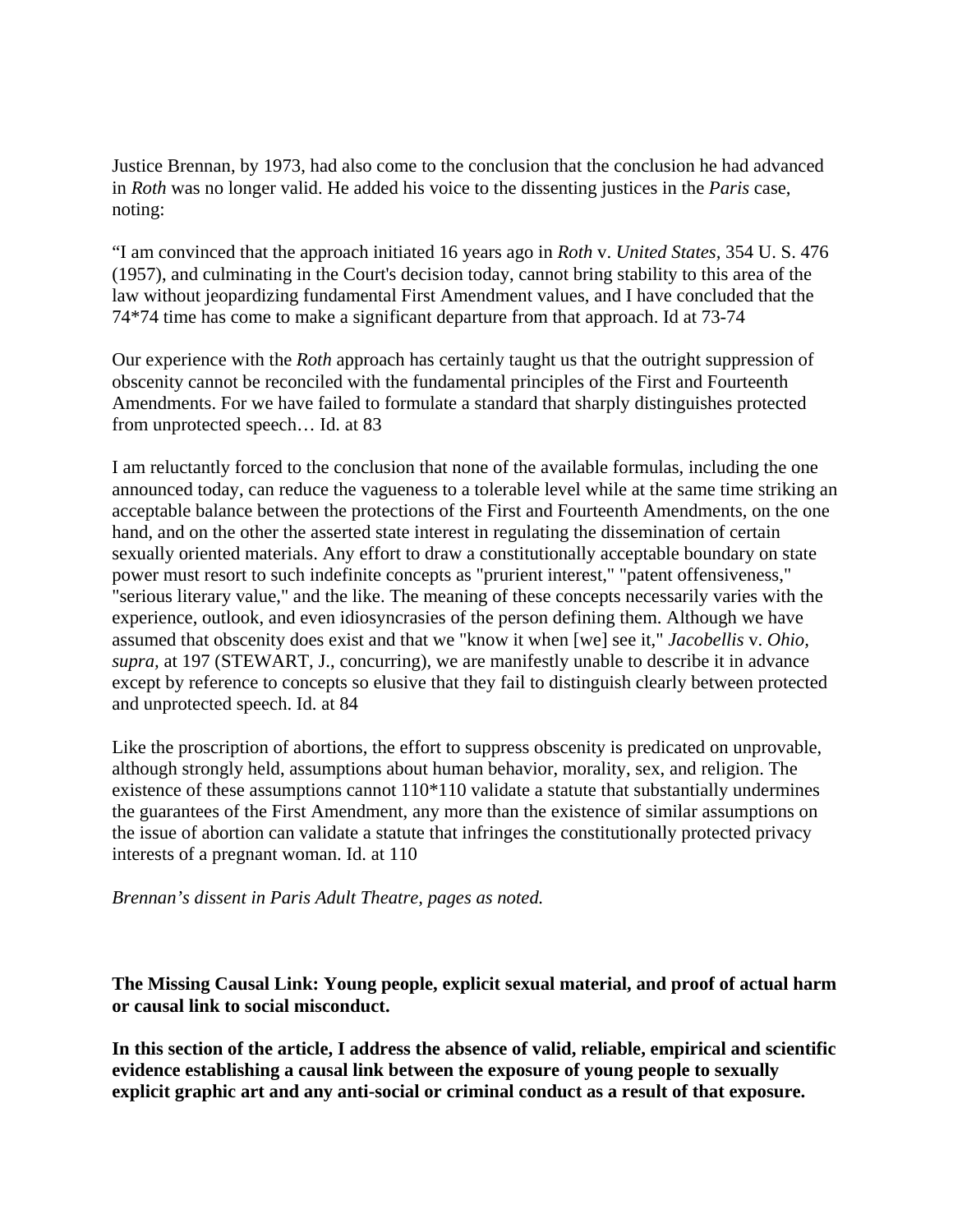Justice Brennan, by 1973, had also come to the conclusion that the conclusion he had advanced in *Roth* was no longer valid. He added his voice to the dissenting justices in the *Paris* case, noting:

"I am convinced that the approach initiated 16 years ago in *Roth* v. *United States,* 354 U. S. 476 (1957), and culminating in the Court's decision today, cannot bring stability to this area of the law without jeopardizing fundamental First Amendment values, and I have concluded that the 74\*74 time has come to make a significant departure from that approach. Id at 73-74

Our experience with the *Roth* approach has certainly taught us that the outright suppression of obscenity cannot be reconciled with the fundamental principles of the First and Fourteenth Amendments. For we have failed to formulate a standard that sharply distinguishes protected from unprotected speech… Id. at 83

I am reluctantly forced to the conclusion that none of the available formulas, including the one announced today, can reduce the vagueness to a tolerable level while at the same time striking an acceptable balance between the protections of the First and Fourteenth Amendments, on the one hand, and on the other the asserted state interest in regulating the dissemination of certain sexually oriented materials. Any effort to draw a constitutionally acceptable boundary on state power must resort to such indefinite concepts as "prurient interest," "patent offensiveness," "serious literary value," and the like. The meaning of these concepts necessarily varies with the experience, outlook, and even idiosyncrasies of the person defining them. Although we have assumed that obscenity does exist and that we "know it when [we] see it," *Jacobellis* v. *Ohio, supra,* at 197 (STEWART, J., concurring), we are manifestly unable to describe it in advance except by reference to concepts so elusive that they fail to distinguish clearly between protected and unprotected speech. Id. at 84

Like the proscription of abortions, the effort to suppress obscenity is predicated on unprovable, although strongly held, assumptions about human behavior, morality, sex, and religion. The existence of these assumptions cannot 110\*110 validate a statute that substantially undermines the guarantees of the First Amendment, any more than the existence of similar assumptions on the issue of abortion can validate a statute that infringes the constitutionally protected privacy interests of a pregnant woman. Id. at 110

*Brennan's dissent in Paris Adult Theatre, pages as noted.* 

**The Missing Causal Link: Young people, explicit sexual material, and proof of actual harm or causal link to social misconduct.** 

**In this section of the article, I address the absence of valid, reliable, empirical and scientific evidence establishing a causal link between the exposure of young people to sexually explicit graphic art and any anti-social or criminal conduct as a result of that exposure.**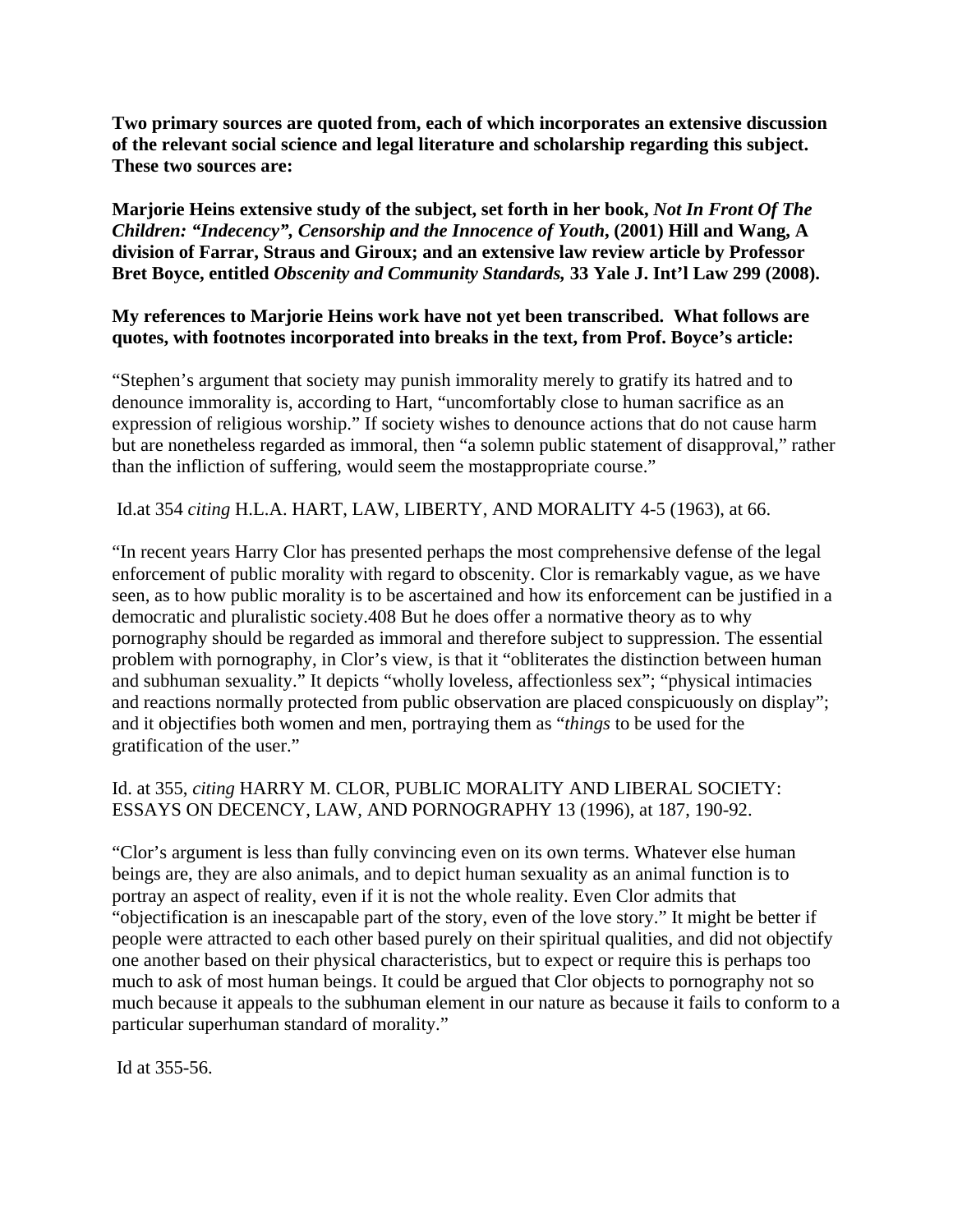**Two primary sources are quoted from, each of which incorporates an extensive discussion of the relevant social science and legal literature and scholarship regarding this subject. These two sources are:** 

**Marjorie Heins extensive study of the subject, set forth in her book,** *Not In Front Of The Children: "Indecency", Censorship and the Innocence of Youth***, (2001) Hill and Wang, A division of Farrar, Straus and Giroux; and an extensive law review article by Professor Bret Boyce, entitled** *Obscenity and Community Standards,* **33 Yale J. Int'l Law 299 (2008).** 

## **My references to Marjorie Heins work have not yet been transcribed. What follows are quotes, with footnotes incorporated into breaks in the text, from Prof. Boyce's article:**

"Stephen's argument that society may punish immorality merely to gratify its hatred and to denounce immorality is, according to Hart, "uncomfortably close to human sacrifice as an expression of religious worship." If society wishes to denounce actions that do not cause harm but are nonetheless regarded as immoral, then "a solemn public statement of disapproval," rather than the infliction of suffering, would seem the mostappropriate course."

Id.at 354 *citing* H.L.A. HART, LAW, LIBERTY, AND MORALITY 4-5 (1963), at 66.

"In recent years Harry Clor has presented perhaps the most comprehensive defense of the legal enforcement of public morality with regard to obscenity. Clor is remarkably vague, as we have seen, as to how public morality is to be ascertained and how its enforcement can be justified in a democratic and pluralistic society.408 But he does offer a normative theory as to why pornography should be regarded as immoral and therefore subject to suppression. The essential problem with pornography, in Clor's view, is that it "obliterates the distinction between human and subhuman sexuality." It depicts "wholly loveless, affectionless sex"; "physical intimacies and reactions normally protected from public observation are placed conspicuously on display"; and it objectifies both women and men, portraying them as "*things* to be used for the gratification of the user."

## Id. at 355, *citing* HARRY M. CLOR, PUBLIC MORALITY AND LIBERAL SOCIETY: ESSAYS ON DECENCY, LAW, AND PORNOGRAPHY 13 (1996), at 187, 190-92.

"Clor's argument is less than fully convincing even on its own terms. Whatever else human beings are, they are also animals, and to depict human sexuality as an animal function is to portray an aspect of reality, even if it is not the whole reality. Even Clor admits that "objectification is an inescapable part of the story, even of the love story." It might be better if people were attracted to each other based purely on their spiritual qualities, and did not objectify one another based on their physical characteristics, but to expect or require this is perhaps too much to ask of most human beings. It could be argued that Clor objects to pornography not so much because it appeals to the subhuman element in our nature as because it fails to conform to a particular superhuman standard of morality."

Id at 355-56.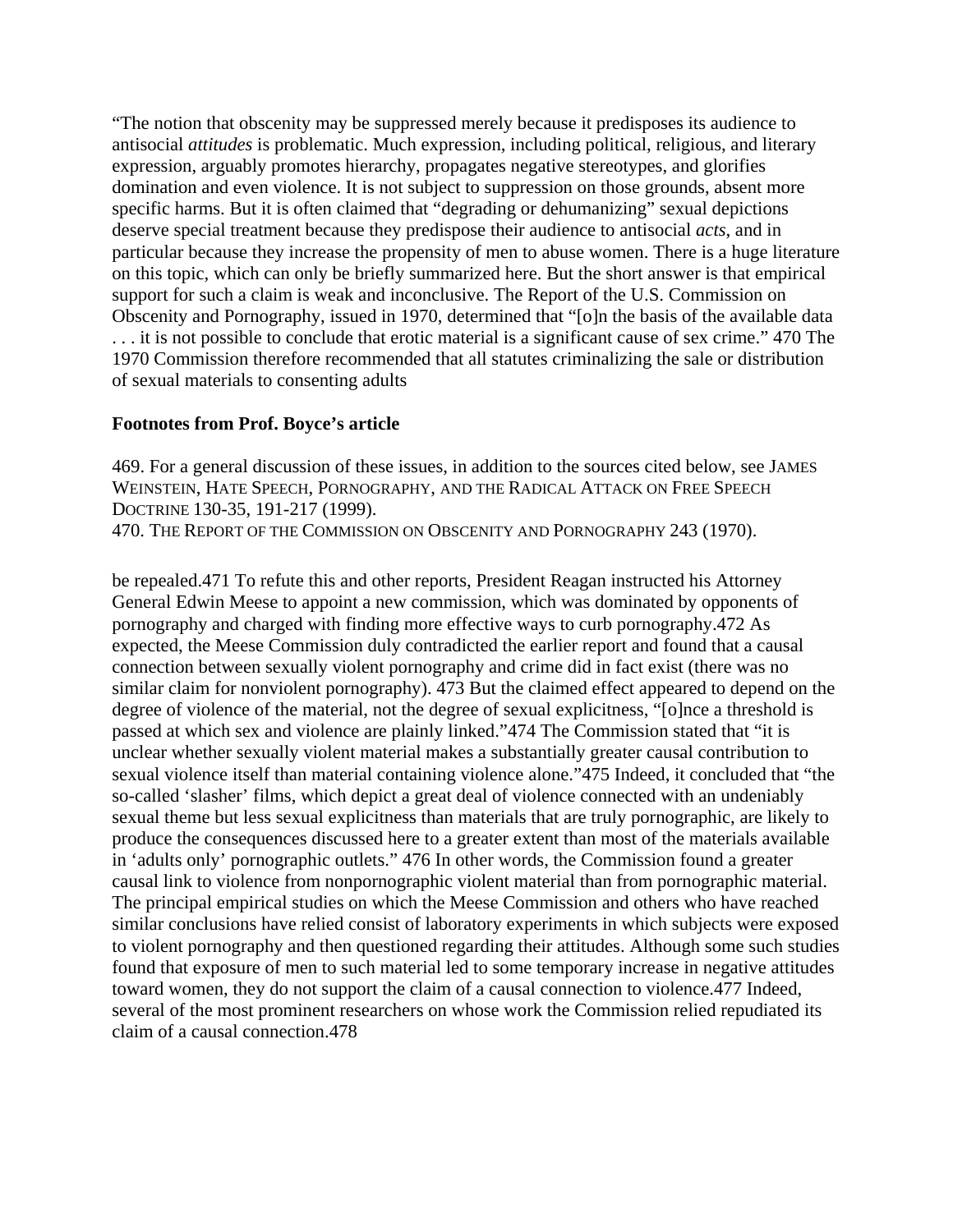"The notion that obscenity may be suppressed merely because it predisposes its audience to antisocial *attitudes* is problematic. Much expression, including political, religious, and literary expression, arguably promotes hierarchy, propagates negative stereotypes, and glorifies domination and even violence. It is not subject to suppression on those grounds, absent more specific harms. But it is often claimed that "degrading or dehumanizing" sexual depictions deserve special treatment because they predispose their audience to antisocial *acts*, and in particular because they increase the propensity of men to abuse women. There is a huge literature on this topic, which can only be briefly summarized here. But the short answer is that empirical support for such a claim is weak and inconclusive. The Report of the U.S. Commission on Obscenity and Pornography, issued in 1970, determined that "[o]n the basis of the available data . . . it is not possible to conclude that erotic material is a significant cause of sex crime." 470 The 1970 Commission therefore recommended that all statutes criminalizing the sale or distribution of sexual materials to consenting adults

#### **Footnotes from Prof. Boyce's article**

469. For a general discussion of these issues, in addition to the sources cited below, see JAMES WEINSTEIN, HATE SPEECH, PORNOGRAPHY, AND THE RADICAL ATTACK ON FREE SPEECH DOCTRINE 130-35, 191-217 (1999). 470. THE REPORT OF THE COMMISSION ON OBSCENITY AND PORNOGRAPHY 243 (1970).

be repealed.471 To refute this and other reports, President Reagan instructed his Attorney General Edwin Meese to appoint a new commission, which was dominated by opponents of pornography and charged with finding more effective ways to curb pornography.472 As expected, the Meese Commission duly contradicted the earlier report and found that a causal connection between sexually violent pornography and crime did in fact exist (there was no similar claim for nonviolent pornography). 473 But the claimed effect appeared to depend on the degree of violence of the material, not the degree of sexual explicitness, "[o]nce a threshold is passed at which sex and violence are plainly linked."474 The Commission stated that "it is unclear whether sexually violent material makes a substantially greater causal contribution to sexual violence itself than material containing violence alone."475 Indeed, it concluded that "the so-called 'slasher' films, which depict a great deal of violence connected with an undeniably sexual theme but less sexual explicitness than materials that are truly pornographic, are likely to produce the consequences discussed here to a greater extent than most of the materials available in 'adults only' pornographic outlets." 476 In other words, the Commission found a greater causal link to violence from nonpornographic violent material than from pornographic material. The principal empirical studies on which the Meese Commission and others who have reached similar conclusions have relied consist of laboratory experiments in which subjects were exposed to violent pornography and then questioned regarding their attitudes. Although some such studies found that exposure of men to such material led to some temporary increase in negative attitudes toward women, they do not support the claim of a causal connection to violence.477 Indeed, several of the most prominent researchers on whose work the Commission relied repudiated its claim of a causal connection.478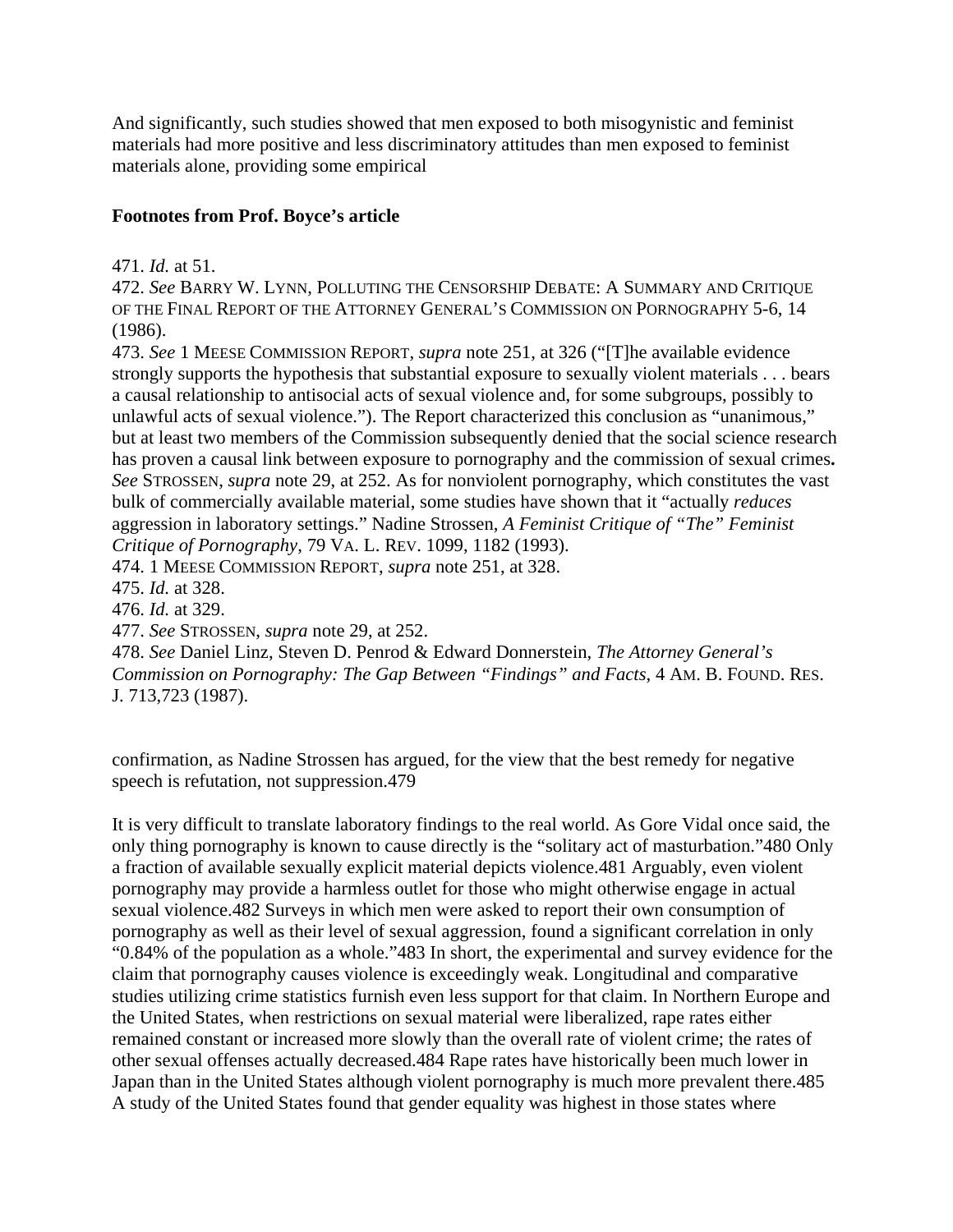And significantly, such studies showed that men exposed to both misogynistic and feminist materials had more positive and less discriminatory attitudes than men exposed to feminist materials alone, providing some empirical

### **Footnotes from Prof. Boyce's article**

#### 471. *Id.* at 51.

472. *See* BARRY W. LYNN, POLLUTING THE CENSORSHIP DEBATE: A SUMMARY AND CRITIQUE OF THE FINAL REPORT OF THE ATTORNEY GENERAL'S COMMISSION ON PORNOGRAPHY 5-6, 14 (1986).

473. *See* 1 MEESE COMMISSION REPORT, *supra* note 251, at 326 ("[T]he available evidence strongly supports the hypothesis that substantial exposure to sexually violent materials . . . bears a causal relationship to antisocial acts of sexual violence and, for some subgroups, possibly to unlawful acts of sexual violence."). The Report characterized this conclusion as "unanimous," but at least two members of the Commission subsequently denied that the social science research has proven a causal link between exposure to pornography and the commission of sexual crimes**.**  *See* STROSSEN, *supra* note 29, at 252. As for nonviolent pornography, which constitutes the vast bulk of commercially available material, some studies have shown that it "actually *reduces*  aggression in laboratory settings." Nadine Strossen, *A Feminist Critique of "The" Feminist Critique of Pornography*, 79 VA. L. REV. 1099, 1182 (1993).

474. 1 MEESE COMMISSION REPORT, *supra* note 251, at 328.

475. *Id.* at 328.

476. *Id.* at 329.

477. *See* STROSSEN, *supra* note 29, at 252.

478. *See* Daniel Linz, Steven D. Penrod & Edward Donnerstein, *The Attorney General's Commission on Pornography: The Gap Between "Findings" and Facts*, 4 AM. B. FOUND. RES. J. 713,723 (1987).

confirmation, as Nadine Strossen has argued, for the view that the best remedy for negative speech is refutation, not suppression.479

It is very difficult to translate laboratory findings to the real world. As Gore Vidal once said, the only thing pornography is known to cause directly is the "solitary act of masturbation."480 Only a fraction of available sexually explicit material depicts violence.481 Arguably, even violent pornography may provide a harmless outlet for those who might otherwise engage in actual sexual violence.482 Surveys in which men were asked to report their own consumption of pornography as well as their level of sexual aggression, found a significant correlation in only "0.84% of the population as a whole."483 In short, the experimental and survey evidence for the claim that pornography causes violence is exceedingly weak. Longitudinal and comparative studies utilizing crime statistics furnish even less support for that claim. In Northern Europe and the United States, when restrictions on sexual material were liberalized, rape rates either remained constant or increased more slowly than the overall rate of violent crime; the rates of other sexual offenses actually decreased.484 Rape rates have historically been much lower in Japan than in the United States although violent pornography is much more prevalent there.485 A study of the United States found that gender equality was highest in those states where